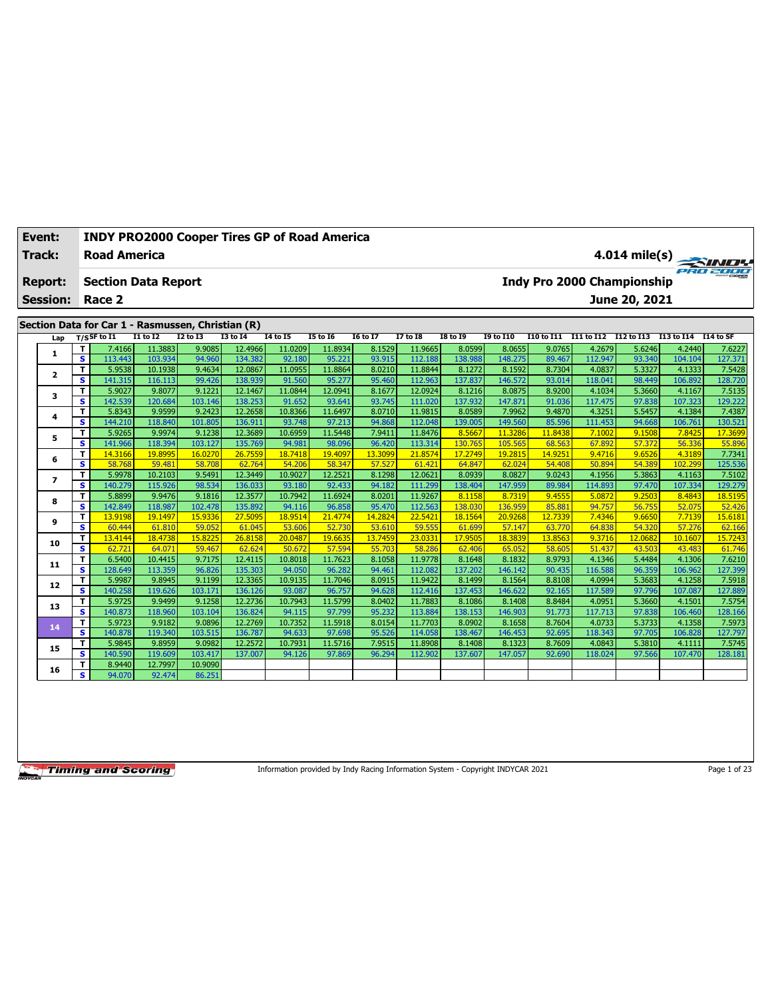| <b>Track:</b><br><b>Road America</b><br>$4.014$ mile(s)<br>Indy Pro 2000 Championship<br><b>Section Data Report</b><br><b>Report:</b><br>June 20, 2021<br><b>Session:</b><br>Race 2<br>Section Data for Car 1 - Rasmussen, Christian (R)<br>$I2$ to $I3$<br>$T/S$ SF to I1<br><b>I1 to I2</b><br><b>I3 to I4</b><br><b>I4 to I5</b><br><b>I5 to 16</b><br><b>I6 to I7</b><br>$I7$ to $I8$<br><b>I8 to 19</b><br><b>I9 to I10</b><br>I11 to I12 I12 to I13<br>I10 to I11<br>I13 to I14<br>I14 to SF<br>Lap<br>12.4966<br>11.9665<br>8.0599<br>7.4166<br>11.3883<br>9.9085<br>11.0209<br>11.8934<br>8.1529<br>8.0655<br>9.0765<br>4.2679<br>5.6246<br>4.2440<br>T.<br>7.6227<br>1<br>s<br>127.371<br>113.443<br>103.934<br>94.960<br>134.382<br>92.180<br>95.221<br>93.915<br>112.188<br>138.988<br>112.947<br>93.340<br>148.275<br>89.467<br>104.104<br>$\mathbf T$<br>5.9538<br>9.4634<br>12.0867<br>11.0955<br>8.0210<br>11.8844<br>8.7304<br>4.0837<br>5.3327<br>7.5428<br>10.1938<br>11.8864<br>8.1272<br>8.1592<br>4.1333<br>$\overline{\mathbf{2}}$<br>$\mathbf{s}$<br>99.426<br>95.460<br>112.963<br>137.837<br>93.014<br>98.449<br>128.720<br>141.315<br>116.113<br>138.939<br>91.560<br>95.277<br>146.572<br>118.041<br>106.892<br>9.8077<br>9.1221<br>12.1467<br>12.0941<br>8.1677<br>12.0924<br>8.9200<br>5.3660<br>7.5135<br>T<br>5.9027<br>11.0844<br>8.1216<br>8.0875<br>4.1034<br>4.1167<br>3<br>$\mathbf{s}$<br>138.253<br>93.745<br>137,932<br>97.838<br>129.222<br>142.539<br>120.684<br>103.146<br>91.652<br>93.641<br>111.020<br>147.871<br>91.036<br>117.475<br>107.323<br>9.2423<br>$\mathbf T$<br>5.8343<br>9.9599<br>12.2658<br>10.8366<br>11.6497<br>8.0710<br>11.9815<br>8.0589<br>7.9962<br>9.4870<br>4.3251<br>5.5457<br>4.1384<br>7.4387<br>4<br>s<br>130.521<br>144.210<br>118.840<br>101.805<br>136.911<br>93.748<br>97.213<br>94.868<br>112.048<br>139.005<br>149.560<br>85.596<br>111.453<br>94.668<br>106.761<br>9.9974<br>9.1238<br>12.3689<br>10.6959<br>7.9411<br>7.8425<br>5.9265<br>11.5448<br>11.8476<br>8.5667<br>11.3286<br>11,8438<br>7.1002<br>9.1508<br>17.3699<br>T<br>5<br>$\overline{\mathbf{s}}$<br>103.127<br>135.769<br>98.096<br>96.420<br>55.896<br>141.966<br>118.394<br>94.981<br>113.314<br>130.765<br>105.565<br>68.563<br>67.892<br>57.372<br>56.336<br>T<br>19.8995<br>16.0270<br>26.7559<br>18.7418<br>19.4097<br>13,3099<br>21,8574<br>17.2749<br>14.9251<br>9.4716<br>9.6526<br>7.7341<br>14.3166<br>19.2815<br>4.3189<br>6<br>$\overline{\mathbf{s}}$<br>57.527<br>125.536<br>59.481<br>58.708<br>62.764<br>54,206<br>58.347<br>61.421<br>64.847<br>54.408<br>50.894<br>54.389<br>102.299<br>58.768<br>62.024<br>$\mathbf{T}$<br>9.5491<br>12.3449<br>8.1298<br>12.0621<br>7.5102<br>5.9978<br>10.2103<br>10.9027<br>12.2521<br>8.0939<br>8.0827<br>9.0243<br>4.1956<br>5.3863<br>4.1163<br>$\overline{ }$<br>s<br>140.279<br>115.926<br>98.534<br>136.033<br>93.180<br>92.433<br>94.182<br>138.404<br>147.959<br>114.893<br>97.470<br>107.334<br>129.279<br>111.299<br>89.984<br>9.9476<br>9.1816<br>8.0201<br>11.9267<br>T<br>5.8899<br>12.3577<br>10.7942<br>11.6924<br>8.1158<br>8.7319<br>9.4555<br>5.0872<br>9.2503<br>8.4843<br>18.5195<br>8<br>s<br>142.849<br>118.987<br>102.478<br>135.892<br>94.116<br>96.858<br>95.470<br>112.563<br>138,030<br>136.959<br>85.881<br>94.757<br>56.755<br>52.075<br>52.426<br>13.9198<br>15.9336<br>18.9514<br>14.2824<br>22.5421<br>18.1564<br>20.9268<br>12.7339<br>7.4346<br>9.6650<br>7.7139<br>15.6181<br>T<br>19.1497<br>27.5095<br>21.4774<br>9<br>$\overline{\mathbf{s}}$<br>60,444<br>53.610<br>59.555<br>61.699<br>61.810<br>59.052<br>61.045<br>53.606<br>52.730<br>57.147<br>63,770<br>64.838<br>54.320<br>57.276<br>62.166<br>15,8225<br>26.8158<br>20.0487<br>19.6635<br>13.7459<br>23.0331<br>17,9505<br>18.3839<br>13.8563<br>9.3716<br>12.0682<br>10.1607<br>15.7243<br>T.<br>13.4144<br>18.4738<br>10<br>s<br>59.467<br>62.624<br>50.672<br>55.703<br>58.286<br>51.437<br>43.503<br>61.746<br>62.721<br>64.071<br>57.594<br>62,406<br>65.052<br>58.605<br>43.483<br>9.7175<br>8.9793<br>4.1346<br>$\mathbf{T}$<br>6.5400<br>10.4415<br>12.4115<br>10.8018<br>11.7623<br>8.1058<br>11.9778<br>8.1648<br>8.1832<br>5.4484<br>4.1306<br>7.6210<br>11<br>$\overline{\mathbf{s}}$<br>127.399<br>128.649<br>113.359<br>96.826<br>135.303<br>96.282<br>94.461<br>112.082<br>137.202<br>146.142<br>90.435<br>116.588<br>96.359<br>106.962<br>94.050<br>9.8945<br>12.3365<br>8.0915<br>11.9422<br>5.9987<br>9.1199<br>10.9135<br>11.7046<br>8.1499<br>8.1564<br>8.8108<br>4.0994<br>5.3683<br>4.1258<br>7.5918<br>T<br>12<br>$\overline{\mathbf{s}}$<br>103.171<br>136.126<br>93.087<br>96.757<br>94.628<br>97.796<br>127.889<br>140.258<br>119.626<br>112,416<br>137.453<br>146,622<br>92.165<br>117.589<br>107.087<br>5.9725<br>9.9499<br>9.1258<br>12.2736<br>10.7943<br>11.5799<br>8.0402<br>8.8484<br>4.0951<br>5.3660<br>T<br>11.7883<br>8.1086<br>8.1408<br>4.1501<br>7.5754<br>13<br>$\overline{\mathbf{s}}$<br>95.232<br>140.873<br>118.960<br>103.104<br>136.824<br>94.115<br>97.799<br>113.884<br>138.153<br>146.903<br>91.773<br>117.713<br>97.838<br>106.460<br>128.166<br>5.9723<br>9.9182<br>9.0896<br>12.2769<br>10.7352<br>8.0154<br>11.7703<br>8.7604<br>5.3733<br>7.5973<br>T<br>11.5918<br>8.0902<br>8.1658<br>4.0733<br>4.1358<br>14<br>95.526<br>s<br>140.878<br>119.340<br>103.515<br>136.787<br>94.633<br>97.698<br>114.058<br>138.467<br>92.695<br>118.343<br>97.705<br>106.828<br>127.797<br>146.453<br>T<br>9.8959<br>9.0982<br>12.2572<br>10.7931<br>11.5716<br>7.9515<br>11.8908<br>8.1323<br>8.7609<br>4.0843<br>5.3810<br>5.9845<br>8.1408<br>4.1111<br>7.5745<br>15<br>s<br>119.609<br>103.417<br>137.007<br>97.869<br>97.566<br>128.181<br>140.590<br>94.126<br>96.294<br>112.902<br>137.607<br>147.057<br>92.690<br>118.024<br>107.470<br>8.9440<br>12.7997<br>10.9090<br>т<br>16<br>S<br>94.070<br>92.474<br>86.251 | Event: | <b>INDY PRO2000 Cooper Tires GP of Road America</b> |  |  |  |  |  |  |  |
|--------------------------------------------------------------------------------------------------------------------------------------------------------------------------------------------------------------------------------------------------------------------------------------------------------------------------------------------------------------------------------------------------------------------------------------------------------------------------------------------------------------------------------------------------------------------------------------------------------------------------------------------------------------------------------------------------------------------------------------------------------------------------------------------------------------------------------------------------------------------------------------------------------------------------------------------------------------------------------------------------------------------------------------------------------------------------------------------------------------------------------------------------------------------------------------------------------------------------------------------------------------------------------------------------------------------------------------------------------------------------------------------------------------------------------------------------------------------------------------------------------------------------------------------------------------------------------------------------------------------------------------------------------------------------------------------------------------------------------------------------------------------------------------------------------------------------------------------------------------------------------------------------------------------------------------------------------------------------------------------------------------------------------------------------------------------------------------------------------------------------------------------------------------------------------------------------------------------------------------------------------------------------------------------------------------------------------------------------------------------------------------------------------------------------------------------------------------------------------------------------------------------------------------------------------------------------------------------------------------------------------------------------------------------------------------------------------------------------------------------------------------------------------------------------------------------------------------------------------------------------------------------------------------------------------------------------------------------------------------------------------------------------------------------------------------------------------------------------------------------------------------------------------------------------------------------------------------------------------------------------------------------------------------------------------------------------------------------------------------------------------------------------------------------------------------------------------------------------------------------------------------------------------------------------------------------------------------------------------------------------------------------------------------------------------------------------------------------------------------------------------------------------------------------------------------------------------------------------------------------------------------------------------------------------------------------------------------------------------------------------------------------------------------------------------------------------------------------------------------------------------------------------------------------------------------------------------------------------------------------------------------------------------------------------------------------------------------------------------------------------------------------------------------------------------------------------------------------------------------------------------------------------------------------------------------------------------------------------------------------------------------------------------------------------------------------------------------------------------------------------------------------------------------------------------------------------------------------------------------------------------------------------------------------------------------------------------------------------------------------------------------------------------------------------------------------------------------------------------------------------------------------------------------------------------------------------------------------------------------------------------------------------------------------------------------------------------------------------------------------------------------------------------------------------------------------------------------------------------------------------------------------------------------------------------------------------------------------------------------------------------------------------------------------------------------------------------------------------------------------------------------------------------------------------------------------------------------------------------------------------------------------------------------------------------------------------------------------------|--------|-----------------------------------------------------|--|--|--|--|--|--|--|
|                                                                                                                                                                                                                                                                                                                                                                                                                                                                                                                                                                                                                                                                                                                                                                                                                                                                                                                                                                                                                                                                                                                                                                                                                                                                                                                                                                                                                                                                                                                                                                                                                                                                                                                                                                                                                                                                                                                                                                                                                                                                                                                                                                                                                                                                                                                                                                                                                                                                                                                                                                                                                                                                                                                                                                                                                                                                                                                                                                                                                                                                                                                                                                                                                                                                                                                                                                                                                                                                                                                                                                                                                                                                                                                                                                                                                                                                                                                                                                                                                                                                                                                                                                                                                                                                                                                                                                                                                                                                                                                                                                                                                                                                                                                                                                                                                                                                                                                                                                                                                                                                                                                                                                                                                                                                                                                                                                                                                                                                                                                                                                                                                                                                                                                                                                                                                                                                                                                                                                          |        |                                                     |  |  |  |  |  |  |  |
|                                                                                                                                                                                                                                                                                                                                                                                                                                                                                                                                                                                                                                                                                                                                                                                                                                                                                                                                                                                                                                                                                                                                                                                                                                                                                                                                                                                                                                                                                                                                                                                                                                                                                                                                                                                                                                                                                                                                                                                                                                                                                                                                                                                                                                                                                                                                                                                                                                                                                                                                                                                                                                                                                                                                                                                                                                                                                                                                                                                                                                                                                                                                                                                                                                                                                                                                                                                                                                                                                                                                                                                                                                                                                                                                                                                                                                                                                                                                                                                                                                                                                                                                                                                                                                                                                                                                                                                                                                                                                                                                                                                                                                                                                                                                                                                                                                                                                                                                                                                                                                                                                                                                                                                                                                                                                                                                                                                                                                                                                                                                                                                                                                                                                                                                                                                                                                                                                                                                                                          |        |                                                     |  |  |  |  |  |  |  |
|                                                                                                                                                                                                                                                                                                                                                                                                                                                                                                                                                                                                                                                                                                                                                                                                                                                                                                                                                                                                                                                                                                                                                                                                                                                                                                                                                                                                                                                                                                                                                                                                                                                                                                                                                                                                                                                                                                                                                                                                                                                                                                                                                                                                                                                                                                                                                                                                                                                                                                                                                                                                                                                                                                                                                                                                                                                                                                                                                                                                                                                                                                                                                                                                                                                                                                                                                                                                                                                                                                                                                                                                                                                                                                                                                                                                                                                                                                                                                                                                                                                                                                                                                                                                                                                                                                                                                                                                                                                                                                                                                                                                                                                                                                                                                                                                                                                                                                                                                                                                                                                                                                                                                                                                                                                                                                                                                                                                                                                                                                                                                                                                                                                                                                                                                                                                                                                                                                                                                                          |        |                                                     |  |  |  |  |  |  |  |
|                                                                                                                                                                                                                                                                                                                                                                                                                                                                                                                                                                                                                                                                                                                                                                                                                                                                                                                                                                                                                                                                                                                                                                                                                                                                                                                                                                                                                                                                                                                                                                                                                                                                                                                                                                                                                                                                                                                                                                                                                                                                                                                                                                                                                                                                                                                                                                                                                                                                                                                                                                                                                                                                                                                                                                                                                                                                                                                                                                                                                                                                                                                                                                                                                                                                                                                                                                                                                                                                                                                                                                                                                                                                                                                                                                                                                                                                                                                                                                                                                                                                                                                                                                                                                                                                                                                                                                                                                                                                                                                                                                                                                                                                                                                                                                                                                                                                                                                                                                                                                                                                                                                                                                                                                                                                                                                                                                                                                                                                                                                                                                                                                                                                                                                                                                                                                                                                                                                                                                          |        |                                                     |  |  |  |  |  |  |  |
|                                                                                                                                                                                                                                                                                                                                                                                                                                                                                                                                                                                                                                                                                                                                                                                                                                                                                                                                                                                                                                                                                                                                                                                                                                                                                                                                                                                                                                                                                                                                                                                                                                                                                                                                                                                                                                                                                                                                                                                                                                                                                                                                                                                                                                                                                                                                                                                                                                                                                                                                                                                                                                                                                                                                                                                                                                                                                                                                                                                                                                                                                                                                                                                                                                                                                                                                                                                                                                                                                                                                                                                                                                                                                                                                                                                                                                                                                                                                                                                                                                                                                                                                                                                                                                                                                                                                                                                                                                                                                                                                                                                                                                                                                                                                                                                                                                                                                                                                                                                                                                                                                                                                                                                                                                                                                                                                                                                                                                                                                                                                                                                                                                                                                                                                                                                                                                                                                                                                                                          |        |                                                     |  |  |  |  |  |  |  |
|                                                                                                                                                                                                                                                                                                                                                                                                                                                                                                                                                                                                                                                                                                                                                                                                                                                                                                                                                                                                                                                                                                                                                                                                                                                                                                                                                                                                                                                                                                                                                                                                                                                                                                                                                                                                                                                                                                                                                                                                                                                                                                                                                                                                                                                                                                                                                                                                                                                                                                                                                                                                                                                                                                                                                                                                                                                                                                                                                                                                                                                                                                                                                                                                                                                                                                                                                                                                                                                                                                                                                                                                                                                                                                                                                                                                                                                                                                                                                                                                                                                                                                                                                                                                                                                                                                                                                                                                                                                                                                                                                                                                                                                                                                                                                                                                                                                                                                                                                                                                                                                                                                                                                                                                                                                                                                                                                                                                                                                                                                                                                                                                                                                                                                                                                                                                                                                                                                                                                                          |        |                                                     |  |  |  |  |  |  |  |
|                                                                                                                                                                                                                                                                                                                                                                                                                                                                                                                                                                                                                                                                                                                                                                                                                                                                                                                                                                                                                                                                                                                                                                                                                                                                                                                                                                                                                                                                                                                                                                                                                                                                                                                                                                                                                                                                                                                                                                                                                                                                                                                                                                                                                                                                                                                                                                                                                                                                                                                                                                                                                                                                                                                                                                                                                                                                                                                                                                                                                                                                                                                                                                                                                                                                                                                                                                                                                                                                                                                                                                                                                                                                                                                                                                                                                                                                                                                                                                                                                                                                                                                                                                                                                                                                                                                                                                                                                                                                                                                                                                                                                                                                                                                                                                                                                                                                                                                                                                                                                                                                                                                                                                                                                                                                                                                                                                                                                                                                                                                                                                                                                                                                                                                                                                                                                                                                                                                                                                          |        |                                                     |  |  |  |  |  |  |  |
|                                                                                                                                                                                                                                                                                                                                                                                                                                                                                                                                                                                                                                                                                                                                                                                                                                                                                                                                                                                                                                                                                                                                                                                                                                                                                                                                                                                                                                                                                                                                                                                                                                                                                                                                                                                                                                                                                                                                                                                                                                                                                                                                                                                                                                                                                                                                                                                                                                                                                                                                                                                                                                                                                                                                                                                                                                                                                                                                                                                                                                                                                                                                                                                                                                                                                                                                                                                                                                                                                                                                                                                                                                                                                                                                                                                                                                                                                                                                                                                                                                                                                                                                                                                                                                                                                                                                                                                                                                                                                                                                                                                                                                                                                                                                                                                                                                                                                                                                                                                                                                                                                                                                                                                                                                                                                                                                                                                                                                                                                                                                                                                                                                                                                                                                                                                                                                                                                                                                                                          |        |                                                     |  |  |  |  |  |  |  |
|                                                                                                                                                                                                                                                                                                                                                                                                                                                                                                                                                                                                                                                                                                                                                                                                                                                                                                                                                                                                                                                                                                                                                                                                                                                                                                                                                                                                                                                                                                                                                                                                                                                                                                                                                                                                                                                                                                                                                                                                                                                                                                                                                                                                                                                                                                                                                                                                                                                                                                                                                                                                                                                                                                                                                                                                                                                                                                                                                                                                                                                                                                                                                                                                                                                                                                                                                                                                                                                                                                                                                                                                                                                                                                                                                                                                                                                                                                                                                                                                                                                                                                                                                                                                                                                                                                                                                                                                                                                                                                                                                                                                                                                                                                                                                                                                                                                                                                                                                                                                                                                                                                                                                                                                                                                                                                                                                                                                                                                                                                                                                                                                                                                                                                                                                                                                                                                                                                                                                                          |        |                                                     |  |  |  |  |  |  |  |
|                                                                                                                                                                                                                                                                                                                                                                                                                                                                                                                                                                                                                                                                                                                                                                                                                                                                                                                                                                                                                                                                                                                                                                                                                                                                                                                                                                                                                                                                                                                                                                                                                                                                                                                                                                                                                                                                                                                                                                                                                                                                                                                                                                                                                                                                                                                                                                                                                                                                                                                                                                                                                                                                                                                                                                                                                                                                                                                                                                                                                                                                                                                                                                                                                                                                                                                                                                                                                                                                                                                                                                                                                                                                                                                                                                                                                                                                                                                                                                                                                                                                                                                                                                                                                                                                                                                                                                                                                                                                                                                                                                                                                                                                                                                                                                                                                                                                                                                                                                                                                                                                                                                                                                                                                                                                                                                                                                                                                                                                                                                                                                                                                                                                                                                                                                                                                                                                                                                                                                          |        |                                                     |  |  |  |  |  |  |  |
|                                                                                                                                                                                                                                                                                                                                                                                                                                                                                                                                                                                                                                                                                                                                                                                                                                                                                                                                                                                                                                                                                                                                                                                                                                                                                                                                                                                                                                                                                                                                                                                                                                                                                                                                                                                                                                                                                                                                                                                                                                                                                                                                                                                                                                                                                                                                                                                                                                                                                                                                                                                                                                                                                                                                                                                                                                                                                                                                                                                                                                                                                                                                                                                                                                                                                                                                                                                                                                                                                                                                                                                                                                                                                                                                                                                                                                                                                                                                                                                                                                                                                                                                                                                                                                                                                                                                                                                                                                                                                                                                                                                                                                                                                                                                                                                                                                                                                                                                                                                                                                                                                                                                                                                                                                                                                                                                                                                                                                                                                                                                                                                                                                                                                                                                                                                                                                                                                                                                                                          |        |                                                     |  |  |  |  |  |  |  |
|                                                                                                                                                                                                                                                                                                                                                                                                                                                                                                                                                                                                                                                                                                                                                                                                                                                                                                                                                                                                                                                                                                                                                                                                                                                                                                                                                                                                                                                                                                                                                                                                                                                                                                                                                                                                                                                                                                                                                                                                                                                                                                                                                                                                                                                                                                                                                                                                                                                                                                                                                                                                                                                                                                                                                                                                                                                                                                                                                                                                                                                                                                                                                                                                                                                                                                                                                                                                                                                                                                                                                                                                                                                                                                                                                                                                                                                                                                                                                                                                                                                                                                                                                                                                                                                                                                                                                                                                                                                                                                                                                                                                                                                                                                                                                                                                                                                                                                                                                                                                                                                                                                                                                                                                                                                                                                                                                                                                                                                                                                                                                                                                                                                                                                                                                                                                                                                                                                                                                                          |        |                                                     |  |  |  |  |  |  |  |
|                                                                                                                                                                                                                                                                                                                                                                                                                                                                                                                                                                                                                                                                                                                                                                                                                                                                                                                                                                                                                                                                                                                                                                                                                                                                                                                                                                                                                                                                                                                                                                                                                                                                                                                                                                                                                                                                                                                                                                                                                                                                                                                                                                                                                                                                                                                                                                                                                                                                                                                                                                                                                                                                                                                                                                                                                                                                                                                                                                                                                                                                                                                                                                                                                                                                                                                                                                                                                                                                                                                                                                                                                                                                                                                                                                                                                                                                                                                                                                                                                                                                                                                                                                                                                                                                                                                                                                                                                                                                                                                                                                                                                                                                                                                                                                                                                                                                                                                                                                                                                                                                                                                                                                                                                                                                                                                                                                                                                                                                                                                                                                                                                                                                                                                                                                                                                                                                                                                                                                          |        |                                                     |  |  |  |  |  |  |  |
|                                                                                                                                                                                                                                                                                                                                                                                                                                                                                                                                                                                                                                                                                                                                                                                                                                                                                                                                                                                                                                                                                                                                                                                                                                                                                                                                                                                                                                                                                                                                                                                                                                                                                                                                                                                                                                                                                                                                                                                                                                                                                                                                                                                                                                                                                                                                                                                                                                                                                                                                                                                                                                                                                                                                                                                                                                                                                                                                                                                                                                                                                                                                                                                                                                                                                                                                                                                                                                                                                                                                                                                                                                                                                                                                                                                                                                                                                                                                                                                                                                                                                                                                                                                                                                                                                                                                                                                                                                                                                                                                                                                                                                                                                                                                                                                                                                                                                                                                                                                                                                                                                                                                                                                                                                                                                                                                                                                                                                                                                                                                                                                                                                                                                                                                                                                                                                                                                                                                                                          |        |                                                     |  |  |  |  |  |  |  |
|                                                                                                                                                                                                                                                                                                                                                                                                                                                                                                                                                                                                                                                                                                                                                                                                                                                                                                                                                                                                                                                                                                                                                                                                                                                                                                                                                                                                                                                                                                                                                                                                                                                                                                                                                                                                                                                                                                                                                                                                                                                                                                                                                                                                                                                                                                                                                                                                                                                                                                                                                                                                                                                                                                                                                                                                                                                                                                                                                                                                                                                                                                                                                                                                                                                                                                                                                                                                                                                                                                                                                                                                                                                                                                                                                                                                                                                                                                                                                                                                                                                                                                                                                                                                                                                                                                                                                                                                                                                                                                                                                                                                                                                                                                                                                                                                                                                                                                                                                                                                                                                                                                                                                                                                                                                                                                                                                                                                                                                                                                                                                                                                                                                                                                                                                                                                                                                                                                                                                                          |        |                                                     |  |  |  |  |  |  |  |
|                                                                                                                                                                                                                                                                                                                                                                                                                                                                                                                                                                                                                                                                                                                                                                                                                                                                                                                                                                                                                                                                                                                                                                                                                                                                                                                                                                                                                                                                                                                                                                                                                                                                                                                                                                                                                                                                                                                                                                                                                                                                                                                                                                                                                                                                                                                                                                                                                                                                                                                                                                                                                                                                                                                                                                                                                                                                                                                                                                                                                                                                                                                                                                                                                                                                                                                                                                                                                                                                                                                                                                                                                                                                                                                                                                                                                                                                                                                                                                                                                                                                                                                                                                                                                                                                                                                                                                                                                                                                                                                                                                                                                                                                                                                                                                                                                                                                                                                                                                                                                                                                                                                                                                                                                                                                                                                                                                                                                                                                                                                                                                                                                                                                                                                                                                                                                                                                                                                                                                          |        |                                                     |  |  |  |  |  |  |  |
|                                                                                                                                                                                                                                                                                                                                                                                                                                                                                                                                                                                                                                                                                                                                                                                                                                                                                                                                                                                                                                                                                                                                                                                                                                                                                                                                                                                                                                                                                                                                                                                                                                                                                                                                                                                                                                                                                                                                                                                                                                                                                                                                                                                                                                                                                                                                                                                                                                                                                                                                                                                                                                                                                                                                                                                                                                                                                                                                                                                                                                                                                                                                                                                                                                                                                                                                                                                                                                                                                                                                                                                                                                                                                                                                                                                                                                                                                                                                                                                                                                                                                                                                                                                                                                                                                                                                                                                                                                                                                                                                                                                                                                                                                                                                                                                                                                                                                                                                                                                                                                                                                                                                                                                                                                                                                                                                                                                                                                                                                                                                                                                                                                                                                                                                                                                                                                                                                                                                                                          |        |                                                     |  |  |  |  |  |  |  |
|                                                                                                                                                                                                                                                                                                                                                                                                                                                                                                                                                                                                                                                                                                                                                                                                                                                                                                                                                                                                                                                                                                                                                                                                                                                                                                                                                                                                                                                                                                                                                                                                                                                                                                                                                                                                                                                                                                                                                                                                                                                                                                                                                                                                                                                                                                                                                                                                                                                                                                                                                                                                                                                                                                                                                                                                                                                                                                                                                                                                                                                                                                                                                                                                                                                                                                                                                                                                                                                                                                                                                                                                                                                                                                                                                                                                                                                                                                                                                                                                                                                                                                                                                                                                                                                                                                                                                                                                                                                                                                                                                                                                                                                                                                                                                                                                                                                                                                                                                                                                                                                                                                                                                                                                                                                                                                                                                                                                                                                                                                                                                                                                                                                                                                                                                                                                                                                                                                                                                                          |        |                                                     |  |  |  |  |  |  |  |
|                                                                                                                                                                                                                                                                                                                                                                                                                                                                                                                                                                                                                                                                                                                                                                                                                                                                                                                                                                                                                                                                                                                                                                                                                                                                                                                                                                                                                                                                                                                                                                                                                                                                                                                                                                                                                                                                                                                                                                                                                                                                                                                                                                                                                                                                                                                                                                                                                                                                                                                                                                                                                                                                                                                                                                                                                                                                                                                                                                                                                                                                                                                                                                                                                                                                                                                                                                                                                                                                                                                                                                                                                                                                                                                                                                                                                                                                                                                                                                                                                                                                                                                                                                                                                                                                                                                                                                                                                                                                                                                                                                                                                                                                                                                                                                                                                                                                                                                                                                                                                                                                                                                                                                                                                                                                                                                                                                                                                                                                                                                                                                                                                                                                                                                                                                                                                                                                                                                                                                          |        |                                                     |  |  |  |  |  |  |  |
|                                                                                                                                                                                                                                                                                                                                                                                                                                                                                                                                                                                                                                                                                                                                                                                                                                                                                                                                                                                                                                                                                                                                                                                                                                                                                                                                                                                                                                                                                                                                                                                                                                                                                                                                                                                                                                                                                                                                                                                                                                                                                                                                                                                                                                                                                                                                                                                                                                                                                                                                                                                                                                                                                                                                                                                                                                                                                                                                                                                                                                                                                                                                                                                                                                                                                                                                                                                                                                                                                                                                                                                                                                                                                                                                                                                                                                                                                                                                                                                                                                                                                                                                                                                                                                                                                                                                                                                                                                                                                                                                                                                                                                                                                                                                                                                                                                                                                                                                                                                                                                                                                                                                                                                                                                                                                                                                                                                                                                                                                                                                                                                                                                                                                                                                                                                                                                                                                                                                                                          |        |                                                     |  |  |  |  |  |  |  |
|                                                                                                                                                                                                                                                                                                                                                                                                                                                                                                                                                                                                                                                                                                                                                                                                                                                                                                                                                                                                                                                                                                                                                                                                                                                                                                                                                                                                                                                                                                                                                                                                                                                                                                                                                                                                                                                                                                                                                                                                                                                                                                                                                                                                                                                                                                                                                                                                                                                                                                                                                                                                                                                                                                                                                                                                                                                                                                                                                                                                                                                                                                                                                                                                                                                                                                                                                                                                                                                                                                                                                                                                                                                                                                                                                                                                                                                                                                                                                                                                                                                                                                                                                                                                                                                                                                                                                                                                                                                                                                                                                                                                                                                                                                                                                                                                                                                                                                                                                                                                                                                                                                                                                                                                                                                                                                                                                                                                                                                                                                                                                                                                                                                                                                                                                                                                                                                                                                                                                                          |        |                                                     |  |  |  |  |  |  |  |
|                                                                                                                                                                                                                                                                                                                                                                                                                                                                                                                                                                                                                                                                                                                                                                                                                                                                                                                                                                                                                                                                                                                                                                                                                                                                                                                                                                                                                                                                                                                                                                                                                                                                                                                                                                                                                                                                                                                                                                                                                                                                                                                                                                                                                                                                                                                                                                                                                                                                                                                                                                                                                                                                                                                                                                                                                                                                                                                                                                                                                                                                                                                                                                                                                                                                                                                                                                                                                                                                                                                                                                                                                                                                                                                                                                                                                                                                                                                                                                                                                                                                                                                                                                                                                                                                                                                                                                                                                                                                                                                                                                                                                                                                                                                                                                                                                                                                                                                                                                                                                                                                                                                                                                                                                                                                                                                                                                                                                                                                                                                                                                                                                                                                                                                                                                                                                                                                                                                                                                          |        |                                                     |  |  |  |  |  |  |  |
|                                                                                                                                                                                                                                                                                                                                                                                                                                                                                                                                                                                                                                                                                                                                                                                                                                                                                                                                                                                                                                                                                                                                                                                                                                                                                                                                                                                                                                                                                                                                                                                                                                                                                                                                                                                                                                                                                                                                                                                                                                                                                                                                                                                                                                                                                                                                                                                                                                                                                                                                                                                                                                                                                                                                                                                                                                                                                                                                                                                                                                                                                                                                                                                                                                                                                                                                                                                                                                                                                                                                                                                                                                                                                                                                                                                                                                                                                                                                                                                                                                                                                                                                                                                                                                                                                                                                                                                                                                                                                                                                                                                                                                                                                                                                                                                                                                                                                                                                                                                                                                                                                                                                                                                                                                                                                                                                                                                                                                                                                                                                                                                                                                                                                                                                                                                                                                                                                                                                                                          |        |                                                     |  |  |  |  |  |  |  |
|                                                                                                                                                                                                                                                                                                                                                                                                                                                                                                                                                                                                                                                                                                                                                                                                                                                                                                                                                                                                                                                                                                                                                                                                                                                                                                                                                                                                                                                                                                                                                                                                                                                                                                                                                                                                                                                                                                                                                                                                                                                                                                                                                                                                                                                                                                                                                                                                                                                                                                                                                                                                                                                                                                                                                                                                                                                                                                                                                                                                                                                                                                                                                                                                                                                                                                                                                                                                                                                                                                                                                                                                                                                                                                                                                                                                                                                                                                                                                                                                                                                                                                                                                                                                                                                                                                                                                                                                                                                                                                                                                                                                                                                                                                                                                                                                                                                                                                                                                                                                                                                                                                                                                                                                                                                                                                                                                                                                                                                                                                                                                                                                                                                                                                                                                                                                                                                                                                                                                                          |        |                                                     |  |  |  |  |  |  |  |
|                                                                                                                                                                                                                                                                                                                                                                                                                                                                                                                                                                                                                                                                                                                                                                                                                                                                                                                                                                                                                                                                                                                                                                                                                                                                                                                                                                                                                                                                                                                                                                                                                                                                                                                                                                                                                                                                                                                                                                                                                                                                                                                                                                                                                                                                                                                                                                                                                                                                                                                                                                                                                                                                                                                                                                                                                                                                                                                                                                                                                                                                                                                                                                                                                                                                                                                                                                                                                                                                                                                                                                                                                                                                                                                                                                                                                                                                                                                                                                                                                                                                                                                                                                                                                                                                                                                                                                                                                                                                                                                                                                                                                                                                                                                                                                                                                                                                                                                                                                                                                                                                                                                                                                                                                                                                                                                                                                                                                                                                                                                                                                                                                                                                                                                                                                                                                                                                                                                                                                          |        |                                                     |  |  |  |  |  |  |  |
|                                                                                                                                                                                                                                                                                                                                                                                                                                                                                                                                                                                                                                                                                                                                                                                                                                                                                                                                                                                                                                                                                                                                                                                                                                                                                                                                                                                                                                                                                                                                                                                                                                                                                                                                                                                                                                                                                                                                                                                                                                                                                                                                                                                                                                                                                                                                                                                                                                                                                                                                                                                                                                                                                                                                                                                                                                                                                                                                                                                                                                                                                                                                                                                                                                                                                                                                                                                                                                                                                                                                                                                                                                                                                                                                                                                                                                                                                                                                                                                                                                                                                                                                                                                                                                                                                                                                                                                                                                                                                                                                                                                                                                                                                                                                                                                                                                                                                                                                                                                                                                                                                                                                                                                                                                                                                                                                                                                                                                                                                                                                                                                                                                                                                                                                                                                                                                                                                                                                                                          |        |                                                     |  |  |  |  |  |  |  |
|                                                                                                                                                                                                                                                                                                                                                                                                                                                                                                                                                                                                                                                                                                                                                                                                                                                                                                                                                                                                                                                                                                                                                                                                                                                                                                                                                                                                                                                                                                                                                                                                                                                                                                                                                                                                                                                                                                                                                                                                                                                                                                                                                                                                                                                                                                                                                                                                                                                                                                                                                                                                                                                                                                                                                                                                                                                                                                                                                                                                                                                                                                                                                                                                                                                                                                                                                                                                                                                                                                                                                                                                                                                                                                                                                                                                                                                                                                                                                                                                                                                                                                                                                                                                                                                                                                                                                                                                                                                                                                                                                                                                                                                                                                                                                                                                                                                                                                                                                                                                                                                                                                                                                                                                                                                                                                                                                                                                                                                                                                                                                                                                                                                                                                                                                                                                                                                                                                                                                                          |        |                                                     |  |  |  |  |  |  |  |
|                                                                                                                                                                                                                                                                                                                                                                                                                                                                                                                                                                                                                                                                                                                                                                                                                                                                                                                                                                                                                                                                                                                                                                                                                                                                                                                                                                                                                                                                                                                                                                                                                                                                                                                                                                                                                                                                                                                                                                                                                                                                                                                                                                                                                                                                                                                                                                                                                                                                                                                                                                                                                                                                                                                                                                                                                                                                                                                                                                                                                                                                                                                                                                                                                                                                                                                                                                                                                                                                                                                                                                                                                                                                                                                                                                                                                                                                                                                                                                                                                                                                                                                                                                                                                                                                                                                                                                                                                                                                                                                                                                                                                                                                                                                                                                                                                                                                                                                                                                                                                                                                                                                                                                                                                                                                                                                                                                                                                                                                                                                                                                                                                                                                                                                                                                                                                                                                                                                                                                          |        |                                                     |  |  |  |  |  |  |  |
|                                                                                                                                                                                                                                                                                                                                                                                                                                                                                                                                                                                                                                                                                                                                                                                                                                                                                                                                                                                                                                                                                                                                                                                                                                                                                                                                                                                                                                                                                                                                                                                                                                                                                                                                                                                                                                                                                                                                                                                                                                                                                                                                                                                                                                                                                                                                                                                                                                                                                                                                                                                                                                                                                                                                                                                                                                                                                                                                                                                                                                                                                                                                                                                                                                                                                                                                                                                                                                                                                                                                                                                                                                                                                                                                                                                                                                                                                                                                                                                                                                                                                                                                                                                                                                                                                                                                                                                                                                                                                                                                                                                                                                                                                                                                                                                                                                                                                                                                                                                                                                                                                                                                                                                                                                                                                                                                                                                                                                                                                                                                                                                                                                                                                                                                                                                                                                                                                                                                                                          |        |                                                     |  |  |  |  |  |  |  |
|                                                                                                                                                                                                                                                                                                                                                                                                                                                                                                                                                                                                                                                                                                                                                                                                                                                                                                                                                                                                                                                                                                                                                                                                                                                                                                                                                                                                                                                                                                                                                                                                                                                                                                                                                                                                                                                                                                                                                                                                                                                                                                                                                                                                                                                                                                                                                                                                                                                                                                                                                                                                                                                                                                                                                                                                                                                                                                                                                                                                                                                                                                                                                                                                                                                                                                                                                                                                                                                                                                                                                                                                                                                                                                                                                                                                                                                                                                                                                                                                                                                                                                                                                                                                                                                                                                                                                                                                                                                                                                                                                                                                                                                                                                                                                                                                                                                                                                                                                                                                                                                                                                                                                                                                                                                                                                                                                                                                                                                                                                                                                                                                                                                                                                                                                                                                                                                                                                                                                                          |        |                                                     |  |  |  |  |  |  |  |
|                                                                                                                                                                                                                                                                                                                                                                                                                                                                                                                                                                                                                                                                                                                                                                                                                                                                                                                                                                                                                                                                                                                                                                                                                                                                                                                                                                                                                                                                                                                                                                                                                                                                                                                                                                                                                                                                                                                                                                                                                                                                                                                                                                                                                                                                                                                                                                                                                                                                                                                                                                                                                                                                                                                                                                                                                                                                                                                                                                                                                                                                                                                                                                                                                                                                                                                                                                                                                                                                                                                                                                                                                                                                                                                                                                                                                                                                                                                                                                                                                                                                                                                                                                                                                                                                                                                                                                                                                                                                                                                                                                                                                                                                                                                                                                                                                                                                                                                                                                                                                                                                                                                                                                                                                                                                                                                                                                                                                                                                                                                                                                                                                                                                                                                                                                                                                                                                                                                                                                          |        |                                                     |  |  |  |  |  |  |  |
|                                                                                                                                                                                                                                                                                                                                                                                                                                                                                                                                                                                                                                                                                                                                                                                                                                                                                                                                                                                                                                                                                                                                                                                                                                                                                                                                                                                                                                                                                                                                                                                                                                                                                                                                                                                                                                                                                                                                                                                                                                                                                                                                                                                                                                                                                                                                                                                                                                                                                                                                                                                                                                                                                                                                                                                                                                                                                                                                                                                                                                                                                                                                                                                                                                                                                                                                                                                                                                                                                                                                                                                                                                                                                                                                                                                                                                                                                                                                                                                                                                                                                                                                                                                                                                                                                                                                                                                                                                                                                                                                                                                                                                                                                                                                                                                                                                                                                                                                                                                                                                                                                                                                                                                                                                                                                                                                                                                                                                                                                                                                                                                                                                                                                                                                                                                                                                                                                                                                                                          |        |                                                     |  |  |  |  |  |  |  |
|                                                                                                                                                                                                                                                                                                                                                                                                                                                                                                                                                                                                                                                                                                                                                                                                                                                                                                                                                                                                                                                                                                                                                                                                                                                                                                                                                                                                                                                                                                                                                                                                                                                                                                                                                                                                                                                                                                                                                                                                                                                                                                                                                                                                                                                                                                                                                                                                                                                                                                                                                                                                                                                                                                                                                                                                                                                                                                                                                                                                                                                                                                                                                                                                                                                                                                                                                                                                                                                                                                                                                                                                                                                                                                                                                                                                                                                                                                                                                                                                                                                                                                                                                                                                                                                                                                                                                                                                                                                                                                                                                                                                                                                                                                                                                                                                                                                                                                                                                                                                                                                                                                                                                                                                                                                                                                                                                                                                                                                                                                                                                                                                                                                                                                                                                                                                                                                                                                                                                                          |        |                                                     |  |  |  |  |  |  |  |
|                                                                                                                                                                                                                                                                                                                                                                                                                                                                                                                                                                                                                                                                                                                                                                                                                                                                                                                                                                                                                                                                                                                                                                                                                                                                                                                                                                                                                                                                                                                                                                                                                                                                                                                                                                                                                                                                                                                                                                                                                                                                                                                                                                                                                                                                                                                                                                                                                                                                                                                                                                                                                                                                                                                                                                                                                                                                                                                                                                                                                                                                                                                                                                                                                                                                                                                                                                                                                                                                                                                                                                                                                                                                                                                                                                                                                                                                                                                                                                                                                                                                                                                                                                                                                                                                                                                                                                                                                                                                                                                                                                                                                                                                                                                                                                                                                                                                                                                                                                                                                                                                                                                                                                                                                                                                                                                                                                                                                                                                                                                                                                                                                                                                                                                                                                                                                                                                                                                                                                          |        |                                                     |  |  |  |  |  |  |  |
|                                                                                                                                                                                                                                                                                                                                                                                                                                                                                                                                                                                                                                                                                                                                                                                                                                                                                                                                                                                                                                                                                                                                                                                                                                                                                                                                                                                                                                                                                                                                                                                                                                                                                                                                                                                                                                                                                                                                                                                                                                                                                                                                                                                                                                                                                                                                                                                                                                                                                                                                                                                                                                                                                                                                                                                                                                                                                                                                                                                                                                                                                                                                                                                                                                                                                                                                                                                                                                                                                                                                                                                                                                                                                                                                                                                                                                                                                                                                                                                                                                                                                                                                                                                                                                                                                                                                                                                                                                                                                                                                                                                                                                                                                                                                                                                                                                                                                                                                                                                                                                                                                                                                                                                                                                                                                                                                                                                                                                                                                                                                                                                                                                                                                                                                                                                                                                                                                                                                                                          |        |                                                     |  |  |  |  |  |  |  |
|                                                                                                                                                                                                                                                                                                                                                                                                                                                                                                                                                                                                                                                                                                                                                                                                                                                                                                                                                                                                                                                                                                                                                                                                                                                                                                                                                                                                                                                                                                                                                                                                                                                                                                                                                                                                                                                                                                                                                                                                                                                                                                                                                                                                                                                                                                                                                                                                                                                                                                                                                                                                                                                                                                                                                                                                                                                                                                                                                                                                                                                                                                                                                                                                                                                                                                                                                                                                                                                                                                                                                                                                                                                                                                                                                                                                                                                                                                                                                                                                                                                                                                                                                                                                                                                                                                                                                                                                                                                                                                                                                                                                                                                                                                                                                                                                                                                                                                                                                                                                                                                                                                                                                                                                                                                                                                                                                                                                                                                                                                                                                                                                                                                                                                                                                                                                                                                                                                                                                                          |        |                                                     |  |  |  |  |  |  |  |

Information provided by Indy Racing Information System - Copyright INDYCAR 2021 Page 1 of 23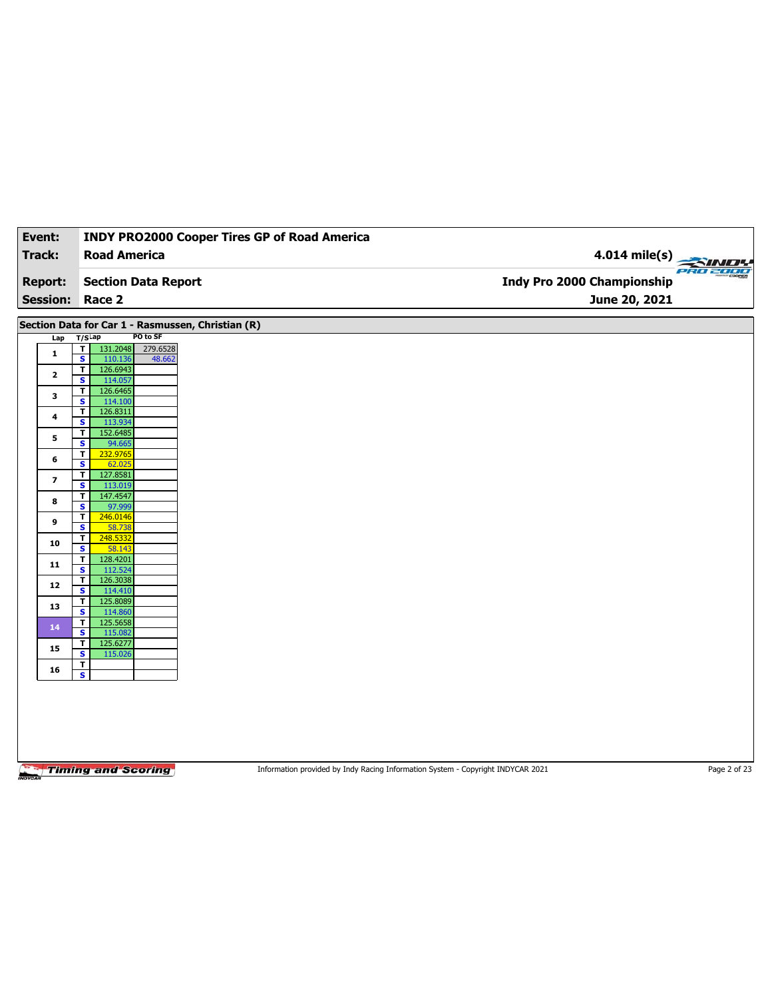| Event:                  |                                                                           | <b>INDY PRO2000 Cooper Tires GP of Road America</b> |                                   |  |
|-------------------------|---------------------------------------------------------------------------|-----------------------------------------------------|-----------------------------------|--|
| <b>Track:</b>           | <b>Road America</b>                                                       |                                                     | 4.014 mile(s)<br><b>PRO 2000</b>  |  |
| <b>Report:</b>          | <b>Section Data Report</b>                                                |                                                     | <b>Indy Pro 2000 Championship</b> |  |
| <b>Session:</b>         | Race 2                                                                    |                                                     | June 20, 2021                     |  |
|                         | Section Data for Car 1 - Rasmussen, Christian (R)                         |                                                     |                                   |  |
| Lap                     | PO to SF<br>$T/S$ Lap                                                     |                                                     |                                   |  |
| $\mathbf{1}$            | T<br>131.2048<br>279.6528<br>$\overline{\mathbf{s}}$<br>110.136<br>48.662 |                                                     |                                   |  |
| $\mathbf{2}$            | 126.6943<br>$\overline{\mathbf{r}}$                                       |                                                     |                                   |  |
|                         | $\overline{\mathbf{s}}$<br>114.057<br>126.6465<br>$\mathbf{T}$            |                                                     |                                   |  |
| 3                       | $\overline{\mathbf{s}}$<br>114.100                                        |                                                     |                                   |  |
| 4                       | 126.8311<br>T                                                             |                                                     |                                   |  |
|                         | S<br>113.934                                                              |                                                     |                                   |  |
| 5                       | 152.6485<br>$\mathbf T$<br>$\overline{\mathbf{s}}$<br>94.665              |                                                     |                                   |  |
|                         | 232.9765<br>T                                                             |                                                     |                                   |  |
| 6                       | S<br>62.025                                                               |                                                     |                                   |  |
| $\overline{\mathbf{z}}$ | $\mathbf T$<br>127.8581                                                   |                                                     |                                   |  |
|                         | $\overline{\mathbf{s}}$<br>113.019                                        |                                                     |                                   |  |
| 8                       | 147.4547<br>Τ<br>S<br>97.999                                              |                                                     |                                   |  |
|                         | $\mathbf T$<br>246.0146                                                   |                                                     |                                   |  |
| 9                       | $\overline{\mathbf{s}}$<br>58.738                                         |                                                     |                                   |  |
| 10                      | 248.5332<br>T                                                             |                                                     |                                   |  |
|                         | S<br>58.143<br>$\mathbf{T}$<br>128.4201                                   |                                                     |                                   |  |
| ${\bf 11}$              | $\overline{\mathbf{s}}$<br>112.524                                        |                                                     |                                   |  |
|                         | 126.3038<br>T                                                             |                                                     |                                   |  |
| ${\bf 12}$              | $\overline{\mathbf{s}}$<br>114.410                                        |                                                     |                                   |  |
| 13                      | 125.8089<br>T                                                             |                                                     |                                   |  |
|                         | $\overline{\mathbf{s}}$<br>114.860<br>125.5658<br>T.                      |                                                     |                                   |  |
| 14                      | $\mathbf{s}$<br>115.082                                                   |                                                     |                                   |  |
| 15                      | 125.6277<br>T                                                             |                                                     |                                   |  |
|                         | $\overline{\mathbf{s}}$<br>115.026                                        |                                                     |                                   |  |
| 16                      | T<br>S                                                                    |                                                     |                                   |  |
|                         |                                                                           |                                                     |                                   |  |
|                         |                                                                           |                                                     |                                   |  |
|                         |                                                                           |                                                     |                                   |  |

Information provided by Indy Racing Information System - Copyright INDYCAR 2021 Page 2 of 23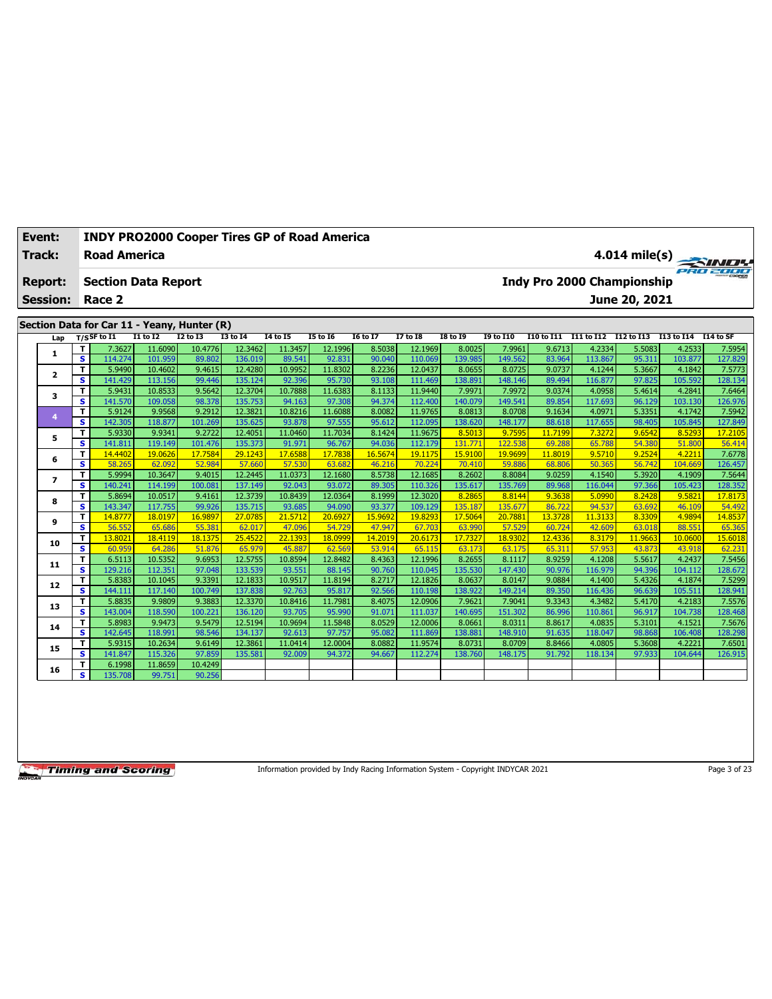| Event:                   |                              | <b>INDY PRO2000 Cooper Tires GP of Road America</b> |                   |                   |                    |                   |                   |                  |                    |                   |                   |                   |                   |                                   |                   |                   |
|--------------------------|------------------------------|-----------------------------------------------------|-------------------|-------------------|--------------------|-------------------|-------------------|------------------|--------------------|-------------------|-------------------|-------------------|-------------------|-----------------------------------|-------------------|-------------------|
| <b>Track:</b>            |                              | <b>Road America</b>                                 |                   |                   |                    |                   |                   |                  |                    |                   |                   |                   |                   |                                   |                   | $4.014$ mile(s)   |
| <b>Report:</b>           |                              | <b>Section Data Report</b>                          |                   |                   |                    |                   |                   |                  |                    |                   |                   |                   |                   | <b>Indy Pro 2000 Championship</b> |                   |                   |
| <b>Session:</b>          |                              | Race 2                                              |                   |                   |                    |                   |                   |                  |                    |                   |                   |                   |                   | June 20, 2021                     |                   |                   |
|                          |                              | Section Data for Car 11 - Yeany, Hunter (R)         |                   |                   |                    |                   |                   |                  |                    |                   |                   |                   |                   |                                   |                   |                   |
| Lap                      |                              | $T/S$ SF to I1                                      | <b>I1 to I2</b>   | <b>I2 to I3</b>   | <b>I3 to I4</b>    | <b>14 to 15</b>   | 15 to 16          | 16 to 17         | <b>I7 to I8</b>    | <b>I8 to 19</b>   | <b>19 to I10</b>  | <b>I10 to I11</b> |                   | I11 to I12 I12 to I13 I13 to I14  |                   | I14 to SF         |
|                          | т                            | 7.3627                                              | 11.6090           | 10.4776           | 12.3462            | 11.3457           | 12.1996           | 8.5038           | 12.1969            | 8.0025            | 7.9961            | 9.6713            | 4.2334            | 5.5083                            | 4.2533            | 7.5954            |
| 1                        | $\overline{\mathbf{s}}$      | 114.274                                             | 101.959           | 89.802            | 136.019            | 89.541            | 92.831            | 90.040           | 110.069            | 139.985           | 149.562           | 83.964            | 113.867           | 95.311                            | 103.877           | 127.829           |
| $\overline{\mathbf{2}}$  | т                            | 5.9490                                              | 10.4602           | 9.4615            | 12.4280            | 10.9952           | 11.8302           | 8.2236           | 12.0437            | 8.0655            | 8.0725            | 9.0737            | 4.1244            | 5.3667                            | 4.1842            | 7.5773            |
|                          | $\mathbf{s}$                 | 141.429                                             | 113.156           | 99.446            | 135.124            | 92.396            | 95.730            | 93.108           | 111.469            | 138.89            | 148.146           | 89.494            | 116.877           | 97.825                            | 105.592           | 128.134           |
| 3                        | $\mathbf T$                  | 5.9431                                              | 10.8533           | 9.5642            | 12.3704            | 10.7888           | 11.6383           | 8.1133           | 11.9440            | 7.9971            | 7.9972            | 9.0374            | 4.0958            | 5.4614                            | 4.2841            | 7.6464            |
|                          | $\mathbf{s}$                 | 141.570                                             | 109.058           | 98.378            | 135.753            | 94.163            | 97.308            | 94.374           | 112.400            | 140.079           | 149.541           | 89.854            | 117.693           | 96.129                            | 103.130           | 126.976           |
| $\overline{4}$           | $\overline{\mathsf{r}}$      | 5.9124                                              | 9.9568            | 9.2912            | 12.3821            | 10.8216           | 11.6088           | 8.0082           | 11.9765            | 8.0813            | 8.0708            | 9.1634            | 4.0971            | 5.3351                            | 4.1742            | 7.5942            |
|                          | S                            | 142.305                                             | 118.877<br>9.9341 | 101.269<br>9.2722 | 135.625            | 93.878            | 97.555            | 95.612<br>8.1424 | 112.095            | 138.620           | 148.177           | 88.618            | 117.655           | 98.405                            | 105.845           | 127.849           |
| 5                        | T<br>$\overline{\mathbf{s}}$ | 5.9330<br>141.811                                   | 119.149           | 101.476           | 12.4051<br>135.373 | 11.0460<br>91.971 | 11.7034<br>96.767 | 94.036           | 11.9675<br>112.179 | 8.5013<br>131.771 | 9.7595<br>122.538 | 11.7199<br>69.288 | 7.3272<br>65.788  | 9.6542<br>54.380                  | 8.5293<br>51.800  | 17.2105<br>56.414 |
|                          | T                            | 14.4402                                             | 19.0626           | 17.7584           | 29.1243            | 17.6588           | 17.7838           | 16.5674          | 19.1175            | 15.9100           | 19.9699           | 11.8019           | 9.5710            | 9.2524                            | 4.2211            | 7.6778            |
| 6                        | $\overline{\mathbf{s}}$      | 58.265                                              | 62.092            | 52.984            | 57,660             | 57.530            | 63.682            | 46.216           | 70.224             | 70.410            | 59.886            | 68.806            | 50.365            | 56.742                            | 104.669           | 126.457           |
|                          | T                            | 5.9994                                              | 10.3647           | 9.4015            | 12.2445            | 11.0373           | 12.1680           | 8.5738           | 12.1685            | 8.2602            | 8.8084            | 9.0259            | 4.1540            | 5.3920                            | 4.1909            | 7.5644            |
| $\overline{\phantom{a}}$ | $\overline{\mathbf{s}}$      | 140.241                                             | 114.199           | 100.081           | 137.149            | 92.043            | 93.072            | 89.305           | 110.326            | 135.617           | 135.769           | 89.968            | 116.044           | 97.366                            | 105.423           | 128.352           |
|                          | T.                           | 5.8694                                              | 10.0517           | 9.4161            | 12.3739            | 10.8439           | 12.0364           | 8.1999           | 12.3020            | 8.2865            | 8.8144            | 9.3638            | 5.0990            | 8.2428                            | 9.5821            | 17,8173           |
| 8                        | s                            | 143.347                                             | 117.755           | 99.926            | 135.715            | 93.685            | 94.090            | 93.377           | 109.129            | 135.187           | 135.677           | 86.722            | 94.537            | 63.692                            | 46.109            | 54,492            |
|                          | $\mathbf T$                  | 14,8777                                             | 18.0197           | 16.9897           | 27.0785            | 21.5712           | 20.6927           | 15.9692          | 19,8293            | 17.5064           | 20.7881           | 13.3728           | 11.3133           | 8.3309                            | 4.9894            | 14.8537           |
| 9                        | $\overline{\mathbf{s}}$      | 56.552                                              | 65.686            | 55.381            | 62.017             | 47.096            | 54.729            | 47.947           | 67.703             | 63.990            | 57.529            | 60.724            | 42.609            | 63.018                            | 88.551            | 65.365            |
| 10                       | T                            | 13.8021                                             | 18.4119           | 18.1375           | 25.4522            | 22.1393           | 18.0999           | 14.2019          | 20.6173            | 17.7327           | 18.9302           | 12.4336           | 8.3179            | 11,9663                           | 10.0600           | 15.6018           |
|                          | s                            | 60.959                                              | 64.286            | 51.876            | 65.979             | 45.887            | 62.569            | 53.914           | 65.115             | 63.173            | 63.175            | 65.311            | 57.953            | 43.873                            | 43.918            | 62.231            |
| 11                       | T                            | 6.5113                                              | 10.5352           | 9.6953            | 12.5755            | 10.8594           | 12.8482           | 8.4363           | 12.1996            | 8.2655            | 8.1117            | 8.9259            | 4.1208            | 5.5617                            | 4.2437            | 7.5456            |
|                          | $\overline{\mathbf{s}}$      | 129.216                                             | 112.351           | 97.048            | 133.539            | 93.551            | 88.145            | 90.760           | 110.045            | 135.530           | 147.430           | 90.976            | 116.979           | 94.396                            | 104.112           | 128.672           |
| 12                       | T                            | 5.8383                                              | 10.1045           | 9.3391            | 12.1833            | 10.9517           | 11.8194           | 8.2717           | 12.1826            | 8.0637            | 8.0147            | 9.0884            | 4.1400            | 5.4326                            | 4.1874            | 7.5299            |
|                          | s                            | 144.111                                             | 117.140           | 100.749           | 137.838            | 92.763            | 95.817            | 92.566           | 110.198            | 138.922           | 149.214           | 89.350            | 116.436           | 96.639                            | 105.511           | 128.941           |
| 13                       | т                            | 5.8835                                              | 9.9809            | 9.3883            | 12.3370            | 10.8416           | 11.7981           | 8.4075           | 12.0906            | 7.9621            | 7.9041            | 9.3343            | 4.3482            | 5.4170                            | 4.2183            | 7.5576            |
|                          | $\overline{\mathbf{s}}$<br>T | 143.004<br>5.8983                                   | 118.590<br>9.9473 | 100.221<br>9.5479 | 136.120<br>12.5194 | 93.705<br>10.9694 | 95.990<br>11.5848 | 91.071<br>8.0529 | 111.037<br>12.0006 | 140.695<br>8.0661 | 151.302<br>8.0311 | 86.996<br>8.8617  | 110.861<br>4.0835 | 96.917<br>5.3101                  | 104.738<br>4.1521 | 128.468<br>7.5676 |
| 14                       | s                            | 142.645                                             | 118.991           | 98.546            | 134.137            | 92.613            | 97.757            | 95.082           | 111.869            | 138.881           | 148.910           | 91.635            | 118.047           | 98.868                            | 106.408           | 128.298           |
|                          | T.                           | 5.9315                                              | 10.2634           | 9.6149            | 12.3861            | 11.0414           | 12.0004           | 8.0882           | 11.9574            | 8.0731            | 8.0709            | 8.8466            | 4.0805            | 5.3608                            | 4.2221            | 7.6501            |
| 15                       | s                            | 141.847                                             | 115,326           | 97.859            | 135.581            | 92.009            | 94.372            | 94.667           | 112.274            | 138.760           | 148.175           | 91.792            | 118.134           | 97.933                            | 104.644           | 126.915           |
|                          | т                            | 6.1998                                              | 11.8659           | 10.4249           |                    |                   |                   |                  |                    |                   |                   |                   |                   |                                   |                   |                   |
| 16                       | s                            | 135.708                                             | 99.751            | 90.256            |                    |                   |                   |                  |                    |                   |                   |                   |                   |                                   |                   |                   |
|                          |                              |                                                     |                   |                   |                    |                   |                   |                  |                    |                   |                   |                   |                   |                                   |                   |                   |

Information provided by Indy Racing Information System - Copyright INDYCAR 2021

Page 3 of 23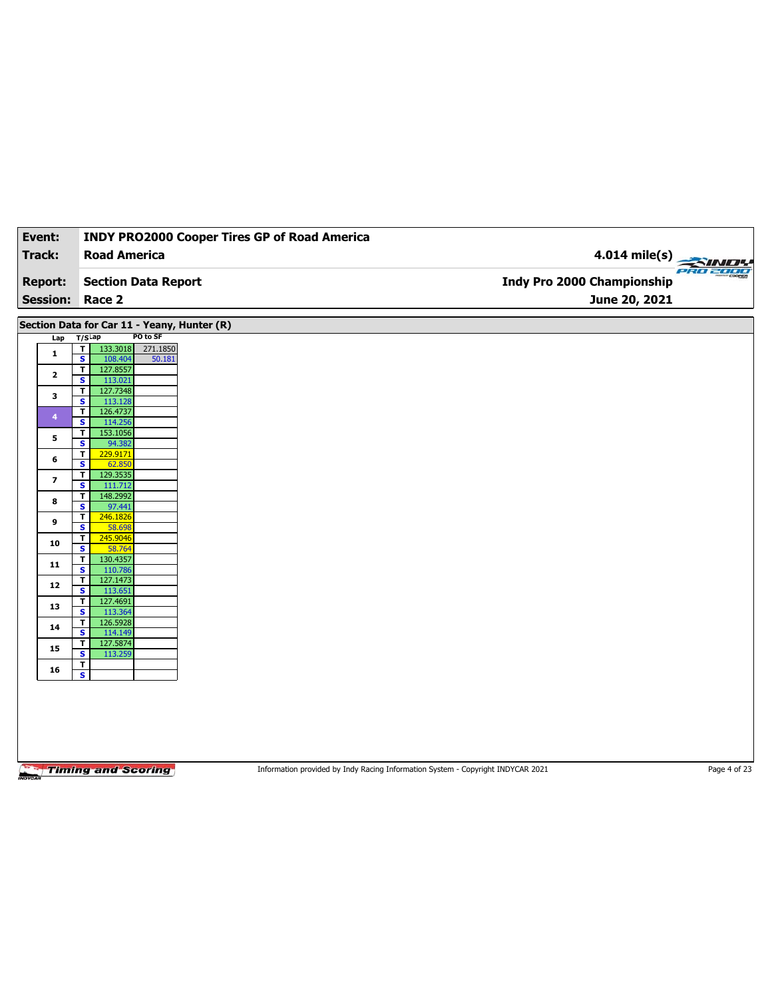| <b>Track:</b><br><b>Report:</b><br><b>Session: Race 2</b><br>$T/S$ Lap<br>Lap<br>$\overline{\mathbf{r}}$<br>133.3018<br>$\mathbf{1}$<br>$\overline{\mathbf{s}}$<br>108.404<br>$\mathbf{T}$<br>127.8557<br>$\mathbf{2}$<br>$\overline{\mathbf{s}}$<br>113.021<br>127.7348<br>T<br>3<br>$\overline{\mathbf{s}}$<br>113.128<br>126.4737<br>$\overline{\mathsf{r}}$<br>$\overline{4}$<br>$\mathbf{s}$<br>114.256<br>153.1056<br>T<br>5<br>94.382<br>$\overline{\mathbf{s}}$<br>229.9171<br>T<br>6<br>$\overline{\mathbf{s}}$<br>62.850<br>129.3535<br>$\mathbf{T}$<br>7 | <b>Road America</b><br><b>Section Data Report</b><br>Section Data for Car 11 - Yeany, Hunter (R)<br>PO to SF<br>271.1850<br>50.181 | 4.014 mile(s)<br>PRO 2000<br>Indy Pro 2000 Championship<br>June 20, 2021 |  |
|---------------------------------------------------------------------------------------------------------------------------------------------------------------------------------------------------------------------------------------------------------------------------------------------------------------------------------------------------------------------------------------------------------------------------------------------------------------------------------------------------------------------------------------------------------------------|------------------------------------------------------------------------------------------------------------------------------------|--------------------------------------------------------------------------|--|
|                                                                                                                                                                                                                                                                                                                                                                                                                                                                                                                                                                     |                                                                                                                                    |                                                                          |  |
|                                                                                                                                                                                                                                                                                                                                                                                                                                                                                                                                                                     |                                                                                                                                    |                                                                          |  |
|                                                                                                                                                                                                                                                                                                                                                                                                                                                                                                                                                                     |                                                                                                                                    |                                                                          |  |
|                                                                                                                                                                                                                                                                                                                                                                                                                                                                                                                                                                     |                                                                                                                                    |                                                                          |  |
|                                                                                                                                                                                                                                                                                                                                                                                                                                                                                                                                                                     |                                                                                                                                    |                                                                          |  |
|                                                                                                                                                                                                                                                                                                                                                                                                                                                                                                                                                                     |                                                                                                                                    |                                                                          |  |
|                                                                                                                                                                                                                                                                                                                                                                                                                                                                                                                                                                     |                                                                                                                                    |                                                                          |  |
|                                                                                                                                                                                                                                                                                                                                                                                                                                                                                                                                                                     |                                                                                                                                    |                                                                          |  |
|                                                                                                                                                                                                                                                                                                                                                                                                                                                                                                                                                                     |                                                                                                                                    |                                                                          |  |
|                                                                                                                                                                                                                                                                                                                                                                                                                                                                                                                                                                     |                                                                                                                                    |                                                                          |  |
|                                                                                                                                                                                                                                                                                                                                                                                                                                                                                                                                                                     |                                                                                                                                    |                                                                          |  |
|                                                                                                                                                                                                                                                                                                                                                                                                                                                                                                                                                                     |                                                                                                                                    |                                                                          |  |
|                                                                                                                                                                                                                                                                                                                                                                                                                                                                                                                                                                     |                                                                                                                                    |                                                                          |  |
|                                                                                                                                                                                                                                                                                                                                                                                                                                                                                                                                                                     |                                                                                                                                    |                                                                          |  |
|                                                                                                                                                                                                                                                                                                                                                                                                                                                                                                                                                                     |                                                                                                                                    |                                                                          |  |
| $\overline{\mathbf{s}}$<br>111.712                                                                                                                                                                                                                                                                                                                                                                                                                                                                                                                                  |                                                                                                                                    |                                                                          |  |
| 148.2992<br>T<br>8<br>S<br>97.441                                                                                                                                                                                                                                                                                                                                                                                                                                                                                                                                   |                                                                                                                                    |                                                                          |  |
| 246.1826<br>T<br>9                                                                                                                                                                                                                                                                                                                                                                                                                                                                                                                                                  |                                                                                                                                    |                                                                          |  |
| $\overline{\mathbf{s}}$<br>58.698                                                                                                                                                                                                                                                                                                                                                                                                                                                                                                                                   |                                                                                                                                    |                                                                          |  |
| 245.9046<br>T<br>10<br>S<br>58.764                                                                                                                                                                                                                                                                                                                                                                                                                                                                                                                                  |                                                                                                                                    |                                                                          |  |
| 130.4357<br>T<br>11                                                                                                                                                                                                                                                                                                                                                                                                                                                                                                                                                 |                                                                                                                                    |                                                                          |  |
| $\overline{\mathbf{s}}$<br>110.786<br>127.1473<br>T                                                                                                                                                                                                                                                                                                                                                                                                                                                                                                                 |                                                                                                                                    |                                                                          |  |
| 12<br>S<br>113.651                                                                                                                                                                                                                                                                                                                                                                                                                                                                                                                                                  |                                                                                                                                    |                                                                          |  |
| 127.4691<br>T<br>13<br>$\overline{\mathbf{s}}$                                                                                                                                                                                                                                                                                                                                                                                                                                                                                                                      |                                                                                                                                    |                                                                          |  |
| 113.364<br>126.5928<br>T                                                                                                                                                                                                                                                                                                                                                                                                                                                                                                                                            |                                                                                                                                    |                                                                          |  |
| 14<br>S<br>114.149                                                                                                                                                                                                                                                                                                                                                                                                                                                                                                                                                  |                                                                                                                                    |                                                                          |  |
| 127.5874<br>T<br>15<br>$\overline{\mathbf{s}}$<br>113.259                                                                                                                                                                                                                                                                                                                                                                                                                                                                                                           |                                                                                                                                    |                                                                          |  |
| T<br>16                                                                                                                                                                                                                                                                                                                                                                                                                                                                                                                                                             |                                                                                                                                    |                                                                          |  |
| $\overline{\mathbf{s}}$                                                                                                                                                                                                                                                                                                                                                                                                                                                                                                                                             |                                                                                                                                    |                                                                          |  |

Information provided by Indy Racing Information System - Copyright INDYCAR 2021 Page 4 of 23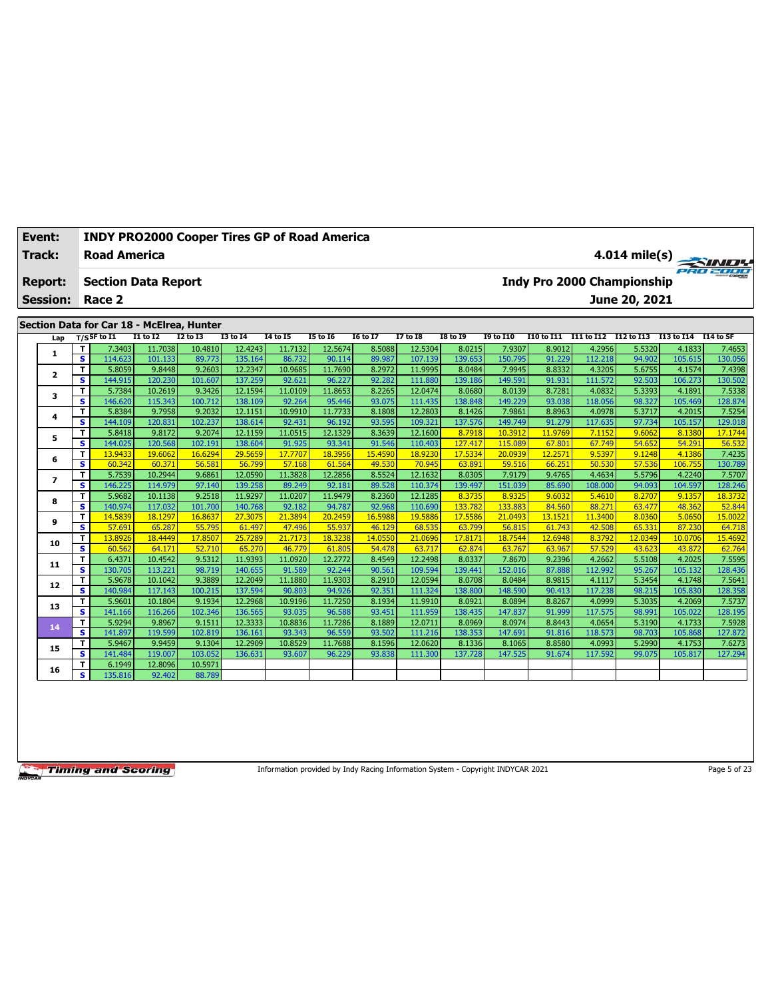| Event:                   |                                        | <b>INDY PRO2000 Cooper Tires GP of Road America</b>         |                    |                   |                    |                   |                   |                  |                    |                   |                   |                  |                  |                                   |                  |                   |
|--------------------------|----------------------------------------|-------------------------------------------------------------|--------------------|-------------------|--------------------|-------------------|-------------------|------------------|--------------------|-------------------|-------------------|------------------|------------------|-----------------------------------|------------------|-------------------|
| <b>Track:</b>            |                                        | <b>Road America</b>                                         |                    |                   |                    |                   |                   |                  |                    |                   |                   |                  |                  |                                   |                  | $4.014$ mile(s)   |
| <b>Report:</b>           |                                        | <b>Section Data Report</b>                                  |                    |                   |                    |                   |                   |                  |                    |                   |                   |                  |                  | <b>Indy Pro 2000 Championship</b> |                  |                   |
| <b>Session:</b>          |                                        | Race 2                                                      |                    |                   |                    |                   |                   |                  |                    |                   |                   |                  |                  | June 20, 2021                     |                  |                   |
|                          |                                        |                                                             |                    |                   |                    |                   |                   |                  |                    |                   |                   |                  |                  |                                   |                  |                   |
|                          |                                        | Section Data for Car 18 - McElrea, Hunter<br>$T/S$ SF to I1 | <b>I1 to I2</b>    | <b>I2 to I3</b>   | <b>I3 to I4</b>    | <b>I4 to I5</b>   | 15 to 16          | <b>I6 to I7</b>  | <b>I7 to I8</b>    | <b>I8 to 19</b>   | <b>19 to I10</b>  | I10 to I11       |                  | I11 to I12 I12 to I13 I13 to I14  |                  | I14 to SF         |
| Lap                      | T                                      | 7.3403                                                      | 11.7038            | 10.4810           | 12.4243            | 11.7132           | 12.5674           | 8.5088           | 12.5304            | 8.0215            | 7.9307            | 8.9012           | 4.2956           | 5.5320                            | 4.1833           | 7.4653            |
| 1                        | s                                      | 114.623                                                     | 101.133            | 89.773            | 135.164            | 86.732            | 90.114            | 89.987           | 107.139            | 139.653           | 150.795           | 91.229           | 112.218          | 94.902                            | 105.615          | 130.056           |
|                          | $\overline{\mathsf{r}}$                | 5.8059                                                      | 9.8448             | 9.2603            | 12.2347            | 10.9685           | 11.7690           | 8.2972           | 11.9995            | 8.0484            | 7.9945            | 8.8332           | 4.3205           | 5.6755                            | 4.1574           | 7.4398            |
| $\overline{\mathbf{2}}$  | s                                      | 144.915                                                     | 120.230            | 101.607           | 137.259            | 92.621            | 96.227            | 92.282           | 111.880            | 139.186           | 149.591           | 91.931           | 111.572          | 92.503                            | 106.273          | 130.502           |
|                          | T                                      | 5.7384                                                      | 10.2619            | 9.3426            | 12.1594            | 11.0109           | 11.8653           | 8.2265           | 12.0474            | 8.0680            | 8.0139            | 8.7281           | 4.0832           | 5.3393                            | 4.1891           | 7.5338            |
| 3                        | s                                      | 146.620                                                     | 115.343            | 100.712           | 138.109            | 92.264            | 95.446            | 93.075           | 111.435            | 138.848           | 149.229           | 93.038           | 118.056          | 98.327                            | 105.469          | 128.874           |
| 4                        | T                                      | 5.8384                                                      | 9.7958             | 9.2032            | 12.1151            | 10.9910           | 11.7733           | 8.1808           | 12.2803            | 8.1426            | 7.9861            | 8.8963           | 4.0978           | 5.3717                            | 4.2015           | 7.5254            |
|                          | $\overline{\mathbf{s}}$                | 144.109                                                     | 120.831            | 102.237           | 138.614            | 92.431            | 96.192            | 93.595           | 109.321            | 137.576           | 149.749           | 91.279           | 117.635          | 97.734                            | 105.157          | 129.018           |
| 5                        | $\mathbf{T}$                           | 5.8418                                                      | 9.8172             | 9.2074            | 12.1159            | 11.0515           | 12.1329           | 8.3639           | 12.1600            | 8.7918            | 10.3912           | 11.9769          | 7.1152           | 9.6062                            | 8.1380           | 17.1744           |
|                          | $\overline{\mathbf{s}}$                | 144.025                                                     | 120.568            | 102.191           | 138.604            | 91.925            | 93.341            | 91.546           | 110.403            | 127.417           | 115.089           | 67.801           | 67.749           | 54.652                            | 54.291           | 56.532            |
| 6                        | $\mathbf T$                            | 13.9433                                                     | 19.6062            | 16.6294           | 29.5659            | 17.7707           | 18.3956           | 15.4590          | 18.9230            | 17.5334           | 20.0939           | 12.2571          | 9.5397           | 9.1248                            | 4.1386           | 7.4235            |
|                          | $\overline{\mathbf{s}}$                | 60.342                                                      | 60.371             | 56.581            | 56.799             | 57.168            | 61.564            | 49.530           | 70.945             | 63.891            | 59.516            | 66.251           | 50.530           | 57.536                            | 106.755          | 130.789           |
| $\overline{\phantom{a}}$ | T                                      | 5.7539                                                      | 10.2944            | 9.6861            | 12.0590            | 11.3828           | 12.2856           | 8.5524           | 12.1632            | 8.0305            | 7.9179            | 9.4765           | 4.4634           | 5.5796                            | 4.2240           | 7.5707            |
|                          | s                                      | 146.225                                                     | 114.979            | 97.140            | 139.258            | 89.249            | 92.181            | 89.528           | 110.374            | 139.497           | 151.039           | 85.690           | 108.000          | 94.093                            | 104.597          | 128.246           |
| 8                        | T.<br>$\mathbf{s}$                     | 5.9682<br>140.974                                           | 10.1138<br>117.032 | 9.2518<br>101.700 | 11.9297<br>140.768 | 11.0207<br>92.182 | 11.9479           | 8.2360<br>92.968 | 12.1285<br>110.690 | 8.3735<br>133.782 | 8.9325<br>133.883 | 9.6032<br>84.560 | 5.4610<br>88.271 | 8.2707<br>63,477                  | 9.1357           | 18.3732<br>52.844 |
|                          |                                        | 14.5839                                                     |                    | 16.8637           | 27.3075            | 21.3894           | 94.787            | 16.5988          | 19.5886            | 17.5586           | 21.0493           | 13.1521          | 11.3400          | 8.0360                            | 48.362<br>5.0650 |                   |
| 9                        | $\mathbf T$<br>$\overline{\mathbf{s}}$ | 57.691                                                      | 18.1297<br>65.287  | 55.795            | 61.497             | 47.496            | 20.2459<br>55.937 | 46.129           | 68.535             | 63.799            | 56.815            | 61.743           | 42.508           | 65.331                            | 87.230           | 15.0022<br>64.718 |
|                          | T                                      | 13.8926                                                     | 18.4449            | 17.8507           | 25.7289            | 21.7173           | 18.3238           | 14.0550          | 21.0696            | 17.8171           | 18.7544           | 12.6948          | 8.3792           | 12.0349                           | 10.0706          | 15.4692           |
| 10                       | $\overline{\mathbf{s}}$                | 60.562                                                      | 64.171             | 52.710            | 65.270             | 46.779            | 61.805            | 54.478           | 63.717             | 62.874            | 63.767            | 63.967           | 57.529           | 43.623                            | 43.872           | 62.764            |
|                          | T                                      | 6.4371                                                      | 10.4542            | 9.5312            | 11.9393            | 11.0920           | 12.2772           | 8.4549           | 12.2498            | 8.0337            | 7.8670            | 9.2396           | 4.2662           | 5.5108                            | 4.2025           | 7.5595            |
| 11                       | s                                      | 130.705                                                     | 113.221            | 98.719            | 140.655            | 91.589            | 92.244            | 90.561           | 109.594            | 139.441           | 152,016           | 87,888           | 112.992          | 95.267                            | 105.132          | 128.436           |
|                          | $\mathbf{T}$                           | 5.9678                                                      | 10.1042            | 9.3889            | 12.2049            | 11.1880           | 11.9303           | 8.2910           | 12.0594            | 8.0708            | 8.0484            | 8.9815           | 4.1117           | 5.3454                            | 4.1748           | 7.5641            |
| 12                       | s                                      | 140.984                                                     | 117.143            | 100.215           | 137.594            | 90.803            | 94.926            | 92.351           | 111.324            | 138.800           | 148.590           | 90.413           | 117.238          | 98.215                            | 105.830          | 128.358           |
| 13                       | T                                      | 5.9601                                                      | 10.1804            | 9.1934            | 12.2968            | 10.9196           | 11.7250           | 8.1934           | 11.9910            | 8.0921            | 8.0894            | 8.8267           | 4.0999           | 5.3035                            | 4.2069           | 7.5737            |
|                          | $\overline{\mathbf{s}}$                | 141.166                                                     | 116.266            | 102.346           | 136.565            | 93.035            | 96.588            | 93.451           | 111.959            | 138.435           | 147.837           | 91.999           | 117.575          | 98.991                            | 105.022          | 128.195           |
| 14                       | T                                      | 5.9294                                                      | 9.8967             | 9.1511            | 12.3333            | 10.8836           | 11.7286           | 8.1889           | 12.0711            | 8.0969            | 8.0974            | 8.8443           | 4.0654           | 5.3190                            | 4.1733           | 7.5928            |
|                          | s                                      | 141.897                                                     | 119.599            | 102.819           | 136.161            | 93.343            | 96.559            | 93.502           | 111.216            | 138.353           | 147.691           | 91.816           | 118.573          | 98.703                            | 105.868          | 127.872           |
| 15                       | T.                                     | 5.9467                                                      | 9.9459             | 9.1304            | 12.2909            | 10.8529           | 11.7688           | 8.1596           | 12.0620            | 8.1336            | 8.1065            | 8.8580           | 4.0993           | 5.2990                            | 4.1753           | 7.6273            |
|                          | $\mathbf{s}$                           | 141.484                                                     | 119.007            | 103.052           | 136.631            | 93.607            | 96.229            | 93.838           | 111.300            | 137.728           | 147.525           | 91.674           | 117.592          | 99.075                            | 105.817          | 127.294           |
| 16                       | T.                                     | 6.1949                                                      | 12.8096            | 10.5971           |                    |                   |                   |                  |                    |                   |                   |                  |                  |                                   |                  |                   |
|                          | s                                      | 135.816                                                     | 92.402             | 88.789            |                    |                   |                   |                  |                    |                   |                   |                  |                  |                                   |                  |                   |

Information provided by Indy Racing Information System - Copyright INDYCAR 2021

Page 5 of 23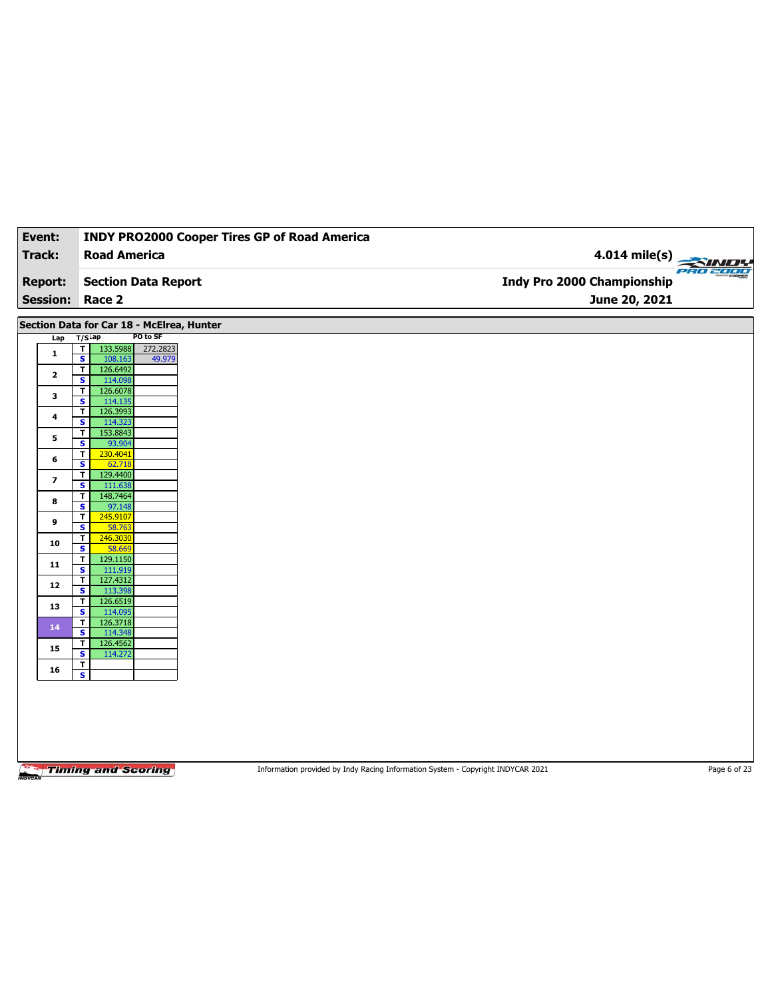| Event:                 |                                                                | <b>INDY PRO2000 Cooper Tires GP of Road America</b> |                                                      |
|------------------------|----------------------------------------------------------------|-----------------------------------------------------|------------------------------------------------------|
| Track:                 | <b>Road America</b>                                            |                                                     |                                                      |
| <b>Report:</b>         | <b>Section Data Report</b>                                     |                                                     | $4.014$ mile(s)<br><b>Indy Pro 2000 Championship</b> |
| <b>Session: Race 2</b> |                                                                |                                                     | June 20, 2021                                        |
|                        |                                                                |                                                     |                                                      |
|                        | Section Data for Car 18 - McElrea, Hunter<br>PO to SF          |                                                     |                                                      |
| Lap                    | $T/S$ Lap<br>133.5988<br>$\mathbf{T}$<br>272.2823              |                                                     |                                                      |
| $\mathbf{1}$           | $\overline{\mathbf{s}}$<br>108.163<br>49.979                   |                                                     |                                                      |
| $\mathbf{2}$           | $\overline{\mathbf{r}}$<br>126.6492                            |                                                     |                                                      |
|                        | $\overline{\mathbf{s}}$<br>114.098<br>126.6078<br>T            |                                                     |                                                      |
| 3                      | $\overline{\mathbf{s}}$<br>114.135                             |                                                     |                                                      |
| 4                      | 126.3993<br>T<br>$\overline{\mathbf{s}}$<br>114.323            |                                                     |                                                      |
| 5                      | 153.8843<br>T                                                  |                                                     |                                                      |
|                        | $\overline{\mathbf{s}}$<br>93.904<br>230.4041<br>T             |                                                     |                                                      |
| 6                      | S<br>62.718                                                    |                                                     |                                                      |
| 7                      | $\mathbf{T}$<br>129.4400<br>$\overline{\mathbf{s}}$<br>111.638 |                                                     |                                                      |
|                        | T<br>148.7464                                                  |                                                     |                                                      |
| 8                      | S<br>97.148                                                    |                                                     |                                                      |
| 9                      | 245.9107<br>T<br>$\overline{\mathbf{s}}$<br>58.763             |                                                     |                                                      |
| 10                     | T<br>246.3030                                                  |                                                     |                                                      |
|                        | S<br>58.669                                                    |                                                     |                                                      |
| 11                     | 129.1150<br>T<br>$\overline{\mathbf{s}}$<br>111.919            |                                                     |                                                      |
|                        | 127.4312<br>T                                                  |                                                     |                                                      |
| 12                     | $\overline{\mathbf{s}}$<br>113.398                             |                                                     |                                                      |
| 13                     | 126.6519<br>T<br>$\overline{\mathbf{s}}$<br>114.095            |                                                     |                                                      |
| 14                     | 126.3718<br>T                                                  |                                                     |                                                      |
|                        | $\overline{\mathbf{s}}$<br>114.348                             |                                                     |                                                      |
| 15                     | 126.4562<br>T<br>$\overline{\mathbf{s}}$<br>114.272            |                                                     |                                                      |
|                        | T                                                              |                                                     |                                                      |
| 16                     | $\overline{\mathbf{s}}$                                        |                                                     |                                                      |

Information provided by Indy Racing Information System - Copyright INDYCAR 2021 Page 6 of 23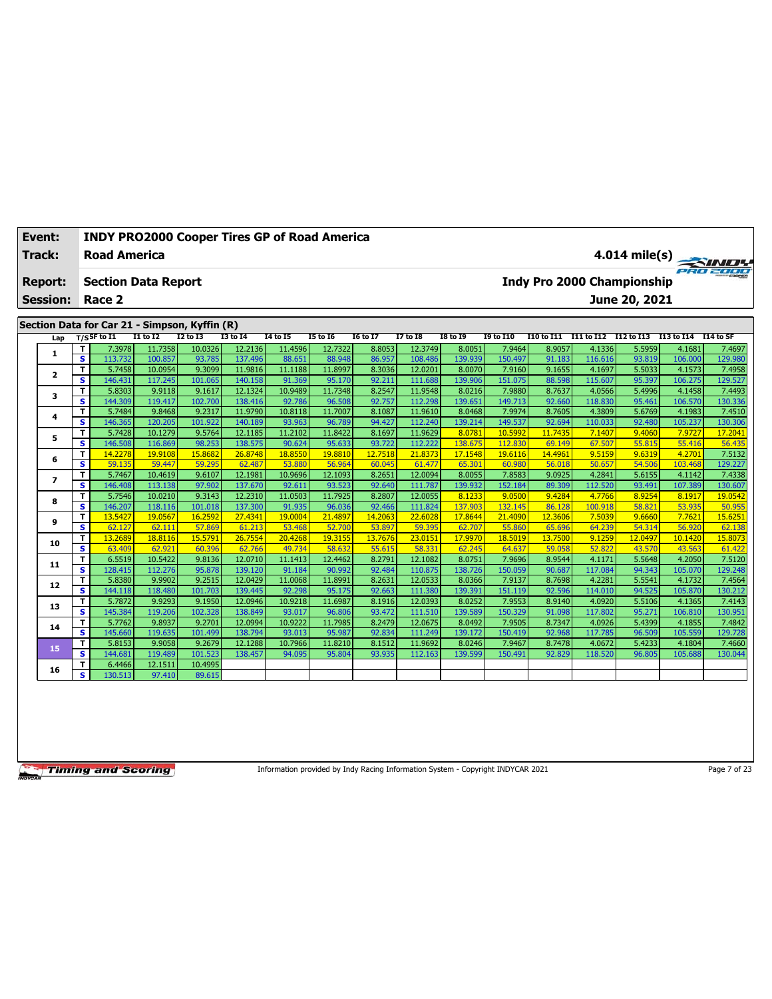| Event:                   |                              | <b>INDY PRO2000 Cooper Tires GP of Road America</b> |                    |                  |                    |                   |                   |                  |                    |                   |                   |                   |                   |                                   |                   |                   |
|--------------------------|------------------------------|-----------------------------------------------------|--------------------|------------------|--------------------|-------------------|-------------------|------------------|--------------------|-------------------|-------------------|-------------------|-------------------|-----------------------------------|-------------------|-------------------|
| <b>Track:</b>            |                              | <b>Road America</b>                                 |                    |                  |                    |                   |                   |                  |                    |                   |                   |                   |                   |                                   |                   | $4.014$ mile(s)   |
| <b>Report:</b>           |                              | <b>Section Data Report</b>                          |                    |                  |                    |                   |                   |                  |                    |                   |                   |                   |                   | <b>Indy Pro 2000 Championship</b> |                   |                   |
| <b>Session:</b>          |                              | Race 2                                              |                    |                  |                    |                   |                   |                  |                    |                   |                   |                   |                   | June 20, 2021                     |                   |                   |
|                          |                              |                                                     |                    |                  |                    |                   |                   |                  |                    |                   |                   |                   |                   |                                   |                   |                   |
|                          |                              | Section Data for Car 21 - Simpson, Kyffin (R)       |                    |                  |                    |                   |                   |                  |                    |                   |                   |                   |                   |                                   |                   |                   |
| Lap                      |                              | T/SSF to I1                                         | <b>I1 to I2</b>    | <b>I2 to I3</b>  | <b>I3 to 14</b>    | <b>14 to 15</b>   | <b>15 to 16</b>   | 16 to 17         | <b>I7 to I8</b>    | <b>I8 to 19</b>   | <b>19 to I10</b>  | <b>I10 to I11</b> |                   | I11 to I12 I12 to I13 I13 to I14  |                   | I14 to SF         |
| 1                        | т                            | 7.3978                                              | 11.7358            | 10.0326          | 12.2136            | 11.4596           | 12.7322           | 8.8053           | 12.3749            | 8.0051            | 7.9464            | 8.9057            | 4.1336            | 5.5959                            | 4.1681            | 7.4697            |
|                          | $\overline{\mathbf{s}}$      | 113,732                                             | 100.857            | 93.785<br>9.3099 | 137.496            | 88.651            | 88.948            | 86.957<br>8.3036 | 108,486            | 139.939<br>8.0070 | 150.497           | 91.183            | 116.616<br>4.1697 | 93.819                            | 106,000           | 129.980           |
| $\overline{\mathbf{2}}$  | T.<br>s                      | 5.7458<br>146.431                                   | 10.0954<br>117.245 | 101.065          | 11.9816<br>140.158 | 11.1188<br>91.369 | 11.8997<br>95.170 | 92.211           | 12.0201<br>111.688 | 139.906           | 7.9160<br>151.075 | 9.1655<br>88.598  | 115.607           | 5.5033<br>95.397                  | 4.1573<br>106.275 | 7.4958<br>129.527 |
|                          | T                            | 5.8303                                              | 9.9118             | 9.1617           | 12.1324            | 10.9489           | 11.7348           | 8.2547           | 11.9548            | 8.0216            | 7.9880            | 8.7637            | 4.0566            | 5.4996                            | 4.1458            | 7.4493            |
| 3                        | $\overline{\mathbf{s}}$      | 144.309                                             | 119.417            | 102.700          | 138.416            | 92.786            | 96.508            | 92.757           | 112.298            | 139.651           | 149.713           | 92.660            | 118.830           | 95.461                            | 106.570           | 130.336           |
|                          | T                            | 5.7484                                              | 9.8468             | 9.2317           | 11.9790            | 10.8118           | 11.7007           | 8.1087           | 11.9610            | 8.0468            | 7.9974            | 8.7605            | 4.3809            | 5.6769                            | 4.1983            | 7.4510            |
| 4                        | $\overline{\mathbf{s}}$      | 146.365                                             | 120,205            | 101.922          | 140.189            | 93.963            | 96.789            | 94.427           | 112.240            | 139.214           | 149.537           | 92.694            | 110.033           | 92.480                            | 105.237           | 130.306           |
|                          | T                            | 5.7428                                              | 10.1279            | 9.5764           | 12.1185            | 11.2102           | 11.8422           | 8.1697           | 11.9629            | 8.0781            | 10.5992           | 11.7435           | 7.1407            | 9.4060                            | 7.9727            | 17,2041           |
| 5                        | s                            | 146.508                                             | 116.869            | 98.253           | 138.575            | 90.624            | 95.633            | 93.722           | 112.222            | 138.675           | 112.830           | 69.149            | 67.507            | 55.815                            | 55.416            | 56.435            |
| 6                        | T                            | 14.2278                                             | 19.9108            | 15.8682          | 26.8748            | 18.8550           | 19.8810           | 12.7518          | 21.8373            | 17.1548           | 19.6116           | 14.4961           | 9.5159            | 9.6319                            | 4.2701            | 7.5132            |
|                          | $\overline{\mathbf{s}}$      | 59.135                                              | 59.447             | 59.295           | 62.487             | 53.880            | 56.964            | 60.045           | 61.477             | 65.301            | 60.980            | 56.018            | 50.657            | 54.506                            | 103.468           | 129.227           |
| $\overline{\phantom{a}}$ | T                            | 5.7467                                              | 10.4619            | 9.6107           | 12.1981            | 10.9696           | 12.1093           | 8.2651           | 12.0094            | 8.0055            | 7.8583            | 9.0925            | 4.2841            | 5.6155                            | 4.1142            | 7.4338            |
|                          | s                            | 146.408                                             | 113.138            | 97.902           | 137.670            | 92.611            | 93.523            | 92.640           | 111.787            | 139.932           | 152.184           | 89.309            | 112.520           | 93.491                            | 107.389           | 130.607           |
| 8                        | T.                           | 5.7546                                              | 10.0210            | 9.3143           | 12.2310            | 11.0503           | 11.7925           | 8.2807           | 12.0055            | 8.1233            | 9.0500            | 9.4284            | 4.7766            | 8.9254                            | 8.1917            | 19.0542           |
|                          | s                            | 146.207                                             | 118.116            | 101.018          | 137.300            | 91.935            | 96.036            | 92.466           | 111.824            | 137,903           | 132.145           | 86.128            | 100.918           | 58.821                            | 53.935            | 50.955            |
| 9                        | T.                           | 13.5427                                             | 19.0567            | 16.2592          | 27,4341            | 19,0004           | 21.4897           | 14.2063          | 22,6028            | 17,8644           | 21,4090           | 12.3606           | 7.5039            | 9.6660                            | 7.7621            | 15.6251           |
|                          | s                            | 62.127                                              | 62.111             | 57.869           | 61.213             | 53.468            | 52.700            | 53.897           | 59.395             | 62.707            | 55.860            | 65.696            | 64.239            | 54.314                            | 56.920            | 62.138            |
| 10                       | T.                           | 13.2689                                             | 18.8116            | 15.5791          | 26.7554            | 20.4268           | 19.3155           | 13.7676          | 23,0151            | 17.9970           | 18.5019           | 13.7500           | 9.1259            | 12.0497                           | 10.1420           | 15.8073           |
|                          | s                            | 63.409                                              | 62.921             | 60.396           | 62.766             | 49.734            | 58.632            | 55.615           | 58.331             | 62.245            | 64.637            | 59.058            | 52.822            | 43.570                            | 43.563            | 61.422            |
| 11                       | T<br>$\overline{\mathbf{s}}$ | 6.5519                                              | 10.5422            | 9.8136<br>95.878 | 12.0710<br>139.120 | 11.1413<br>91.184 | 12.4462           | 8.2791<br>92.484 | 12.1082<br>110.875 | 8.0751<br>138,726 | 7.9696<br>150.059 | 8.9544            | 4.1171<br>117.084 | 5.5648<br>94.343                  | 4.2050<br>105.070 | 7.5120            |
|                          | T                            | 128.415<br>5.8380                                   | 112,276<br>9.9902  | 9.2515           | 12.0429            | 11.0068           | 90.992<br>11.8991 | 8.2631           | 12.0533            | 8.0366            | 7.9137            | 90.687<br>8.7698  | 4.2281            | 5.5541                            | 4.1732            | 129.248<br>7.4564 |
| 12                       | s.                           | 144.118                                             | 118.480            | 101.703          | 139.445            | 92.298            | 95.175            | 92.663           | 111.380            | 139.391           | 151.119           | 92.596            | 114.010           | 94.525                            | 105.870           | 130.212           |
|                          | T                            | 5.7872                                              | 9.9293             | 9.1950           | 12.0946            | 10.9218           | 11.6987           | 8.1916           | 12.0393            | 8.0252            | 7.9553            | 8.9140            | 4.0920            | 5.5106                            | 4.1365            | 7.4143            |
| 13                       | $\overline{\mathbf{s}}$      | 145.384                                             | 119.206            | 102.328          | 138.849            | 93.017            | 96.806            | 93.472           | 111.510            | 139.589           | 150.329           | 91.098            | 117.802           | 95.271                            | 106.810           | 130.951           |
|                          | T                            | 5.7762                                              | 9.8937             | 9.2701           | 12.0994            | 10.9222           | 11.7985           | 8.2479           | 12.0675            | 8.0492            | 7.9505            | 8.7347            | 4.0926            | 5.4399                            | 4.1855            | 7.4842            |
| 14                       | s                            | 145.660                                             | 119.635            | 101.499          | 138.794            | 93.013            | 95.987            | 92.834           | 111.249            | 139.172           | 150.419           | 92.968            | 117.785           | 96.509                            | 105.559           | 129.728           |
|                          | T.                           | 5.8153                                              | 9.9058             | 9.2679           | 12.1288            | 10.7966           | 11.8210           | 8.1512           | 11.9692            | 8.0246            | 7.9467            | 8.7478            | 4.0672            | 5.4233                            | 4.1804            | 7.4660            |
| 15                       | s                            | 144.681                                             | 119.489            | 101.523          | 138.457            | 94.095            | 95.804            | 93.935           | 112.163            | 139.599           | 150.491           | 92.829            | 118.520           | 96.805                            | 105.688           | 130.044           |
|                          | T                            | 6.4466                                              | 12.1511            | 10.4995          |                    |                   |                   |                  |                    |                   |                   |                   |                   |                                   |                   |                   |
| 16                       | s                            | 130.513                                             | 97.410             | 89.615           |                    |                   |                   |                  |                    |                   |                   |                   |                   |                                   |                   |                   |
|                          |                              |                                                     |                    |                  |                    |                   |                   |                  |                    |                   |                   |                   |                   |                                   |                   |                   |

Information provided by Indy Racing Information System - Copyright INDYCAR 2021

Page 7 of 23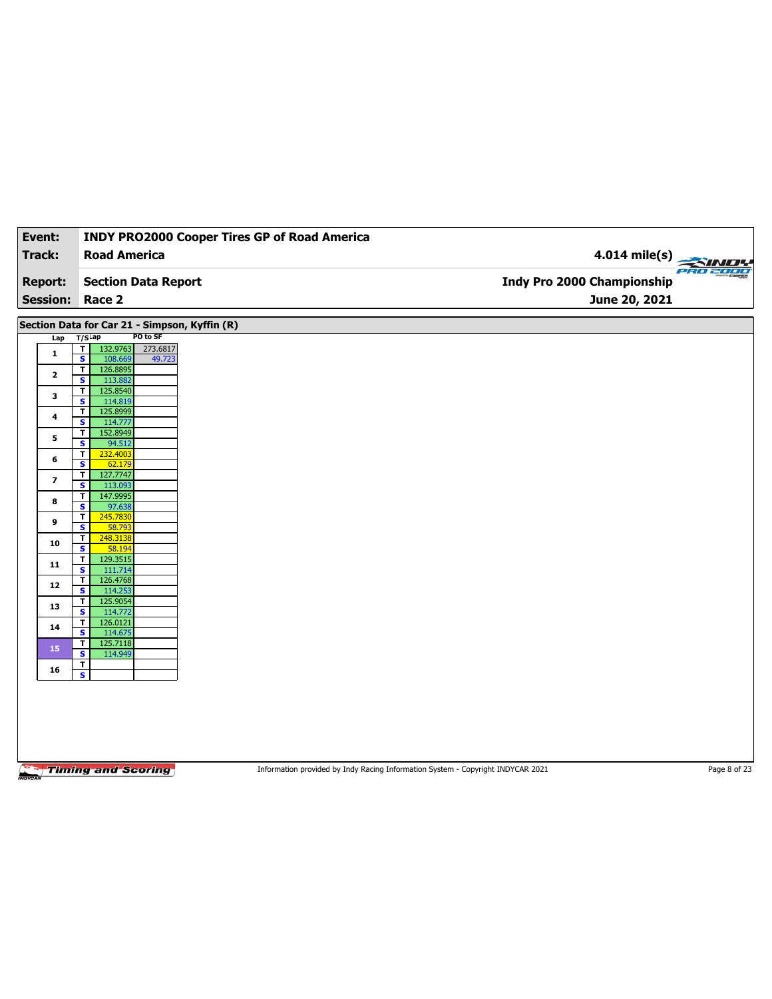| Event:                   | <b>INDY PRO2000 Cooper Tires GP of Road America</b>                                 |                            |
|--------------------------|-------------------------------------------------------------------------------------|----------------------------|
| Track:                   | <b>Road America</b>                                                                 | $4.014$ mile(s)            |
|                          |                                                                                     |                            |
| <b>Report:</b>           | <b>Section Data Report</b>                                                          | Indy Pro 2000 Championship |
| <b>Session: Race 2</b>   |                                                                                     | June 20, 2021              |
|                          | Section Data for Car 21 - Simpson, Kyffin (R)                                       |                            |
| Lap                      | PO to SF<br>$T/S$ Lap                                                               |                            |
| $\mathbf{1}$             | $\mathbf T$<br>132.9763<br>273.6817<br>$\overline{\mathbf{s}}$<br>108.669<br>49.723 |                            |
| $\mathbf{2}$             | T<br>126.8895<br>S<br>113.882                                                       |                            |
| 3                        | 125.8540<br>T                                                                       |                            |
|                          | $\overline{\mathbf{s}}$<br>114.819<br>125.8999<br>T                                 |                            |
| 4                        | S<br>114.777<br>152.8949<br>T                                                       |                            |
| 5                        | $\overline{\mathbf{s}}$<br>94.512                                                   |                            |
| 6                        | 232.4003<br>T<br>S<br>62.179                                                        |                            |
| $\overline{\phantom{a}}$ | 127.7747<br>$\mathbf T$<br>$\overline{\mathbf{s}}$<br>113.093                       |                            |
| 8                        | 147.9995<br>T                                                                       |                            |
|                          | S<br>97.638<br>$\mathbf T$<br>245.7830                                              |                            |
| 9                        | $\overline{\mathbf{s}}$<br>58.793<br>T<br>248.3138                                  |                            |
| 10                       | S<br>58.194                                                                         |                            |
| 11                       | 129.3515<br>$\mathbf{T}$                                                            |                            |
|                          | $\overline{\mathbf{s}}$<br>111.714<br>126.4768<br>T                                 |                            |
| 12                       | S<br>114.253<br>$\mathbf{T}$                                                        |                            |
| 13                       | 125.9054<br>$\overline{\mathbf{s}}$<br>114.772                                      |                            |
| 14                       | 126.0121<br>T<br>S<br>114.675                                                       |                            |
| 15                       | 125.7118<br>T<br>$\overline{\mathbf{s}}$<br>114.949                                 |                            |
|                          | T<br>$\overline{\mathbf{s}}$                                                        |                            |
| 16                       |                                                                                     |                            |

Information provided by Indy Racing Information System - Copyright INDYCAR 2021 Page 8 of 23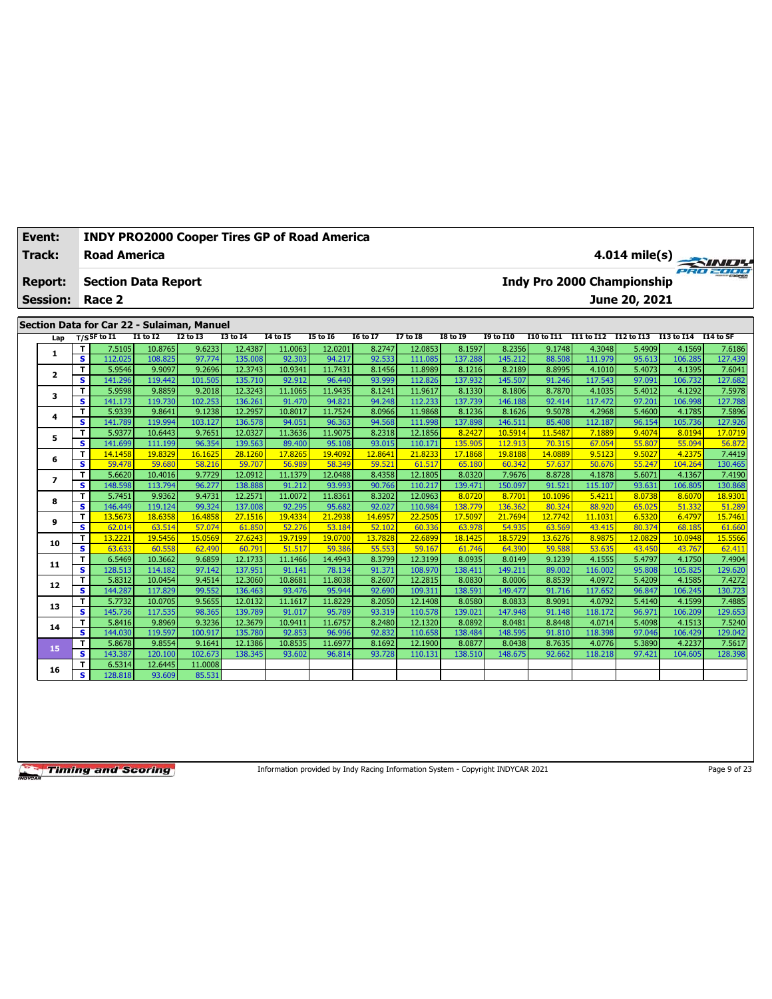| Event:          |        | <b>INDY PRO2000 Cooper Tires GP of Road America</b>          |                   |                   |                   |                   |                   |                   |                   |                   |                   |                   |                   |                                   |                  |                   |
|-----------------|--------|--------------------------------------------------------------|-------------------|-------------------|-------------------|-------------------|-------------------|-------------------|-------------------|-------------------|-------------------|-------------------|-------------------|-----------------------------------|------------------|-------------------|
| <b>Track:</b>   |        | <b>Road America</b>                                          |                   |                   |                   |                   |                   |                   |                   |                   |                   |                   |                   |                                   |                  | $4.014$ mile(s)   |
| <b>Report:</b>  |        | <b>Section Data Report</b>                                   |                   |                   |                   |                   |                   |                   |                   |                   |                   |                   |                   | <b>Indy Pro 2000 Championship</b> |                  |                   |
| <b>Session:</b> |        | Race 2                                                       |                   |                   |                   |                   |                   |                   |                   |                   |                   |                   |                   | June 20, 2021                     |                  |                   |
|                 |        |                                                              |                   |                   |                   |                   |                   |                   |                   |                   |                   |                   |                   |                                   |                  |                   |
|                 |        | Section Data for Car 22 - Sulaiman, Manuel<br>$T/S$ SF to I1 | $I1$ to $I2$      | <b>I2 to I3</b>   | <b>I3 to 14</b>   | <b>I4 to I5</b>   | <b>I5 to 16</b>   | <b>I6 to I7</b>   | <b>I7 to 18</b>   | <b>I8 to 19</b>   | <b>I9 to I10</b>  | <b>I10 to I11</b> |                   | I11 to I12 I12 to I13 I13 to I14  |                  | I14 to SF         |
| Lap             | T      | 7.5105                                                       | 10.8765           | 9.6233            | 12.4387           | 11.0063           | 12.0201           | 8.2747            | 12.0853           | 8.1597            | 8.2356            | 9.1748            | 4.3048            | 5.4909                            | 4.1569           | 7.6186            |
| 1               | s      | 112.025                                                      | 108.825           | 97.774            | 135.008           | 92.303            | 94.217            | 92.533            | 111.085           | 137.288           | 145.212           | 88.508            | 111.979           | 95.613                            | 106.285          | 127.439           |
|                 | T      | 5.9546                                                       | 9.9097            | 9.2696            | 12.3743           | 10.9341           | 11.7431           | 8.1456            | 11.8989           | 8.1216            | 8.2189            | 8.8995            | 4.1010            | 5.4073                            | 4.1395           | 7.6041            |
| $\overline{2}$  | s      | 141.296                                                      | 119.442           | 101.505           | 135.710           | 92.912            | 96.440            | 93.999            | 112.826           | 137.932           | 145.507           | 91.246            | 117.543           | 97.091                            | 106.732          | 127.682           |
|                 | T      | 5.9598                                                       | 9.8859            | 9.2018            | 12.3243           | 11.1065           | 11.9435           | 8.1241            | 11.9617           | 8.1330            | 8.1806            | 8.7870            | 4.1035            | 5.4012                            | 4.1292           | 7.5978            |
| з               | s      | 141.173                                                      | 119.730           | 102.253           | 136.261           | 91.470            | 94.821            | 94.248            | 112.233           | 137.739           | 146.188           | 92.414            | 117.472           | 97.201                            | 106.998          | 127.788           |
| 4               | T      | 5.9339                                                       | 9.8641            | 9.1238            | 12.2957           | 10.8017           | 11.7524           | 8.0966            | 11.9868           | 8.1236            | 8.1626            | 9.5078            | 4.2968            | 5.4600                            | 4.1785           | 7.5896            |
|                 | s      | 141.789                                                      | 119.994           | 103.127           | 136.578           | 94.051            | 96.363            | 94.568            | 111.998           | 137.898           | 146.511           | 85.408            | 112.187           | 96.154                            | 105.736          | 127.926           |
| 5               | T      | 5.9377                                                       | 10.6443           | 9.7651            | 12.0327           | 11.3636           | 11.9075           | 8.2318            | 12.1856           | 8.2427            | 10.5914           | 11.5487           | 7.1889            | 9.4074                            | 8.0194           | 17,0719           |
|                 | s      | 141.699                                                      | 111.199           | 96.354            | 139.563           | 89.400            | 95.108            | 93.015            | 110.171           | 135,905           | 112.913           | 70.315            | 67.054            | 55,807                            | 55.094           | 56.872            |
| 6               | T      | 14.1458                                                      | 19.8329           | 16.1625           | 28.1260           | 17.8265           | 19.4092           | 12.8641           | 21,8233           | 17.1868           | 19.8188           | 14.0889           | 9.5123            | 9.5027                            | 4.2375           | 7.4419            |
|                 | s      | 59.478                                                       | 59.680            | 58.216            | 59.707            | 56.989            | 58.349            | 59.521            | 61.517            | 65.180            | 60.342            | 57.637            | 50.676            | 55.247                            | 104.264          | 130.465           |
| $\overline{ }$  | T      | 5.6620                                                       | 10.4016           | 9.7729            | 12.0912           | 11.1379           | 12.0488           | 8.4358            | 12.1805           | 8.0320            | 7.9676            | 8.8728            | 4.1878            | 5.6071                            | 4.1367           | 7.4190            |
|                 | s      | 148.598                                                      | 113.794           | 96.277            | 138.888           | 91.212            | 93.993            | 90.766            | 110.217           | 139.471           | 150.097           | 91.521            | 115.107           | 93.631                            | 106.805          | 130.868           |
| 8               | T      | 5.7451                                                       | 9.9362            | 9.4731            | 12.2571           | 11.0072           | 11.8361           | 8.3202            | 12.0963           | 8.0720            | 8.7701            | 10.1096           | 5.4211            | 8.0738                            | 8.6070           | 18.9301           |
|                 | s      | 146.449                                                      | 119.124           | 99.324            | 137.008           | 92.295            | 95.682            | 92.027            | 110.984           | 138.779           | 136.362           | 80.324            | 88,920            | 65.025                            | 51.332           | 51,289            |
| 9               | T<br>s | 13.5673<br>62.014                                            | 18.6358<br>63.514 | 16.4858<br>57.074 | 27.1516<br>61.850 | 19.4334<br>52,276 | 21.2938<br>53.184 | 14.6957<br>52.102 | 22,2505<br>60.336 | 17.5097<br>63.978 | 21.7694<br>54.935 | 12.7742<br>63.569 | 11.1031<br>43.415 | 6.5320<br>80.374                  | 6.4797<br>68.185 | 15.7461<br>61.660 |
|                 | T      | 13,2221                                                      | 19.5456           | 15.0569           | 27.6243           | 19.7199           | 19.0700           | 13.7828           | 22.6899           | 18.1425           | 18.5729           | 13.6276           | 8.9875            | 12.0829                           | 10.0948          | 15.5566           |
| 10              | s      | 63.633                                                       | 60.558            | 62.490            | 60.791            | 51.517            | 59.386            | 55.553            | 59.167            | 61.746            | 64.390            | 59.588            | 53.635            | 43.450                            | 43.767           | 62.411            |
|                 | T      | 6.5469                                                       | 10.3662           | 9.6859            | 12.1733           | 11.1466           | 14.4943           | 8.3799            | 12.3199           | 8.0935            | 8.0149            | 9.1239            | 4.1555            | 5.4797                            | 4.1750           | 7.4904            |
| 11              | s      | 128.513                                                      | 114.182           | 97.142            | 137.951           | 91.141            | 78.134            | 91.371            | 108.970           | 138.411           | 149.211           | 89.002            | 116.002           | 95.808                            | 105.825          | 129.620           |
|                 | T      | 5.8312                                                       | 10.0454           | 9.4514            | 12.3060           | 10.8681           | 11.8038           | 8.2607            | 12.2815           | 8.0830            | 8.0006            | 8.8539            | 4.0972            | 5.4209                            | 4.1585           | 7.4272            |
| 12              | s      | 144.287                                                      | 117,829           | 99.552            | 136,463           | 93.476            | 95.944            | 92.690            | 109.311           | 138.591           | 149.477           | 91.716            | 117.652           | 96.847                            | 106.245          | 130.723           |
|                 | T      | 5.7732                                                       | 10.0705           | 9.5655            | 12.0132           | 11.1617           | 11.8229           | 8.2050            | 12.1408           | 8.0580            | 8.0833            | 8.9091            | 4.0792            | 5.4140                            | 4.1599           | 7.4885            |
| 13              | s      | 145.736                                                      | 117.535           | 98.365            | 139.789           | 91.017            | 95.789            | 93.319            | 110.578           | 139.02            | 147.948           | 91.148            | 118.172           | 96.971                            | 106.209          | 129.653           |
| 14              | T      | 5.8416                                                       | 9.8969            | 9.3236            | 12.3679           | 10.9411           | 11.6757           | 8.2480            | 12.1320           | 8.0892            | 8.0481            | 8.8448            | 4.0714            | 5.4098                            | 4.1513           | 7.5240            |
|                 | s      | 144.030                                                      | 119.597           | 100.917           | 135.780           | 92.853            | 96.996            | 92.832            | 110.658           | 138.484           | 148.595           | 91.810            | 118.398           | 97.046                            | 106.429          | 129.042           |
| 15              | T      | 5.8678                                                       | 9.8554            | 9.1641            | 12.1386           | 10.8535           | 11.6977           | 8.1692            | 12.1900           | 8.0877            | 8.0438            | 8.7635            | 4.0776            | 5.3890                            | 4.2237           | 7.5617            |
|                 | s      | 143.387                                                      | 120.100           | 102.673           | 138.345           | 93.602            | 96.814            | 93.728            | 110.131           | 138.510           | 148.675           | 92.662            | 118.218           | 97.421                            | 104.605          | 128.398           |
| 16              | т      | 6.5314                                                       | 12.6445           | 11.0008           |                   |                   |                   |                   |                   |                   |                   |                   |                   |                                   |                  |                   |
|                 | s      | 128.818                                                      | 93.609            | 85.531            |                   |                   |                   |                   |                   |                   |                   |                   |                   |                                   |                  |                   |

Information provided by Indy Racing Information System - Copyright INDYCAR 2021

Page 9 of 23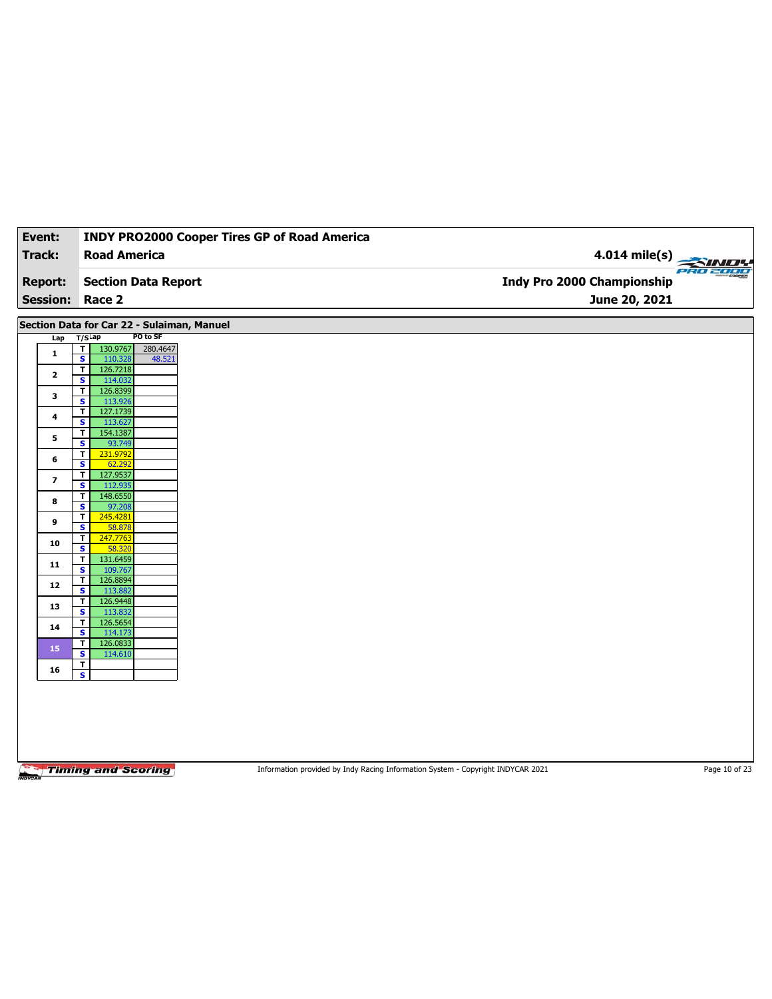| Event:          | <b>INDY PRO2000 Cooper Tires GP of Road America</b>                       |                            |
|-----------------|---------------------------------------------------------------------------|----------------------------|
| <b>Track:</b>   | <b>Road America</b>                                                       | $4.014$ mile(s)            |
|                 |                                                                           |                            |
| <b>Report:</b>  | <b>Section Data Report</b>                                                | Indy Pro 2000 Championship |
| <b>Session:</b> | Race 2                                                                    | June 20, 2021              |
|                 | Section Data for Car 22 - Sulaiman, Manuel                                |                            |
| Lap             | PO to SF<br>$T/S$ Lap                                                     |                            |
| $\mathbf{1}$    | 130.9767<br>280.4647<br>T<br>$\overline{\mathbf{s}}$<br>110.328<br>48.521 |                            |
| $\mathbf{2}$    | 126.7218<br>$\overline{\mathsf{r}}$                                       |                            |
|                 | $\overline{\mathbf{s}}$<br>114.032<br>126.8399<br>$\mathbf{T}$            |                            |
| 3               | $\overline{\mathbf{s}}$<br>113.926                                        |                            |
| 4               | 127.1739<br>$\overline{\mathsf{r}}$<br>S<br>113.627                       |                            |
|                 | 154.1387<br>T                                                             |                            |
| 5               | 93.749<br>s                                                               |                            |
| 6               | 231.9792<br>T<br>$\overline{\mathbf{s}}$<br>62.292                        |                            |
| 7               | 127.9537<br>T                                                             |                            |
|                 | 112.935<br>$\overline{\mathbf{s}}$<br>148.6550<br>T                       |                            |
| 8               | S<br>97.208                                                               |                            |
| 9               | 245.4281<br>T                                                             |                            |
|                 | $\overline{\mathbf{s}}$<br>58.878<br>247.7763<br>T                        |                            |
| 10              | $\mathbf{s}$<br>58.320                                                    |                            |
| 11              | 131.6459<br>$\mathbf{r}$                                                  |                            |
|                 | $\overline{\mathbf{s}}$<br>109.767<br>126.8894<br>T                       |                            |
| 12              | S<br>113.882                                                              |                            |
| 13              | 126.9448<br>T<br>$\overline{\mathbf{s}}$<br>113.832                       |                            |
| 14              | 126.5654<br>$\overline{\mathsf{r}}$                                       |                            |
|                 | $\overline{\mathbf{s}}$<br>114.173<br>$\mathbf{r}$<br>126.0833            |                            |
| 15              | $\overline{\mathbf{s}}$<br>114.610                                        |                            |
| 16              | $\overline{\mathbf{r}}$                                                   |                            |
|                 | $\overline{\mathbf{s}}$                                                   |                            |
|                 |                                                                           |                            |
|                 |                                                                           |                            |
|                 |                                                                           |                            |
|                 |                                                                           |                            |

Information provided by Indy Racing Information System - Copyright INDYCAR 2021 Page 10 of 23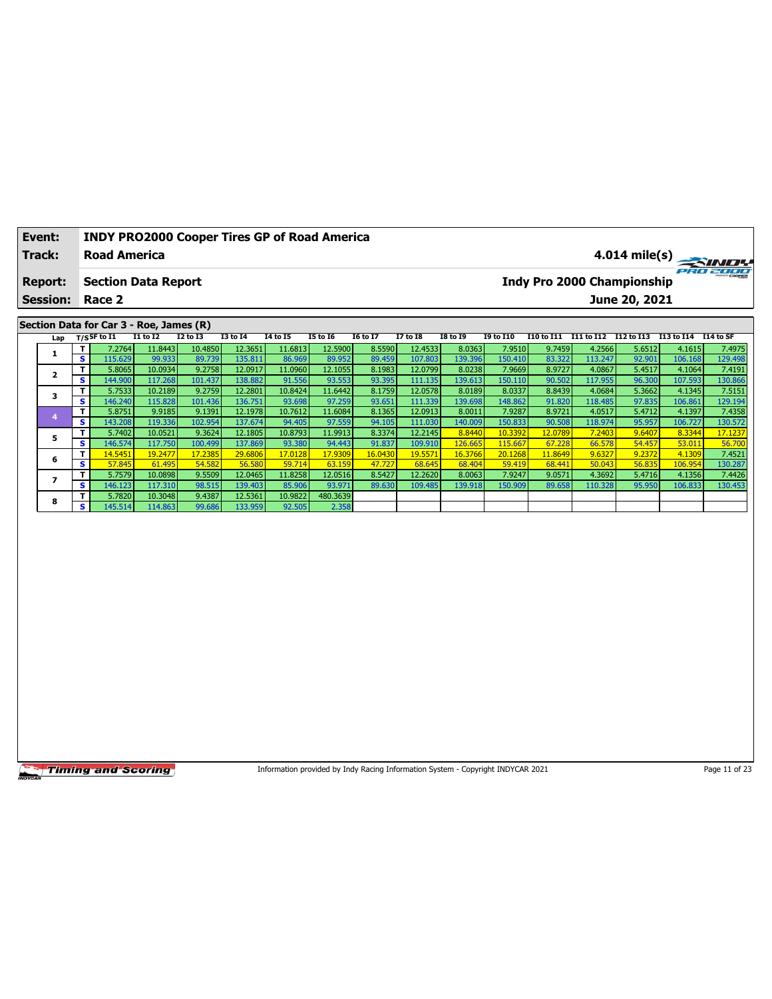| Event:          |   | <b>INDY PRO2000 Cooper Tires GP of Road America</b>       |              |              |                 |                 |                 |                 |                 |                 |                  |         |         |                                                       |         |         |
|-----------------|---|-----------------------------------------------------------|--------------|--------------|-----------------|-----------------|-----------------|-----------------|-----------------|-----------------|------------------|---------|---------|-------------------------------------------------------|---------|---------|
| Track:          |   | <b>Road America</b>                                       |              |              |                 |                 |                 |                 |                 |                 |                  |         |         | 4.014 mile(s)                                         |         |         |
| <b>Report:</b>  |   | <b>Section Data Report</b>                                |              |              |                 |                 |                 |                 |                 |                 |                  |         |         | <b>Indy Pro 2000 Championship</b>                     |         | 2302011 |
| <b>Session:</b> |   | Race 2                                                    |              |              |                 |                 |                 |                 |                 |                 |                  |         |         | June 20, 2021                                         |         |         |
|                 |   |                                                           |              |              |                 |                 |                 |                 |                 |                 |                  |         |         |                                                       |         |         |
|                 |   | Section Data for Car 3 - Roe, James (R)<br>$T/S$ SF to I1 | $I1$ to $I2$ | $I2$ to $I3$ | <b>I3 to 14</b> | <b>I4 to I5</b> | <b>I5 to 16</b> | <b>I6 to I7</b> | <b>I7 to 18</b> | <b>I8 to 19</b> | <b>I9 to I10</b> |         |         | I10 to I11 I11 to I12 I12 to I13 I13 to I14 I14 to SF |         |         |
| Lap             | т | 7.2764                                                    | 11.8443      | 10.4850      | 12.3651         | 11.6813         | 12.5900         | 8.5590          | 12.4533         | 8.0363          | 7.9510           | 9.7459  | 4.2566  | 5.6512                                                | 4.1615  | 7.4975  |
| 1               | s | 115.629                                                   | 99.933       | 89.739       | 135.811         | 86.969          | 89.952          | 89.459          | 107.803         | 139.396         | 150.410          | 83.322  | 113.247 | 92.901                                                | 106.168 | 129.498 |
|                 | T | 5.8065                                                    | 10.0934      | 9.2758       | 12.0917         | 11.0960         | 12.1055         | 8.1983          | 12.0799         | 8.0238          | 7.9669           | 8.9727  | 4.0867  | 5.4517                                                | 4.1064  | 7.4191  |
| 2               | s | 144.900                                                   | 117.268      | 101.437      | 138.882         | 91.556          | 93.553          | 93.395          | 111.135         | 139.613         | 150.110          | 90.502  | 117.955 | 96.300                                                | 107.593 | 130.866 |
|                 | T | 5.7533                                                    | 10.2189      | 9.2759       | 12.2801         | 10.8424         | 11.6442         | 8.1759          | 12.0578         | 8.0189          | 8.0337           | 8.8439  | 4.0684  | 5.3662                                                | 4.1345  | 7.5151  |
| 3               | s | 146.240                                                   | 115.828      | 101.436      | 136.751         | 93.698          | 97.259          | 93.651          | 111.339         | 139.698         | 148.862          | 91.820  | 118.485 | 97.835                                                | 106.861 | 129.194 |
|                 | т | 5.8751                                                    | 9.9185       | 9.1391       | 12.1978         | 10.7612         | 11.6084         | 8.1365          | 12.0913         | 8.0011          | 7.9287           | 8.9721  | 4.0517  | 5.4712                                                | 4.1397  | 7.4358  |
| 4               | s | 143.208                                                   | 119.336      | 102.954      | 137.674         | 94.405          | 97.559          | 94.105          | 111.030         | 140.009         | 150.833          | 90.508  | 118.974 | 95.957                                                | 106.727 | 130.572 |
| 5               | T | 5.7402                                                    | 10.0521      | 9.3624       | 12.1805         | 10.8793         | 11.9913         | 8.3374          | 12.2145         | 8.8440          | 10.3392          | 12.0789 | 7.2403  | 9.6407                                                | 8.3344  | 17.1237 |
|                 | s | 146.574                                                   | 117.750      | 100.499      | 137.869         | 93.380          | 94.443          | 91.837          | 109.910         | 126.665         | 115.667          | 67.228  | 66.578  | 54.457                                                | 53.011  | 56.700  |
| 6               | T | 14.5451                                                   | 19.2477      | 17.2385      | 29.6806         | 17.0128         | 17.9309         | 16.0430         | 19.5571         | 16.3766         | 20.1268          | 11.8649 | 9.6327  | 9.2372                                                | 4.1309  | 7.4521  |
|                 | s | 57.845                                                    | 61.495       | 54.582       | 56.580          | 59.714          | 63.159          | 47.727          | 68.645          | 68.404          | 59.419           | 68.441  | 50.043  | 56.835                                                | 106.954 | 130.287 |
| $\overline{ }$  | T | 5.7579                                                    | 10.0898      | 9.5509       | 12.0465         | 11.8258         | 12.0516         | 8.5427          | 12.2620         | 8.0063          | 7.9247           | 9.0571  | 4.3692  | 5.4716                                                | 4.1356  | 7.4426  |
|                 | s | 146.123                                                   | 117.310      | 98.515       | 139.403         | 85.906          | 93.971          | 89.630          | 109.485         | 139.918         | 150.909          | 89.658  | 110.328 | 95.950                                                | 106.833 | 130.453 |
| 8               | т | 5.7820                                                    | 10.3048      | 9.4387       | 12.5361         | 10.9822         | 480.3639        |                 |                 |                 |                  |         |         |                                                       |         |         |
|                 | s | 145.514                                                   | 114.863      | 99.686       | 133.959         | 92.505          | 2.358           |                 |                 |                 |                  |         |         |                                                       |         |         |
|                 |   |                                                           |              |              |                 |                 |                 |                 |                 |                 |                  |         |         |                                                       |         |         |

Information provided by Indy Racing Information System - Copyright INDYCAR 2021

Page 11 of 23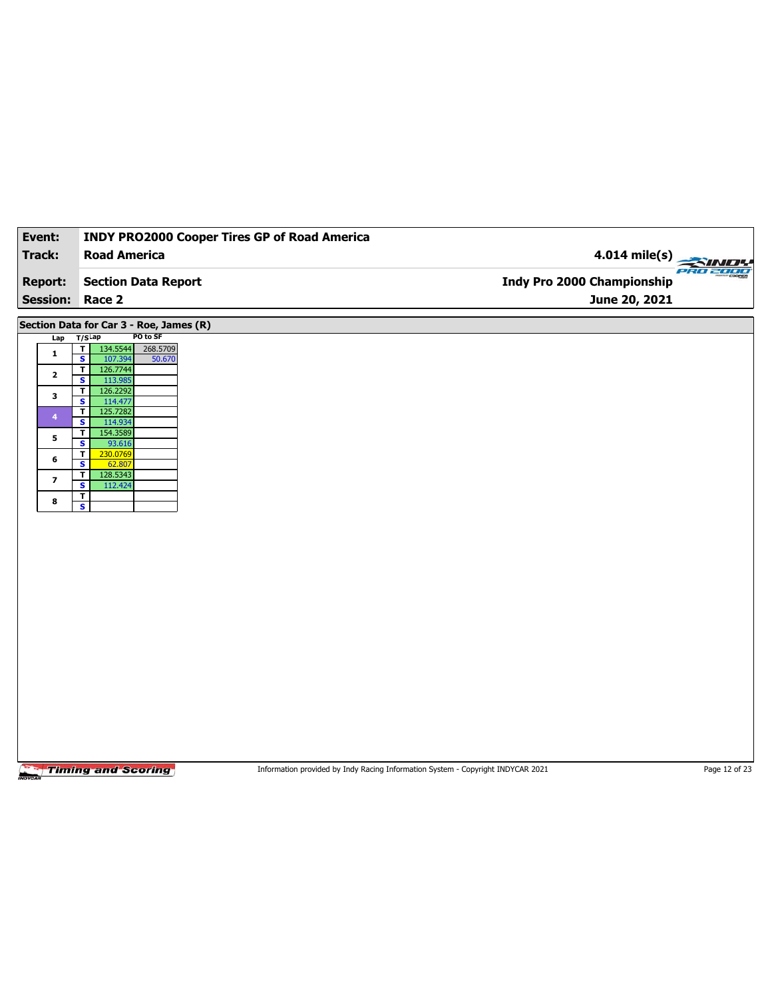| Event:                  | <b>INDY PRO2000 Cooper Tires GP of Road America</b>                       |                            |
|-------------------------|---------------------------------------------------------------------------|----------------------------|
| Track:                  | <b>Road America</b>                                                       | $4.014$ mile(s)            |
| <b>Report:</b>          | <b>Section Data Report</b>                                                | Indy Pro 2000 Championship |
| <b>Session:</b>         | Race 2                                                                    | June 20, 2021              |
|                         | Section Data for Car 3 - Roe, James (R)                                   |                            |
| Lap                     | PO to SF<br>$T/S$ Lap                                                     |                            |
| 1                       | T<br>134.5544<br>268.5709<br>$\overline{\mathbf{s}}$<br>107.394<br>50.670 |                            |
| $\mathbf{2}$            | 126.7744<br>$\overline{\mathsf{r}}$<br>$\overline{\mathbf{s}}$<br>113.985 |                            |
| 3                       | 126.2292<br>$\mathbf{T}$                                                  |                            |
| 4                       | $\overline{\mathbf{s}}$<br>114.477<br>$\overline{\mathbf{r}}$<br>125.7282 |                            |
|                         | 114.934<br>S                                                              |                            |
| 5                       | 154.3589<br>$\mathbf T$<br>$\overline{\mathbf{s}}$<br>93.616              |                            |
|                         | 230.0769<br>T                                                             |                            |
| 6                       | S<br>62.807                                                               |                            |
| $\overline{\mathbf{z}}$ | 128.5343<br>$\mathbf T$<br>$\overline{\mathbf{s}}$<br>112.424             |                            |
|                         | $\overline{\mathbf{r}}$                                                   |                            |
| 8                       | $\overline{\mathbf{s}}$                                                   |                            |
|                         |                                                                           |                            |
|                         |                                                                           |                            |
|                         |                                                                           |                            |
|                         |                                                                           |                            |
|                         |                                                                           |                            |
|                         |                                                                           |                            |
|                         |                                                                           |                            |
|                         |                                                                           |                            |
|                         |                                                                           |                            |
|                         |                                                                           |                            |

Information provided by Indy Racing Information System - Copyright INDYCAR 2021 Page 12 of 23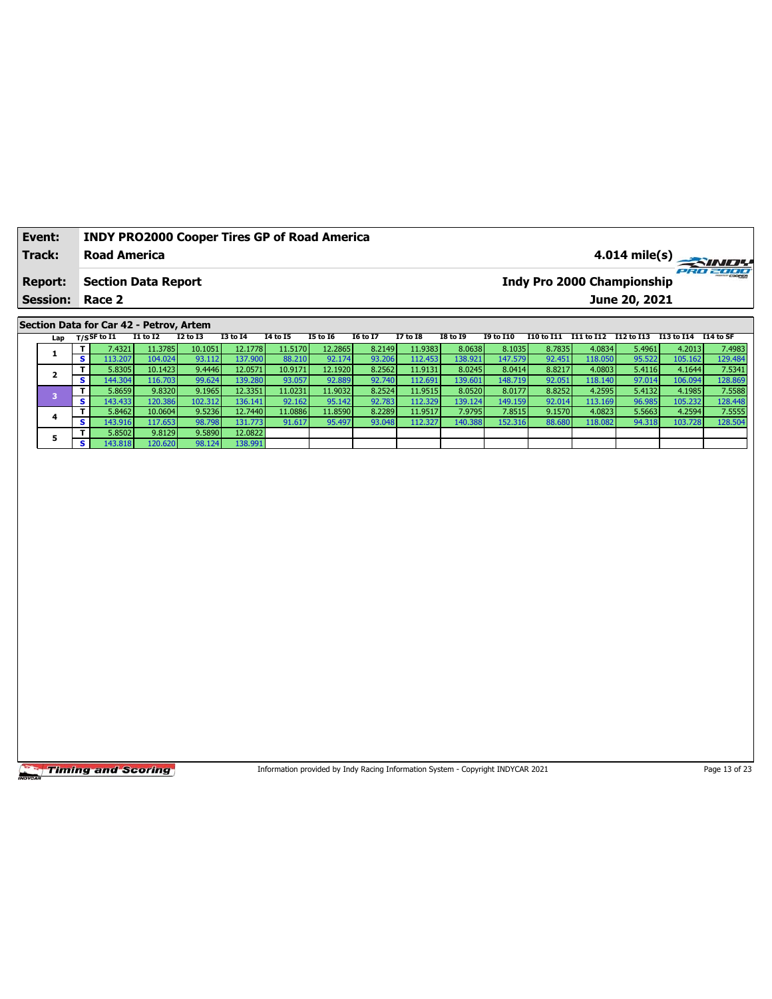| Event:          | <b>INDY PRO2000 Cooper Tires GP of Road America</b> |                                               |
|-----------------|-----------------------------------------------------|-----------------------------------------------|
| Track:          | <b>Road America</b>                                 |                                               |
| <b>Report:</b>  | <b>Section Data Report</b>                          | ero zoor<br><b>Indy Pro 2000 Championship</b> |
| <b>Session:</b> | Race 2                                              | June 20, 2021                                 |

## Section Data for Car 42 - Petrov, Artem

| Lap |     | $_{\rm T/S}$ SF to I1 | <b>I1 to I2</b> | <b>I2 to I3</b> | <b>I3 to 14</b> | <b>I4 to I5</b> | <b>I5 to 16</b> | <b>16 to 17</b> | <b>I7 to I8</b> | <b>I8 to 19</b> | <b>I9 to I10</b> | I10 to I11 | I11 to I12 | I12 to I13 | I13 to I14 | I14 to SF |
|-----|-----|-----------------------|-----------------|-----------------|-----------------|-----------------|-----------------|-----------------|-----------------|-----------------|------------------|------------|------------|------------|------------|-----------|
|     |     | 7.4321                | 11.3785         | 10.1051         | 12.1778         | 11.5170         | 12.2865         | 8.2149          | 11.9383         | 8.0638          | 8.1035           | 8.7835     | 4.0834     | 5.4961     | 4.2013     | 7.4983    |
|     |     | 13.207                | 104.024         | 93.112          | 137.900         | 88.210          | 92.174          | 93.206          | 112.453         | 138.921         | 147.579          | 92.451     | 118.050    | 95.522     | 105.162    | 129.484   |
|     |     | 5.8305                | 10.1423         | 9.4446          | 12.0571         | 10.9171         | 12.1920         | 8.2562          | 11.9131         | 8.0245          | 8.0414           | 8.8217     | 4.0803     | 5.4116     | 4.1644     | 7.5341    |
|     | s.  | 144.304               | 116.703         | 99.624          | 139.280         | 93.057          | 92.889          | 92.740          | 112.691         | 139.601         | 148.719          | 92.051     | 118.140    | 97.014     | 106.094    | 128.869   |
|     |     | 5.8659                | 9.8320          | 9.1965          | 12.3351         | 11.0231         | 11.9032         | 8.2524          | 11.9515         | 8.0520          | 8.0177           | 8.8252     | 4.2595     | 5.4132     | 4.1985     | 7.5588    |
|     | S.  | 143.433               | 120.386         | 102.312         | 136.141         | 92.162          | 95.142          | 92.783          | 112.329         | 139.124         | 149.159          | 92.014     | 113.169    | 96.985     | 105.232    | 128.448   |
|     |     | 5.8462                | 10.0604         | 9.5236          | 12.7440         | 11.0886         | 11.8590         | 8.2289          | 11.9517         | 7.9795          | 7.8515           | 9.1570     | 4.0823     | 5.5663     | 4.2594     | 7.5555    |
|     | s.  | 143.916               | 117.653         | 98.798          | 131.773         | 91.617          | 95.497          | 93.048          | 112.327         | 140.388         | 152.316          | 88.680     | 118.082    | 94.318     | 103.728    | 128.504   |
|     |     | 5.8502                | 9.8129          | 9.5890          | 12.0822         |                 |                 |                 |                 |                 |                  |            |            |            |            |           |
|     | s i | 143.818               | 120.620         | 98.124          | 138.991         |                 |                 |                 |                 |                 |                  |            |            |            |            |           |

**Timing and Scoring** 

Information provided by Indy Racing Information System - Copyright INDYCAR 2021

Page 13 of 23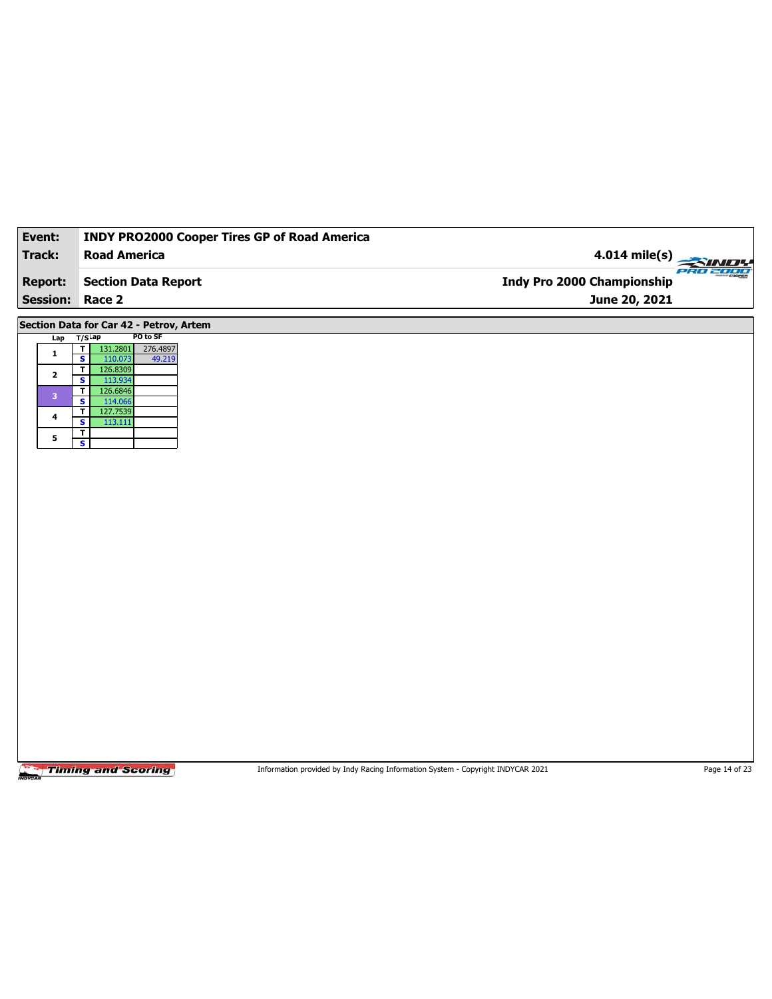| Event:               | INDY PRO2000 Cooper Tires GP of Road America                                         |                                               |
|----------------------|--------------------------------------------------------------------------------------|-----------------------------------------------|
| <b>Track:</b>        | <b>Road America</b>                                                                  | $4.014$ mile(s)                               |
| <b>Report:</b>       | <b>Section Data Report</b>                                                           | PRO 2000<br><b>Indy Pro 2000 Championship</b> |
|                      |                                                                                      |                                               |
| <b>Session:</b>      | Race 2                                                                               | June 20, 2021                                 |
|                      | Section Data for Car 42 - Petrov, Artem                                              |                                               |
| Lap                  | PO to SF<br>$T/S$ Lap                                                                |                                               |
| $\mathbf 1$          | $\mathbf{T}$<br>131.2801<br>276.4897<br>$\overline{\mathbf{s}}$<br>49.219<br>110.073 |                                               |
| $\mathbf{2}$         | 126.8309<br>$\mathbf{T}$                                                             |                                               |
|                      | $\mathbf{s}$<br>113.934                                                              |                                               |
| $\mathbf{3}$         | 126.6846<br>T<br>$\overline{\mathbf{s}}$<br>114.066                                  |                                               |
| $\ddot{\phantom{a}}$ | 127.7539<br>$\overline{\mathbf{r}}$                                                  |                                               |
|                      | $\overline{\mathbf{s}}$<br>113.111<br>$\mathbf T$                                    |                                               |
| 5                    | $\overline{\mathbf{s}}$                                                              |                                               |
|                      |                                                                                      |                                               |
|                      |                                                                                      |                                               |
|                      |                                                                                      |                                               |
|                      |                                                                                      |                                               |
|                      |                                                                                      |                                               |
|                      |                                                                                      |                                               |
|                      |                                                                                      |                                               |
|                      |                                                                                      |                                               |
|                      |                                                                                      |                                               |
|                      |                                                                                      |                                               |
|                      |                                                                                      |                                               |
|                      |                                                                                      |                                               |
|                      |                                                                                      |                                               |
|                      |                                                                                      |                                               |
|                      |                                                                                      |                                               |
|                      |                                                                                      |                                               |
|                      |                                                                                      |                                               |
|                      |                                                                                      |                                               |
|                      |                                                                                      |                                               |
|                      |                                                                                      |                                               |
|                      |                                                                                      |                                               |

Information provided by Indy Racing Information System - Copyright INDYCAR 2021 Page 14 of 23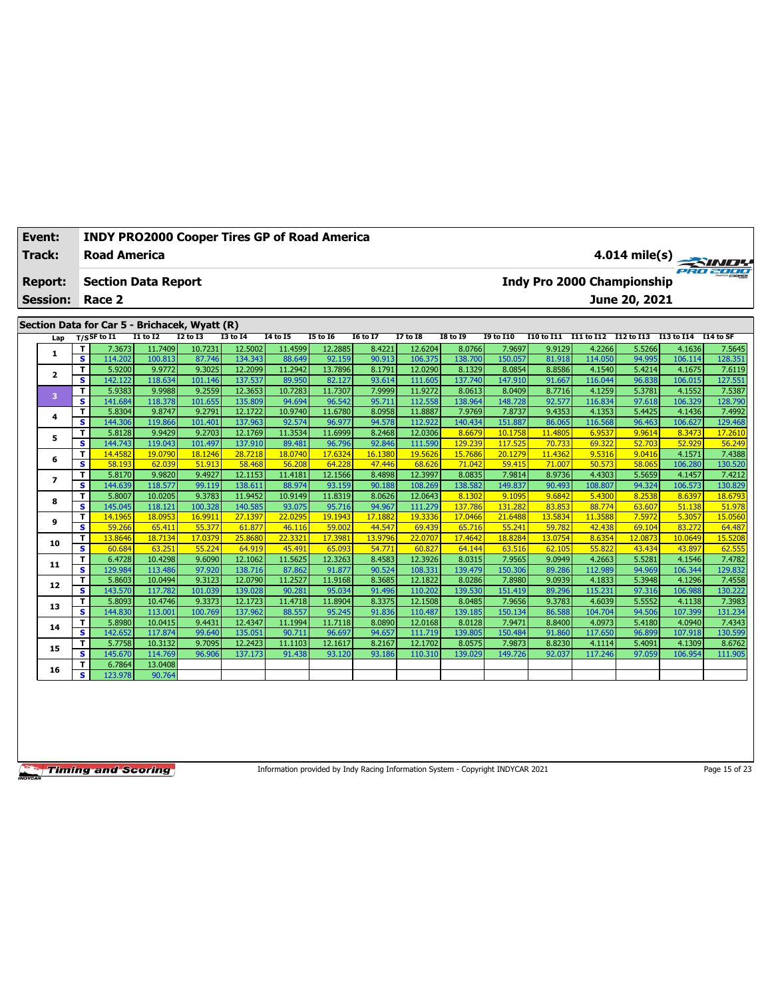| Event:                  |                              | <b>INDY PRO2000 Cooper Tires GP of Road America</b> |                   |                   |                   |                   |                   |                   |                   |                   |                   |                   |                  |                                   |                   |                   |
|-------------------------|------------------------------|-----------------------------------------------------|-------------------|-------------------|-------------------|-------------------|-------------------|-------------------|-------------------|-------------------|-------------------|-------------------|------------------|-----------------------------------|-------------------|-------------------|
| <b>Track:</b>           |                              | <b>Road America</b>                                 |                   |                   |                   |                   |                   |                   |                   |                   |                   |                   |                  | $4.014$ mile(s)                   |                   |                   |
| <b>Report:</b>          |                              | <b>Section Data Report</b>                          |                   |                   |                   |                   |                   |                   |                   |                   |                   |                   |                  | <b>Indy Pro 2000 Championship</b> |                   |                   |
| <b>Session:</b>         |                              | Race 2                                              |                   |                   |                   |                   |                   |                   |                   |                   |                   |                   |                  | June 20, 2021                     |                   |                   |
|                         |                              | Section Data for Car 5 - Brichacek, Wyatt (R)       |                   |                   |                   |                   |                   |                   |                   |                   |                   |                   |                  |                                   |                   |                   |
| Lap                     |                              | $T/S$ SF to I1                                      | <b>I1 to I2</b>   | <b>I2 to I3</b>   | <b>I3 to 14</b>   | <b>I4 to I5</b>   | <b>15 to 16</b>   | <b>I6 to I7</b>   | <b>I7 to 18</b>   | <b>I8 to 19</b>   | 19 to 110         | I10 to I11        |                  | I11 to I12 I12 to I13 I13 to I14  |                   | I14 to SF         |
|                         | T                            | 7.3673                                              | 11.7409           | 10.7231           | 12.5002           | 11.4599           | 12.2885           | 8.4221            | 12.6204           | 8.0766            | 7.9697            | 9.9129            | 4.2266           | 5.5266                            | 4.1636            | 7.5645            |
| 1                       | $\overline{\mathbf{s}}$      | 114.202                                             | 100.813           | 87.746            | 134.343           | 88.649            | 92.159            | 90.913            | 106.375           | 138.700           | 150.057           | 81.918            | 114.050          | 94.995                            | 106.114           | 128.351           |
|                         | T.                           | 5.9200                                              | 9.9772            | 9.3025            | 12.2099           | 11.2942           | 13.7896           | 8.1791            | 12.0290           | 8.1329            | 8.0854            | 8.8586            | 4.1540           | 5.4214                            | 4.1675            | 7.6119            |
| $\overline{\mathbf{2}}$ | s                            | 142.122                                             | 118.634           | 101.146           | 137.537           | 89.950            | 82.127            | 93.614            | 111.605           | 137.740           | 147.910           | 91.667            | 116.044          | 96.838                            | 106.015           | 127.551           |
| 3                       | T                            | 5.9383                                              | 9.9988            | 9.2559            | 12.3653           | 10.7283           | 11.7307           | 7.9999            | 11.9272           | 8.0613            | 8.0409            | 8.7716            | 4.1259           | 5.3781                            | 4.1552            | 7.5387            |
|                         | $\mathbf{s}$                 | 141.684                                             | 118.378           | 101.655           | 135.809           | 94.694            | 96.542            | 95.711            | 112.558           | 138.964           | 148.728           | 92.577            | 116.834          | 97.618                            | 106.329           | 128.790           |
| 4                       | T                            | 5.8304                                              | 9.8747            | 9.2791            | 12.1722           | 10.9740           | 11.6780           | 8.0958            | 11.8887           | 7.9769            | 7.8737            | 9.4353            | 4.1353           | 5.4425                            | 4.1436            | 7.4992            |
|                         | s                            | 144.306                                             | 119.866           | 101.401           | 137.963           | 92.574            | 96.977            | 94.578            | 112.922           | 140.434           | 151.887           | 86.065            | 116.568          | 96.463                            | 106.627           | 129.468           |
| 5                       | T                            | 5.8128                                              | 9.9429            | 9.2703            | 12.1769           | 11.3534           | 11.6999           | 8.2468            | 12.0306           | 8.6679            | 10.1758           | 11,4805           | 6.9537           | 9.9614                            | 8.3473            | 17.2610           |
|                         | s                            | 144.743                                             | 119.043           | 101.497           | 137.910           | 89.481            | 96.796            | 92.846            | 111.590           | 129.239           | 117.525           | 70.733            | 69.322           | 52.703                            | 52.929            | 56.249            |
| 6                       | T.<br>s                      | 14.4582<br>58.193                                   | 19.0790<br>62.039 | 18.1246<br>51.913 | 28.7218<br>58.468 | 18.0740<br>56,208 | 17.6324<br>64.228 | 16.1380<br>47,446 | 19.5626<br>68.626 | 15.7686<br>71.042 | 20.1279<br>59.415 | 11,4362<br>71.007 | 9.5316<br>50.573 | 9.0416<br>58.065                  | 4.1571<br>106.280 | 7.4388<br>130.520 |
|                         | T                            | 5.8170                                              | 9.9820            | 9.4927            | 12.1153           | 11.4181           | 12.1566           | 8.4898            | 12.3997           | 8.0835            | 7.9814            | 8.9736            | 4.4303           | 5.5659                            | 4.1457            | 7.4212            |
| 7                       | $\overline{\mathbf{s}}$      | 144.639                                             | 118.577           | 99.119            | 138.611           | 88.974            | 93.159            | 90.188            | 108.269           | 138.582           | 149.837           | 90.493            | 108.807          | 94.324                            | 106.573           | 130.829           |
|                         | T                            | 5.8007                                              | 10.0205           | 9.3783            | 11.9452           | 10.9149           | 11.8319           | 8.0626            | 12.0643           | 8.1302            | 9.1095            | 9.6842            | 5.4300           | 8.2538                            | 8.6397            | 18.6793           |
| 8                       | $\overline{\mathbf{s}}$      | 145.045                                             | 118.121           | 100.328           | 140.585           | 93.075            | 95.716            | 94.967            | 111.279           | 137.786           | 131.282           | 83.853            | 88.774           | 63.607                            | 51.138            | 51.978            |
|                         | T                            | 14.1965                                             | 18.0953           | 16.9911           | 27.1397           | 22.0295           | 19.1943           | 17.1882           | 19.3336           | 17.0466           | 21.6488           | 13.5834           | 11.3588          | 7.5972                            | 5.3057            | 15.0560           |
| 9                       | s                            | 59.266                                              | 65.411            | 55.377            | 61.877            | 46.116            | 59.002            | 44.547            | 69.439            | 65.716            | 55.241            | 59.782            | 42.438           | 69.104                            | 83.272            | 64.487            |
|                         | T.                           | 13.8646                                             | 18.7134           | 17.0379           | 25,8680           | 22.3321           | 17.3981           | 13.9796           | 22,0707           | 17,4642           | 18,8284           | 13.0754           | 8.6354           | 12.0873                           | 10.0649           | 15.5208           |
| 10                      | s                            | 60.684                                              | 63.251            | 55.224            | 64.919            | 45.491            | 65.093            | 54,771            | 60.827            | 64.144            | 63.516            | 62.105            | 55.822           | 43.434                            | 43.897            | 62.555            |
|                         | T                            | 6.4728                                              | 10.4298           | 9.6090            | 12.1062           | 11.5625           | 12.3263           | 8.4583            | 12.3926           | 8.0315            | 7.9565            | 9.0949            | 4.2663           | 5.5281                            | 4.1546            | 7.4782            |
| 11                      | $\overline{\mathbf{s}}$      | 129.984                                             | 113.486           | 97.920            | 138.716           | 87.862            | 91.877            | 90.524            | 108.331           | 139.479           | 150.306           | 89.286            | 112.989          | 94.969                            | 106.344           | 129.832           |
| 12                      | T.                           | 5.8603                                              | 10.0494           | 9.3123            | 12.0790           | 11.2527           | 11.9168           | 8.3685            | 12.1822           | 8.0286            | 7.8980            | 9.0939            | 4.1833           | 5.3948                            | 4.1296            | 7.4558            |
|                         | s                            | 143.570                                             | 117.782           | 101.039           | 139.028           | 90.281            | 95.034            | 91.496            | 110.202           | 139.530           | 151.419           | 89.296            | 115.231          | 97.316                            | 106.988           | 130.222           |
| 13                      | T                            | 5.8093                                              | 10.4746           | 9.3373            | 12.1723           | 11.4718           | 11.8904           | 8.3375            | 12.1508           | 8.0485            | 7.9656            | 9.3783            | 4.6039           | 5.5552                            | 4.1138            | 7.3983            |
|                         | s                            | 144.830                                             | 113.001           | 100.769           | 137.962           | 88.557            | 95.245            | 91.836            | 110.487           | 139.185           | 150.134           | 86.588            | 104.704          | 94.506                            | 107.399           | 131.234           |
| 14                      | T                            | 5.8980                                              | 10.0415           | 9.4431            | 12.4347           | 11.1994           | 11.7118           | 8.0890            | 12.0168           | 8.0128            | 7.9471            | 8.8400            | 4.0973           | 5.4180                            | 4.0940            | 7.4343            |
|                         | s                            | 142.652                                             | 117.874           | 99.640            | 135.051           | 90.711            | 96.697            | 94.657            | 111.719           | 139.805           | 150.484           | 91.860            | 117.650          | 96.899                            | 107.918           | 130.599           |
| 15                      | T                            | 5.7758                                              | 10.3132           | 9.7095            | 12.2423           | 11.1103           | 12.1617           | 8.2167            | 12.1702           | 8.0575            | 7.9873            | 8.8230            | 4.1114           | 5.4091                            | 4.1309            | 8.6762            |
|                         | $\overline{\mathbf{s}}$      | 145.670                                             | 114.769           | 96.906            | 137.173           | 91.438            | 93.120            | 93.186            | 110.310           | 139.029           | 149.726           | 92.037            | 117.246          | 97.059                            | 106.954           | 111.905           |
| 16                      | T<br>$\overline{\mathbf{s}}$ | 6.7864                                              | 13.0408           |                   |                   |                   |                   |                   |                   |                   |                   |                   |                  |                                   |                   |                   |
|                         |                              | 123.978                                             | 90.764            |                   |                   |                   |                   |                   |                   |                   |                   |                   |                  |                                   |                   |                   |

Information provided by Indy Racing Information System - Copyright INDYCAR 2021 Page 15 of 23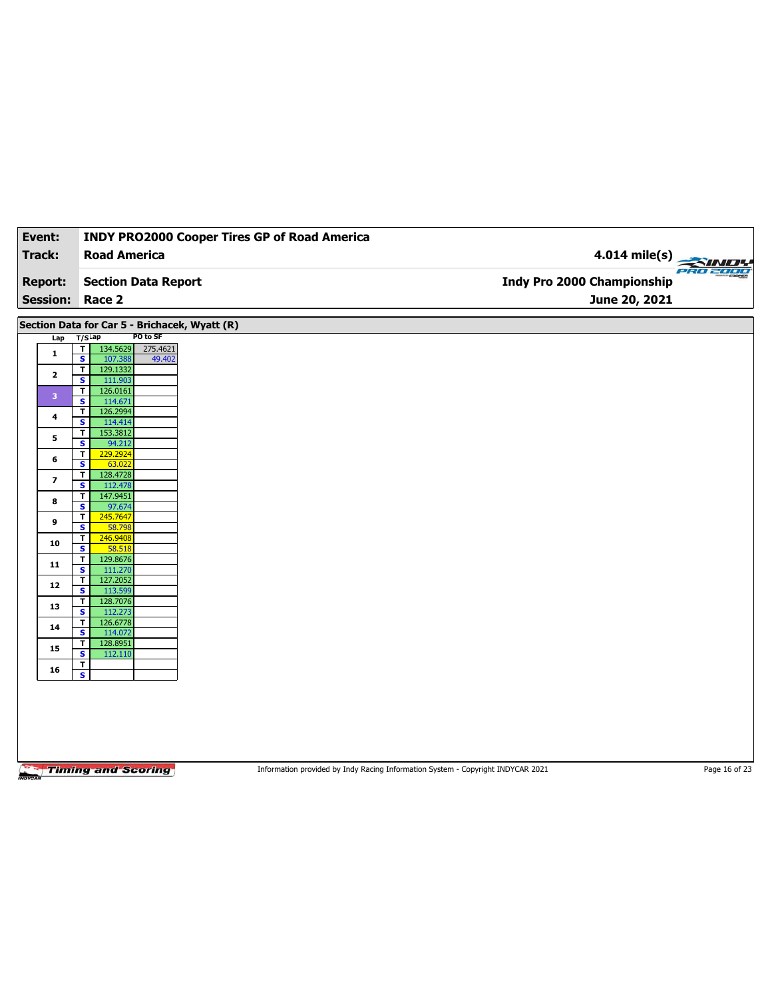| Event:               | <b>INDY PRO2000 Cooper Tires GP of Road America</b>                                 |                                   |
|----------------------|-------------------------------------------------------------------------------------|-----------------------------------|
| Track:               | <b>Road America</b>                                                                 | $4.014$ mile(s)                   |
|                      |                                                                                     |                                   |
| <b>Report:</b>       | <b>Section Data Report</b>                                                          | <b>Indy Pro 2000 Championship</b> |
| <b>Session:</b>      | Race 2                                                                              | June 20, 2021                     |
|                      | Section Data for Car 5 - Brichacek, Wyatt (R)                                       |                                   |
| Lap                  | PO to SF<br>$T/S$ Lap                                                               |                                   |
| $\mathbf{1}$         | 134.5629<br>275.4621<br>T                                                           |                                   |
|                      | $\overline{\mathbf{s}}$<br>107.388<br>49.402<br>129.1332<br>$\overline{\mathsf{r}}$ |                                   |
| $\mathbf{2}$         | $\mathbf{s}$<br>111.903                                                             |                                   |
| 3                    | 126.0161<br>T<br>$\overline{\mathbf{s}}$<br>114.671                                 |                                   |
| $\ddot{\phantom{a}}$ | 126.2994<br>T                                                                       |                                   |
|                      | $\mathbf{s}$<br>114.414                                                             |                                   |
| 5                    | 153.3812<br>T<br>94.212<br>$\overline{\mathbf{s}}$                                  |                                   |
| 6                    | 229.2924<br>T                                                                       |                                   |
|                      | $\mathbf{s}$<br>63.022                                                              |                                   |
| 7                    | $\mathbf T$<br>128.4728<br>$\overline{\mathbf{s}}$<br>112.478                       |                                   |
|                      | 147.9451<br>T                                                                       |                                   |
| 8                    | S<br>97.674                                                                         |                                   |
| 9                    | 245.7647<br>T                                                                       |                                   |
|                      | 58.798<br>$\overline{\mathbf{s}}$<br>246.9408<br>T                                  |                                   |
| 10                   | S<br>58.518                                                                         |                                   |
| 11                   | 129.8676<br>T.                                                                      |                                   |
|                      | $\overline{\mathbf{s}}$<br>111.270                                                  |                                   |
| 12                   | 127.2052<br>T<br>S<br>113.599                                                       |                                   |
|                      | T<br>128.7076                                                                       |                                   |
| 13                   | $\overline{\mathbf{s}}$<br>112.273                                                  |                                   |
| 14                   | T<br>126.6778                                                                       |                                   |
|                      | S<br>114.072<br>128.8951<br>T.                                                      |                                   |
| 15                   | $\overline{\mathbf{s}}$<br>112.110                                                  |                                   |
|                      | T                                                                                   |                                   |
|                      |                                                                                     |                                   |
| 16                   | $\overline{\mathbf{s}}$                                                             |                                   |

Information provided by Indy Racing Information System - Copyright INDYCAR 2021 Page 16 of 23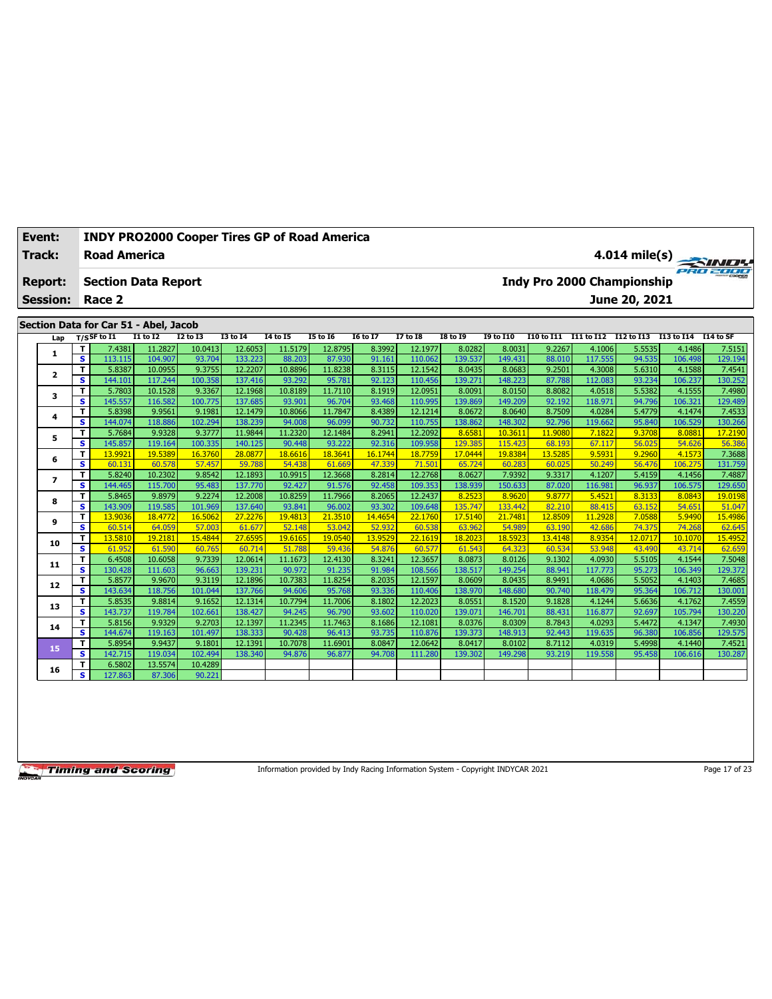| Event:          |                              |                                       |                   | <b>INDY PRO2000 Cooper Tires GP of Road America</b> |                    |                   |                   |                  |                    |                   |                   |                   |                   |                                   |                   |                   |
|-----------------|------------------------------|---------------------------------------|-------------------|-----------------------------------------------------|--------------------|-------------------|-------------------|------------------|--------------------|-------------------|-------------------|-------------------|-------------------|-----------------------------------|-------------------|-------------------|
| <b>Track:</b>   |                              | <b>Road America</b>                   |                   |                                                     |                    |                   |                   |                  |                    |                   |                   |                   |                   |                                   |                   | $4.014$ mile(s)   |
| <b>Report:</b>  |                              | <b>Section Data Report</b>            |                   |                                                     |                    |                   |                   |                  |                    |                   |                   |                   |                   | <b>Indy Pro 2000 Championship</b> |                   |                   |
| <b>Session:</b> |                              | Race 2                                |                   |                                                     |                    |                   |                   |                  |                    |                   |                   |                   |                   | June 20, 2021                     |                   |                   |
|                 |                              | Section Data for Car 51 - Abel, Jacob |                   |                                                     |                    |                   |                   |                  |                    |                   |                   |                   |                   |                                   |                   |                   |
| Lap             |                              | $T/S$ SF to $I1$                      | <b>I1 to I2</b>   | <b>I2 to I3</b>                                     | <b>I3 to 14</b>    | 14 to 15          | <b>15 to 16</b>   | <b>16 to 17</b>  | <b>I7 to 18</b>    | <b>I8 to 19</b>   | <b>19 to I10</b>  | <b>I10 to I11</b> | I11 to I12        | I12 to I13                        | I13 to I14        | I14 to SF         |
|                 | T                            | 7.4381                                | 11.2827           | 10.0413                                             | 12.6053            | 11.5179           | 12.8795           | 8.3992           | 12.1977            | 8.0282            | 8.0031            | 9.2267            | 4.1006            | 5.5535                            | 4.1486            | 7.5151            |
| 1               | s                            | 113.115                               | 104.907           | 93.704                                              | 133.223            | 88.203            | 87.930            | 91.161           | 110.062            | 139.537           | 149.431           | 88.010            | 117.555           | 94.535                            | 106.498           | 129.194           |
|                 | T                            | 5.8387                                | 10.0955           | 9.3755                                              | 12.2207            | 10.8896           | 11.8238           | 8.3115           | 12.1542            | 8.0435            | 8.0683            | 9.2501            | 4.3008            | 5.6310                            | 4.1588            | 7.4541            |
| $\overline{2}$  | $\overline{\mathbf{s}}$      | 144.101                               | 117.244           | 100.358                                             | 137.416            | 93.292            | 95.781            | 92.123           | 110.456            | 139.271           | 148.223           | 87.788            | 112.083           | 93.234                            | 106.237           | 130.252           |
|                 | T                            | 5.7803                                | 10.1528           | 9.3367                                              | 12.1968            | 10.8189           | 11.7110           | 8.1919           | 12.0951            | 8.0091            | 8.0150            | 8.8082            | 4.0518            | 5.5382                            | 4.1555            | 7.4980            |
| 3               | s                            | 145.557                               | 116.582           | 100.775                                             | 137.685            | 93.901            | 96.704            | 93.468           | 110.995            | 139.869           | 149.209           | 92.192            | 118.971           | 94.796                            | 106.321           | 129.489           |
|                 | T                            | 5.8398                                | 9.9561            | 9.1981                                              | 12.1479            | 10.8066           | 11.7847           | 8.4389           | 12.1214            | 8.0672            | 8.0640            | 8.7509            | 4.0284            | 5.4779                            | 4.1474            | 7.4533            |
| 4               | s                            | 144.074                               | 118.886           | 102.294                                             | 138.239            | 94.008            | 96.099            | 90.732           | 110.755            | 138.862           | 148.302           | 92.796            | 119.662           | 95.840                            | 106.529           | 130.266           |
| 5               | T                            | 5.7684                                | 9.9328            | 9.3777                                              | 11.9844            | 11.2320           | 12.1484           | 8.2941           | 12.2092            | 8.658             | 10.3611           | 11.9080           | 7.1822            | 9.3708                            | 8.088             | 17.2190           |
|                 | s                            | 145.857                               | 119.164           | 100.335                                             | 140.125            | 90.448            | 93.222            | 92.316           | 109.958            | 129.385           | 115.423           | 68.193            | 67.117            | 56.025                            | 54.626            | 56.386            |
| 6               | T                            | 13.9921                               | 19.5389           | 16.3760                                             | 28.0877            | 18.6616           | 18.3641           | 16.1744          | 18.7759            | 17.0444           | 19.8384           | 13.5285           | 9.5931            | 9.2960                            | 4.1573            | 7.3688            |
|                 | s                            | 60.131                                | 60.578            | 57.457                                              | 59.788             | 54.438            | 61.669            | 47.339           | 71.501             | 65.724            | 60.283            | 60.025            | 50.249            | 56,476                            | 106.275           | 131.759           |
| $\overline{ }$  | T.                           | 5.8240                                | 10.2302           | 9.8542                                              | 12.1893            | 10.9915           | 12.3668           | 8.2814           | 12.2768            | 8.0627            | 7.9392            | 9.3317            | 4.1207            | 5.4159                            | 4.1456            | 7.4887            |
|                 | s                            | 144.465                               | 115.700           | 95.483                                              | 137.770            | 92.427            | 91.576            | 92.458           | 109.353            | 138.939           | 150.633           | 87.020            | 116.981           | 96.937                            | 106.575           | 129.650           |
| 8               | T                            | 5.8465                                | 9.8979            | 9.2274                                              | 12.2008            | 10.8259           | 11.7966           | 8.2065           | 12.2437            | 8.2523            | 8.9620            | 9.8777            | 5.4521            | 8.3133                            | 8.0843            | 19.0198           |
|                 | s                            | 143.909                               | 119.585           | 101.969                                             | 137.640            | 93.841            | 96.002            | 93.302           | 109.648            | 135.747           | 133.442           | 82.210            | 88.415            | 63.152                            | 54.651            | 51.047            |
| 9               | T                            | 13,9036                               | 18.4772           | 16.5062                                             | 27,2276            | 19,4813           | 21.3510           | 14,4654          | 22,1760            | 17.5140           | 21,7481           | 12,8509           | 11.2928           | 7.0588                            | 5.9490            | 15.4986           |
|                 | $\overline{\mathbf{s}}$      | 60.514                                | 64.059            | 57.003                                              | 61.677             | 52.148            | 53.042            | 52.932           | 60.538             | 63.962            | 54.989            | 63.190            | 42.686            | 74.375                            | 74.268            | 62.645            |
| 10              | T                            | 13,5810                               | 19.2181           | 15,4844                                             | 27.6595            | 19.6165           | 19.0540           | 13.9529          | 22.1619            | 18,2023           | 18.5923           | 13,4148           | 8.9354            | 12.0717                           | 10.1070           | 15.4952           |
|                 | s                            | 61.952                                | 61.590            | 60.765                                              | 60.714             | 51.788            | 59.436            | 54.876           | 60.577             | 61.543            | 64.323            | 60.534            | 53.948            | 43.490                            | 43.714            | 62.659            |
| 11              | T                            | 6.4508                                | 10.6058           | 9.7339                                              | 12.0614            | 11.1673           | 12.4130           | 8.3241           | 12.3657            | 8.0873            | 8.0126            | 9.1302            | 4.0930            | 5.5105                            | 4.1544            | 7.5048            |
|                 | $\overline{\mathbf{s}}$<br>T | 130.428<br>5.8577                     | 111.603<br>9.9670 | 96.663<br>9.3119                                    | 139.231<br>12.1896 | 90.972<br>10.7383 | 91.235<br>11.8254 | 91.984<br>8.2035 | 108.566<br>12.1597 | 138.517<br>8.0609 | 149.254<br>8.0435 | 88.941<br>8.9491  | 117.773<br>4.0686 | 95.273<br>5.5052                  | 106.349<br>4.1403 | 129.372<br>7.4685 |
| 12              | s                            | 143.634                               | 118.756           | 101.044                                             | 137.766            | 94.606            | 95.768            | 93.336           | 110.406            | 138.970           | 148.680           | 90.740            | 118.479           | 95.364                            | 106.712           | 130.001           |
|                 | T                            | 5.8535                                | 9.8814            | 9.1652                                              | 12.1314            | 10.7794           | 11.7006           | 8.1802           | 12.2023            | 8.0551            | 8.1520            | 9.1828            | 4.1244            | 5.6636                            | 4.1762            | 7.4559            |
| 13              | s                            | 143.737                               | 119.784           | 102.661                                             | 138.427            | 94.245            | 96.790            | 93.602           | 110.020            | 139.07:           | 146.701           | 88.431            | 116.877           | 92.697                            | 105.794           | 130.220           |
|                 | T                            | 5.8156                                | 9.9329            | 9.2703                                              | 12.1397            | 11.2345           | 11.7463           | 8.1686           | 12.1081            | 8.0376            | 8.0309            | 8.7843            | 4.0293            | 5.4472                            | 4.1347            | 7.4930            |
| 14              | s                            | 144.674                               | 119.163           | 101.497                                             | 138.333            | 90.428            | 96.413            | 93.735           | 110.876            | 139.373           | 148.913           | 92.443            | 119.635           | 96.380                            | 106.856           | 129.575           |
|                 | т                            | 5.8954                                | 9.9437            | 9.1801                                              | 12.1391            | 10.7078           | 11.6901           | 8.0847           | 12.0642            | 8.0417            | 8.0102            | 8.7112            | 4.0319            | 5.4998                            | 4.1440            | 7.4521            |
| 15              | s                            | 142.715                               | 119.034           | 102.494                                             | 138.340            | 94.876            | 96.87             | 94.708           | 111.280            | 139.302           | 149.298           | 93.219            | 119.558           | 95.458                            | 106.616           | 130.287           |
|                 | T                            | 6.5802                                | 13.5574           | 10.4289                                             |                    |                   |                   |                  |                    |                   |                   |                   |                   |                                   |                   |                   |
| 16              | s                            | 127.863                               | 87.306            | 90.221                                              |                    |                   |                   |                  |                    |                   |                   |                   |                   |                                   |                   |                   |
|                 |                              |                                       |                   |                                                     |                    |                   |                   |                  |                    |                   |                   |                   |                   |                                   |                   |                   |

Information provided by Indy Racing Information System - Copyright INDYCAR 2021

Page 17 of 23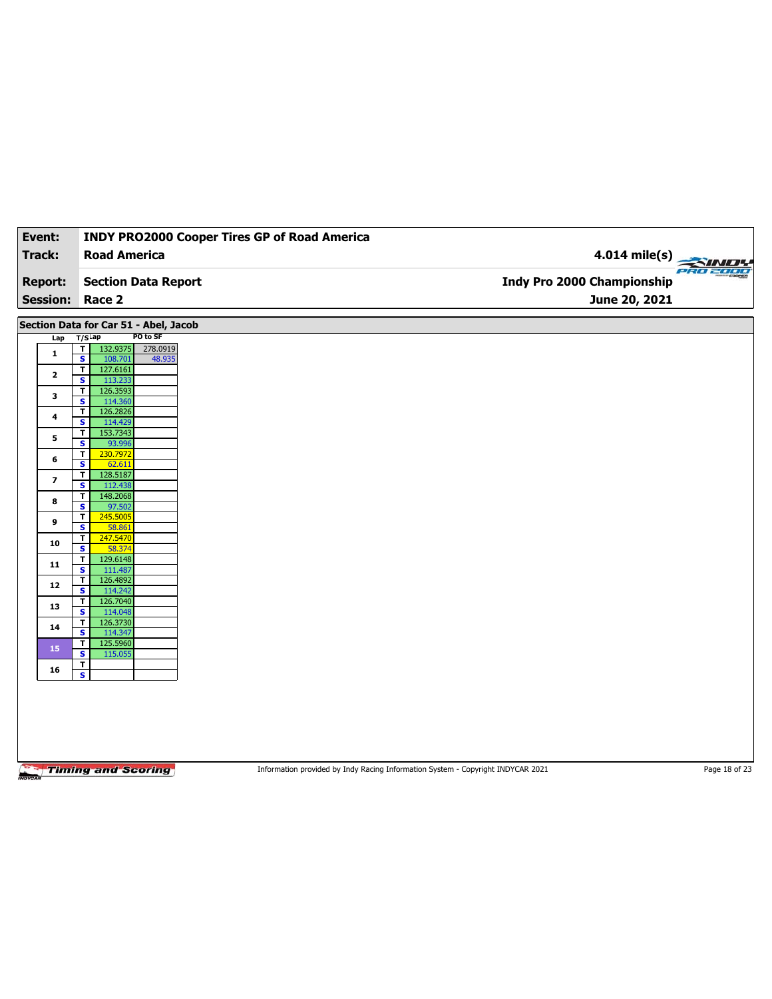| Event:          | <b>INDY PRO2000 Cooper Tires GP of Road America</b>                       |                                   |
|-----------------|---------------------------------------------------------------------------|-----------------------------------|
| <b>Track:</b>   | <b>Road America</b>                                                       | 4.014 mile(s)                     |
|                 |                                                                           | <b>PRO 2000</b>                   |
| <b>Report:</b>  | <b>Section Data Report</b>                                                | <b>Indy Pro 2000 Championship</b> |
| <b>Session:</b> | Race 2                                                                    | June 20, 2021                     |
|                 | Section Data for Car 51 - Abel, Jacob                                     |                                   |
| Lap             | PO to SF<br>$T/S$ Lap                                                     |                                   |
| $\mathbf{1}$    | $\overline{\mathbf{r}}$<br>132.9375<br>278.0919<br>s<br>108.701<br>48.935 |                                   |
| $\mathbf{2}$    | 127.6161<br>$\mathbf{I}$                                                  |                                   |
|                 | S<br>113.233<br>126.3593<br>T                                             |                                   |
| 3               | $\overline{\mathbf{s}}$<br>114.360                                        |                                   |
| 4               | 126.2826<br>$\overline{\mathsf{T}}$                                       |                                   |
|                 | S<br>114.429<br>$\mathbf{T}$<br>153.7343                                  |                                   |
| 5               | $\overline{\mathbf{s}}$<br>93.996                                         |                                   |
| 6               | $\overline{\mathbf{r}}$<br>230.7972<br>S<br>62.611                        |                                   |
| 7               | 128.5187<br>$\overline{\mathbf{I}}$                                       |                                   |
|                 | 112.438<br>s                                                              |                                   |
| 8               | 148.2068<br>T<br>S<br>97.502                                              |                                   |
| 9               | T<br>245.5005                                                             |                                   |
|                 | $\overline{\mathbf{s}}$<br>58.861<br>$\overline{\mathsf{r}}$<br>247.5470  |                                   |
| 10              | S<br>58.374                                                               |                                   |
| 11              | $\overline{\mathbf{r}}$<br>129.6148                                       |                                   |
|                 | $\overline{\mathbf{s}}$<br>111.487<br>т<br>126.4892                       |                                   |
| 12              | s<br>114.242                                                              |                                   |
| 13              | T<br>126.7040<br>114.048<br>$\overline{\mathbf{s}}$                       |                                   |
| 14              | 126.3730<br>T                                                             |                                   |
|                 | S<br>114.347<br>125.5960                                                  |                                   |
| 15              | T<br>115.055<br>s                                                         |                                   |
| 16              | T                                                                         |                                   |
|                 | $\overline{\mathbf{s}}$                                                   |                                   |
|                 |                                                                           |                                   |
|                 |                                                                           |                                   |
|                 |                                                                           |                                   |
|                 |                                                                           |                                   |
|                 |                                                                           |                                   |

Information provided by Indy Racing Information System - Copyright INDYCAR 2021 Page 18 of 23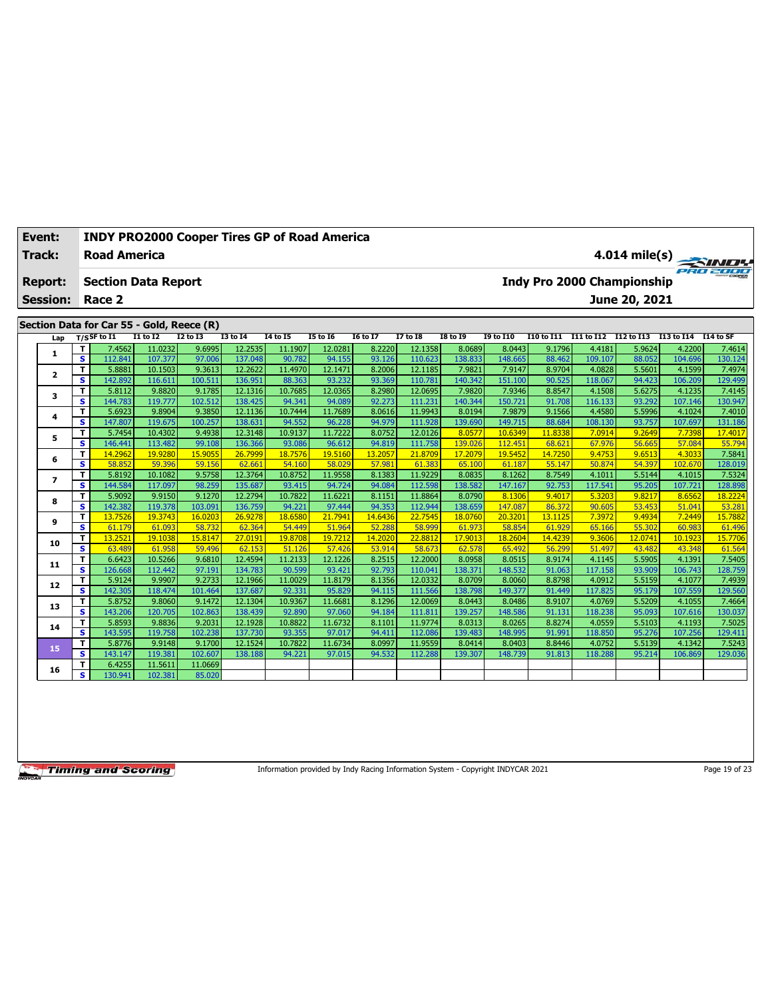| Event:          |                         | <b>INDY PRO2000 Cooper Tires GP of Road America</b><br>$4.014$ mile(s) |                    |                  |                    |                   |                   |                   |                    |                   |                   |                  |                       |                                   |                   |                   |
|-----------------|-------------------------|------------------------------------------------------------------------|--------------------|------------------|--------------------|-------------------|-------------------|-------------------|--------------------|-------------------|-------------------|------------------|-----------------------|-----------------------------------|-------------------|-------------------|
| <b>Track:</b>   |                         | <b>Road America</b>                                                    |                    |                  |                    |                   |                   |                   |                    |                   |                   |                  |                       |                                   |                   |                   |
| <b>Report:</b>  |                         | <b>Section Data Report</b>                                             |                    |                  |                    |                   |                   |                   |                    |                   |                   |                  |                       | <b>Indy Pro 2000 Championship</b> |                   |                   |
| <b>Session:</b> |                         | Race 2                                                                 |                    |                  |                    |                   |                   |                   |                    |                   |                   |                  |                       | June 20, 2021                     |                   |                   |
|                 |                         | Section Data for Car 55 - Gold, Reece (R)                              |                    |                  |                    |                   |                   |                   |                    |                   |                   |                  |                       |                                   |                   |                   |
| Lap             |                         | $T/S$ SF to I1                                                         | $I1$ to $I2$       | <b>I2 to I3</b>  | <b>I3 to 14</b>    | <b>I4 to I5</b>   | <b>I5 to 16</b>   | <b>I6 to I7</b>   | <b>I7 to 18</b>    | <b>I8 to 19</b>   | <b>19 to I10</b>  | I10 to I11       | I11 to I12 I12 to I13 |                                   | I13 to I14        | I14 to SF         |
|                 | T.                      | 7.4562                                                                 | 11.0232            | 9.6995           | 12.2535            | 11.1907           | 12.0281           | 8.2220            | 12.1358            | 8.0689            | 8.0443            | 9.1796           | 4.4181                | 5.9624                            | 4.2200            | 7.4614            |
| 1               | s                       | 112.841                                                                | 107.377            | 97.006           | 137.048            | 90.782            | 94.155            | 93.126            | 110.623            | 138,833           | 148.665           | 88.462           | 109.107               | 88.052                            | 104.696           | 130.124           |
|                 | T                       | 5.8881                                                                 | 10.1503            | 9.3613           | 12.2622            | 11.4970           | 12.1471           | 8.2006            | 12.1185            | 7.9821            | 7.9147            | 8.9704           | 4.0828                | 5.5601                            | 4.1599            | 7.4974            |
| $\mathbf{2}$    | s                       | 142.892                                                                | 116.611            | 100.511          | 136.951            | 88.363            | 93.232            | 93.369            | 110.781            | 140.342           | 151.100           | 90.525           | 118.067               | 94.423                            | 106.209           | 129.499           |
| 3               | T                       | 5.8112                                                                 | 9.8820             | 9.1785           | 12.1316            | 10.7685           | 12.0365           | 8.2980            | 12.0695            | 7.9820            | 7.9346            | 8.8547           | 4.1508                | 5.6275                            | 4.1235            | 7.4145            |
|                 | $\overline{\mathbf{s}}$ | 144.783                                                                | 119.777            | 102.512          | 138.425            | 94.341            | 94.089            | 92.273            | 111.231            | 140.344           | 150.721           | 91.708           | 116.133               | 93.292                            | 107.146           | 130.947           |
| 4               | T                       | 5.6923                                                                 | 9.8904             | 9.3850           | 12.1136            | 10.7444           | 11.7689           | 8.0616            | 11.9943            | 8.0194            | 7.9879            | 9.1566           | 4.4580                | 5.5996                            | 4.1024            | 7.4010            |
|                 | s                       | 147.807                                                                | 119.675            | 100.257          | 138.631            | 94.552            | 96.228            | 94.979            | 111.928            | 139.690           | 149.715           | 88.684           | 108.130               | 93.757                            | 107.697           | 131.186           |
| 5               | T                       | 5.7454                                                                 | 10.4302            | 9.4938           | 12.3148            | 10.9137           | 11.7222           | 8.0752            | 12.0126            | 8.0577            | 10.6349           | 11,8338          | 7.0914                | 9.2649                            | 7.7398            | 17,4017           |
|                 | s                       | 146.441                                                                | 113.482            | 99.108           | 136.366            | 93.086            | 96.612            | 94.819            | 111.758            | 139.026           | 112.451           | 68.621           | 67.976                | 56.665                            | 57.084            | 55.794            |
| 6               | T                       | 14.2962                                                                | 19.9280            | 15.9055          | 26.7999            | 18.7576           | 19.5160           | 13.2057<br>57.981 | 21,8709            | 17.2079           | 19.5452           | 14.7250          | 9.4753                | 9.6513<br>54.397                  | 4.3033<br>102.670 | 7.5841            |
|                 | s                       | 58.852                                                                 | 59.396             | 59.156           | 62.661             | 54.160            | 58.029            |                   | 61.383             | 65.100            | 61.187            | 55.147           | 50.874                |                                   |                   | 128.019           |
| $\overline{ }$  | T<br>s                  | 5.8192<br>144.584                                                      | 10.1082<br>117.097 | 9.5758<br>98.259 | 12.3764<br>135.687 | 10.8752<br>93.415 | 11.9558<br>94.724 | 8.1383<br>94.084  | 11.9229<br>112.598 | 8.0835<br>138.582 | 8.1262<br>147.167 | 8.7549<br>92.753 | 4.1011<br>117.541     | 5.5144<br>95.205                  | 4.1015<br>107.721 | 7.5324<br>128.898 |
|                 | T                       | 5.9092                                                                 | 9.9150             | 9.1270           | 12.2794            | 10.7822           | 11.6221           | 8.1151            | 11.8864            | 8.0790            | 8.1306            | 9.4017           | 5.3203                | 9.8217                            | 8.6562            | 18.2224           |
| 8               | s                       | 142.382                                                                | 119.378            | 103.091          | 136.759            | 94.221            | 97.444            | 94.353            | 112.944            | 138.659           | 147.087           | 86.372           | 90.605                | 53.453                            | 51.041            | 53.281            |
|                 | T                       | 13.7526                                                                | 19.3743            | 16.0203          | 26.9278            | 18.6580           | 21.7941           | 14.6436           | 22.7545            | 18.0760           | 20.3201           | 13.1125          | 7.3972                | 9.4934                            | 7.2449            | 15.7882           |
| 9               | s                       | 61.179                                                                 | 61.093             | 58.732           | 62.364             | 54,449            | 51.964            | 52.288            | 58.999             | 61.973            | 58.854            | 61.929           | 65.166                | 55,302                            | 60.983            | 61.496            |
|                 | T                       | 13.2521                                                                | 19.1038            | 15.8147          | 27,0191            | 19.8708           | 19.7212           | 14.2020           | 22,8812            | 17.9013           | 18,2604           | 14.4239          | 9.3606                | 12.0741                           | 10.1923           | 15,7706           |
| 10              | s                       | 63.489                                                                 | 61.958             | 59.496           | 62.153             | 51.126            | 57,426            | 53.914            | 58.673             | 62.578            | 65.492            | 56.299           | 51.497                | 43.482                            | 43.348            | 61.564            |
|                 | T                       | 6.6423                                                                 | 10.5266            | 9.6810           | 12.4594            | 11.2133           | 12.1226           | 8.2515            | 12.2000            | 8.0958            | 8.0515            | 8.9174           | 4.1145                | 5.5905                            | 4.1391            | 7.5405            |
| 11              | s                       | 126,668                                                                | 112.442            | 97.191           | 134.783            | 90.599            | 93.421            | 92.793            | 110.041            | 138.37            | 148.532           | 91.063           | 117.158               | 93.909                            | 106.743           | 128.759           |
| 12              | T                       | 5.9124                                                                 | 9.9907             | 9.2733           | 12.1966            | 11.0029           | 11.8179           | 8.1356            | 12.0332            | 8.0709            | 8.0060            | 8.8798           | 4.0912                | 5.5159                            | 4.1077            | 7.4939            |
|                 | s                       | 142.305                                                                | 118.474            | 101.464          | 137.687            | 92.331            | 95.829            | 94.115            | 111.566            | 138.798           | 149.377           | 91.449           | 117.825               | 95.179                            | 107.559           | 129.560           |
| 13              | T                       | 5.8752                                                                 | 9.8060             | 9.1472           | 12.1304            | 10.9367           | 11.6681           | 8.1296            | 12.0069            | 8.0443            | 8.0486            | 8.9107           | 4.0769                | 5.5209                            | 4.1055            | 7.4664            |
|                 | s                       | 143.206                                                                | 120.705            | 102.863          | 138.439            | 92.890            | 97.060            | 94.184            | 111.811            | 139.257           | 148.586           | 91.131           | 118.238               | 95.093                            | 107.616           | 130.037           |
| 14              | т                       | 5.8593                                                                 | 9.8836             | 9.2031           | 12.1928            | 10.8822           | 11.6732           | 8.1101            | 11.9774            | 8.0313            | 8.0265            | 8.8274           | 4.0559                | 5.5103                            | 4.1193            | 7.5025            |
|                 | s                       | 143.595                                                                | 119.758            | 102.238          | 137.730            | 93.355            | 97.017            | 94.411            | 112.086            | 139.483           | 148.995           | 91.991           | 118.850               | 95.276                            | 107.256           | 129.411           |
| 15              | T                       | 5.8776                                                                 | 9.9148             | 9.1700           | 12.1524            | 10.7822           | 11.6734           | 8.0997            | 11.9559            | 8.0414            | 8.0403            | 8.8446           | 4.0752                | 5.5139                            | 4.1342            | 7.5243            |
|                 | s                       | 143.147                                                                | 119.381            | 102.607          | 138.188            | 94.221            | 97.015            | 94.532            | 112,288            | 139.307           | 148.739           | 91.813           | 118.288               | 95.214                            | 106.869           | 129.036           |
| 16              | T<br>s                  | 6.4255<br>130.941                                                      | 11.5611<br>102.381 | 11.0669          |                    |                   |                   |                   |                    |                   |                   |                  |                       |                                   |                   |                   |
|                 |                         |                                                                        |                    | 85.020           |                    |                   |                   |                   |                    |                   |                   |                  |                       |                                   |                   |                   |

Information provided by Indy Racing Information System - Copyright INDYCAR 2021 Page 19 of 23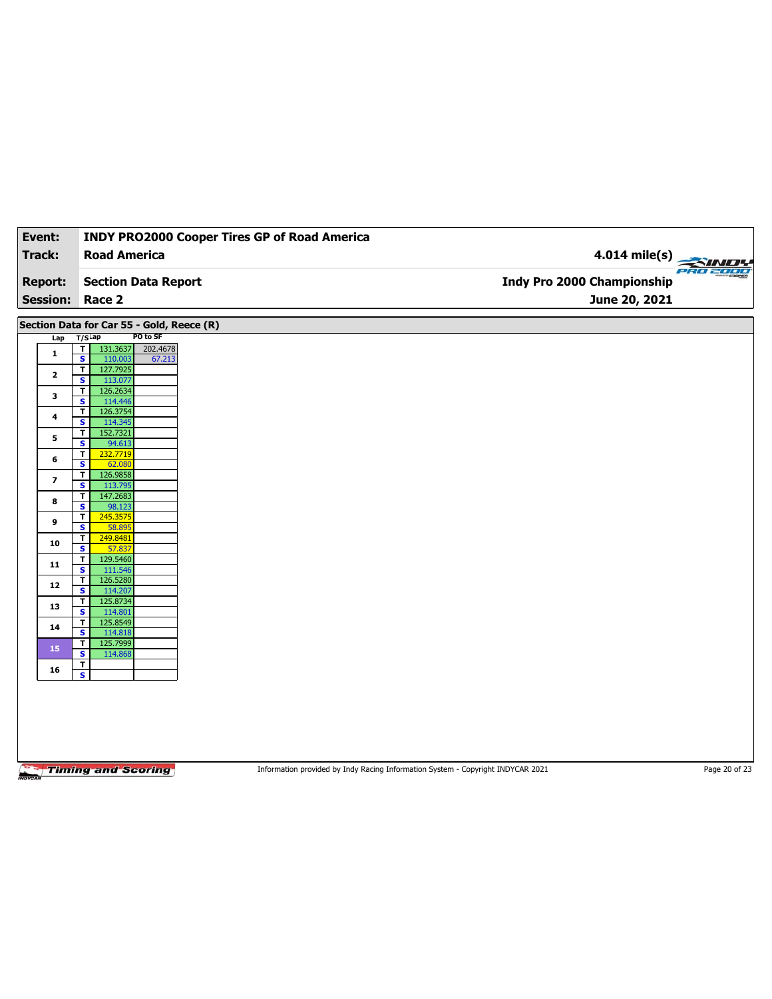| Track:<br><b>Road America</b><br><b>Report:</b><br><b>Session:</b><br>Race 2<br>Section Data for Car 55 - Gold, Reece (R)<br>$T/S$ Lap<br>Lap<br>131.3637<br>T<br>$\mathbf{1}$<br>$\overline{\mathbf{s}}$<br>110.003<br>127.7925<br>$\overline{\mathbf{r}}$<br>$\mathbf{2}$<br>S<br>113.077<br>126.2634<br>T<br>3<br>114.446<br>$\overline{\mathbf{s}}$<br>126.3754<br>$\overline{\mathsf{r}}$<br>$\ddot{\phantom{a}}$<br>S<br>114.345<br>152.7321<br>T<br>5<br>$\overline{\mathbf{s}}$<br>94.613<br>$\overline{\mathbf{r}}$<br>232.7719<br>6<br>S<br>62.080<br>$\overline{\mathbf{r}}$<br>126.9858<br>7<br>$\overline{\mathbf{s}}$<br>113.795<br>147.2683<br>T<br>8<br>S<br>98.123<br>T<br>245.3575<br>9<br>$\overline{\mathbf{s}}$<br>58.895 | <b>Section Data Report</b><br>PO to SF<br>202.4678<br>67.213 | 4.014 mile(s)<br>PRO 2000<br>Indy Pro 2000 Championship<br>June 20, 2021 |
|------------------------------------------------------------------------------------------------------------------------------------------------------------------------------------------------------------------------------------------------------------------------------------------------------------------------------------------------------------------------------------------------------------------------------------------------------------------------------------------------------------------------------------------------------------------------------------------------------------------------------------------------------------------------------------------------------------------------------------------------|--------------------------------------------------------------|--------------------------------------------------------------------------|
|                                                                                                                                                                                                                                                                                                                                                                                                                                                                                                                                                                                                                                                                                                                                                |                                                              |                                                                          |
|                                                                                                                                                                                                                                                                                                                                                                                                                                                                                                                                                                                                                                                                                                                                                |                                                              |                                                                          |
|                                                                                                                                                                                                                                                                                                                                                                                                                                                                                                                                                                                                                                                                                                                                                |                                                              |                                                                          |
|                                                                                                                                                                                                                                                                                                                                                                                                                                                                                                                                                                                                                                                                                                                                                |                                                              |                                                                          |
|                                                                                                                                                                                                                                                                                                                                                                                                                                                                                                                                                                                                                                                                                                                                                |                                                              |                                                                          |
|                                                                                                                                                                                                                                                                                                                                                                                                                                                                                                                                                                                                                                                                                                                                                |                                                              |                                                                          |
|                                                                                                                                                                                                                                                                                                                                                                                                                                                                                                                                                                                                                                                                                                                                                |                                                              |                                                                          |
|                                                                                                                                                                                                                                                                                                                                                                                                                                                                                                                                                                                                                                                                                                                                                |                                                              |                                                                          |
|                                                                                                                                                                                                                                                                                                                                                                                                                                                                                                                                                                                                                                                                                                                                                |                                                              |                                                                          |
|                                                                                                                                                                                                                                                                                                                                                                                                                                                                                                                                                                                                                                                                                                                                                |                                                              |                                                                          |
|                                                                                                                                                                                                                                                                                                                                                                                                                                                                                                                                                                                                                                                                                                                                                |                                                              |                                                                          |
|                                                                                                                                                                                                                                                                                                                                                                                                                                                                                                                                                                                                                                                                                                                                                |                                                              |                                                                          |
|                                                                                                                                                                                                                                                                                                                                                                                                                                                                                                                                                                                                                                                                                                                                                |                                                              |                                                                          |
|                                                                                                                                                                                                                                                                                                                                                                                                                                                                                                                                                                                                                                                                                                                                                |                                                              |                                                                          |
|                                                                                                                                                                                                                                                                                                                                                                                                                                                                                                                                                                                                                                                                                                                                                |                                                              |                                                                          |
|                                                                                                                                                                                                                                                                                                                                                                                                                                                                                                                                                                                                                                                                                                                                                |                                                              |                                                                          |
|                                                                                                                                                                                                                                                                                                                                                                                                                                                                                                                                                                                                                                                                                                                                                |                                                              |                                                                          |
|                                                                                                                                                                                                                                                                                                                                                                                                                                                                                                                                                                                                                                                                                                                                                |                                                              |                                                                          |
| T<br>249.8481<br>10                                                                                                                                                                                                                                                                                                                                                                                                                                                                                                                                                                                                                                                                                                                            |                                                              |                                                                          |
| S<br>57.837                                                                                                                                                                                                                                                                                                                                                                                                                                                                                                                                                                                                                                                                                                                                    |                                                              |                                                                          |
| $\mathbf{T}$<br>129.5460<br>11<br>$\overline{\mathbf{s}}$<br>111.546                                                                                                                                                                                                                                                                                                                                                                                                                                                                                                                                                                                                                                                                           |                                                              |                                                                          |
| 126.5280<br>T<br>12                                                                                                                                                                                                                                                                                                                                                                                                                                                                                                                                                                                                                                                                                                                            |                                                              |                                                                          |
| $\overline{\mathbf{s}}$<br>114.207<br>125.8734<br>$\mathbf{T}$                                                                                                                                                                                                                                                                                                                                                                                                                                                                                                                                                                                                                                                                                 |                                                              |                                                                          |
| 13<br>$\overline{\mathbf{s}}$<br>114.801                                                                                                                                                                                                                                                                                                                                                                                                                                                                                                                                                                                                                                                                                                       |                                                              |                                                                          |
| 125.8549<br>T<br>14                                                                                                                                                                                                                                                                                                                                                                                                                                                                                                                                                                                                                                                                                                                            |                                                              |                                                                          |
| $\overline{\mathbf{s}}$<br>114.818<br>$\overline{\mathbf{r}}$<br>125.7999                                                                                                                                                                                                                                                                                                                                                                                                                                                                                                                                                                                                                                                                      |                                                              |                                                                          |
| 15<br>114.868<br>s                                                                                                                                                                                                                                                                                                                                                                                                                                                                                                                                                                                                                                                                                                                             |                                                              |                                                                          |
| $\overline{\mathbf{r}}$<br>16<br>$\overline{\mathbf{s}}$                                                                                                                                                                                                                                                                                                                                                                                                                                                                                                                                                                                                                                                                                       |                                                              |                                                                          |
|                                                                                                                                                                                                                                                                                                                                                                                                                                                                                                                                                                                                                                                                                                                                                |                                                              |                                                                          |

Information provided by Indy Racing Information System - Copyright INDYCAR 2021 Page 20 of 23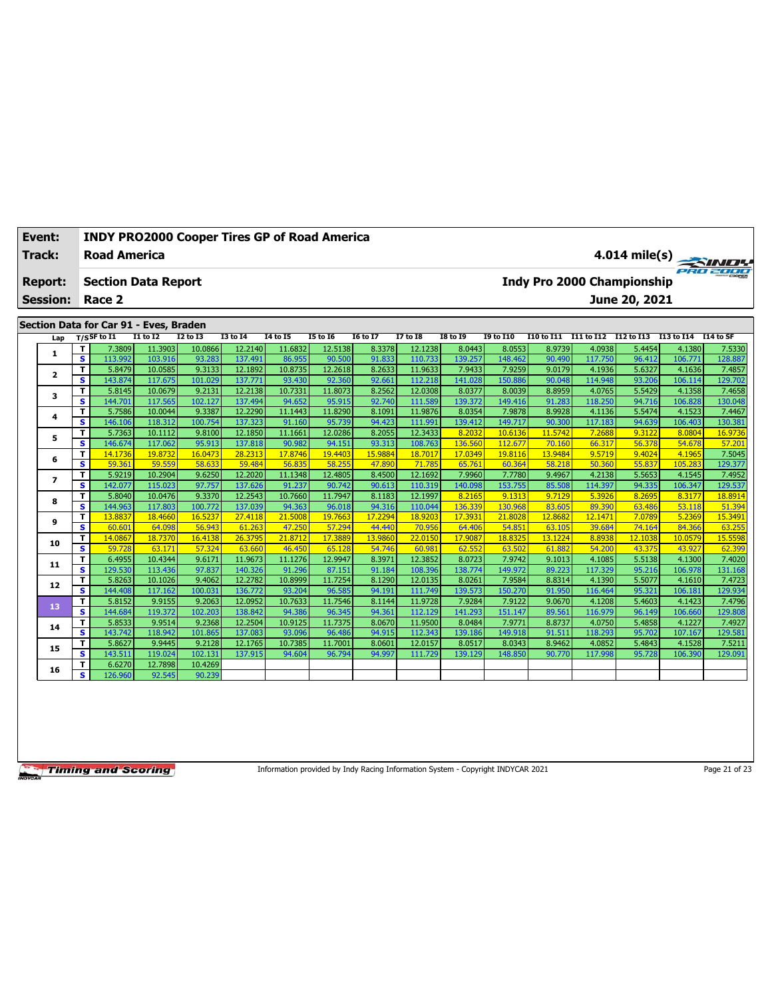| Event:                   |                              | <b>INDY PRO2000 Cooper Tires GP of Road America</b> |                    |                   |                    |                   |                   |                  |                    |                   |                   |                  |                       |                                   |                   |                   |
|--------------------------|------------------------------|-----------------------------------------------------|--------------------|-------------------|--------------------|-------------------|-------------------|------------------|--------------------|-------------------|-------------------|------------------|-----------------------|-----------------------------------|-------------------|-------------------|
| <b>Track:</b>            |                              | <b>Road America</b>                                 |                    |                   |                    |                   |                   |                  |                    |                   |                   |                  |                       |                                   |                   | $4.014$ mile(s)   |
| <b>Report:</b>           |                              | <b>Section Data Report</b>                          |                    |                   |                    |                   |                   |                  |                    |                   |                   |                  |                       | <b>Indy Pro 2000 Championship</b> |                   |                   |
| <b>Session:</b>          |                              | Race 2                                              |                    |                   |                    |                   |                   |                  |                    |                   |                   |                  |                       | June 20, 2021                     |                   |                   |
|                          |                              |                                                     |                    |                   |                    |                   |                   |                  |                    |                   |                   |                  |                       |                                   |                   |                   |
|                          |                              | Section Data for Car 91 - Eves, Braden              |                    |                   |                    |                   |                   |                  |                    |                   |                   |                  |                       |                                   |                   |                   |
| Lap                      |                              | $T/S$ SF to I1                                      | $I1$ to $I2$       | $I2$ to $I3$      | <b>I3 to 14</b>    | <b>I4 to I5</b>   | <b>I5 to 16</b>   | <b>I6 to I7</b>  | $I7$ to $I8$       | <b>I8 to 19</b>   | <b>19 to I10</b>  | I10 to I11       | I11 to I12 I12 to I13 |                                   | I13 to I14        | I14 to SF         |
| 1                        | T<br>$\overline{\mathbf{s}}$ | 7.3809<br>113.992                                   | 11.3903<br>103.916 | 10.0866<br>93.283 | 12.2140<br>137.491 | 11.6832<br>86.955 | 12.5138           | 8.3378<br>91.833 | 12.1238<br>110.733 | 8.0443<br>139.257 | 8.0553            | 8.9739           | 4.0938<br>117.750     | 5.4454                            | 4.1380            | 7.5330<br>128.887 |
|                          | $\overline{\mathsf{r}}$      | 5.8479                                              | 10.0585            | 9.3133            | 12.1892            | 10.8735           | 90.500<br>12.2618 | 8.2633           | 11.9633            | 7.9433            | 148.462<br>7.9259 | 90.490<br>9.0179 | 4.1936                | 96.412<br>5.6327                  | 106.771<br>4.1636 | 7.4857            |
| $\overline{\mathbf{2}}$  | s                            | 143.874                                             | 117.675            | 101.029           | 137,771            | 93.430            | 92.360            | 92.661           | 112,218            | 141.028           | 150.886           | 90.048           | 114.948               | 93.206                            | 106.114           | 129.702           |
|                          | T                            | 5.8145                                              | 10.0679            | 9.2131            | 12.2138            | 10.7331           | 11.8073           | 8.2562           | 12.0308            | 8.0377            | 8.0039            | 8.8959           | 4.0765                | 5.5429                            | 4.1358            | 7.4658            |
| 3                        | $\overline{\mathbf{s}}$      | 144.701                                             | 117.565            | 102.127           | 137.494            | 94.652            | 95.915            | 92.740           | 111.589            | 139.372           | 149.416           | 91.283           | 118.250               | 94.716                            | 106.828           | 130.048           |
|                          | т                            | 5.7586                                              | 10.0044            | 9.3387            | 12.2290            | 11.1443           | 11.8290           | 8.1091           | 11.9876            | 8.0354            | 7.9878            | 8.9928           | 4.1136                | 5.5474                            | 4.1523            | 7.4467            |
| 4                        | $\overline{\mathbf{s}}$      | 146.106                                             | 118,312            | 100.754           | 137.323            | 91.160            | 95.739            | 94.423           | 111.991            | 139.412           | 149,717           | 90.300           | 117.183               | 94.639                            | 106,403           | 130.381           |
|                          | T                            | 5.7363                                              | 10.1112            | 9.8100            | 12.1850            | 11.1661           | 12.0286           | 8.2055           | 12.3433            | 8.2032            | 10.6136           | 11.5742          | 7.2688                | 9.3122                            | 8.0804            | 16.9736           |
| 5                        | $\overline{\mathbf{s}}$      | 146.674                                             | 117.062            | 95.913            | 137.818            | 90.982            | 94.151            | 93.313           | 108.763            | 136.560           | 112.677           | 70.160           | 66.317                | 56.378                            | 54.678            | 57.201            |
|                          | T                            | 14.1736                                             | 19.8732            | 16.0473           | 28.2313            | 17.8746           | 19.4403           | 15.9884          | 18.7017            | 17.0349           | 19.8116           | 13.9484          | 9.5719                | 9.4024                            | 4.1965            | 7.5045            |
| 6                        | $\overline{\mathbf{s}}$      | 59.361                                              | 59.559             | 58.633            | 59.484             | 56.835            | 58.255            | 47,890           | 71.785             | 65.761            | 60.364            | 58.218           | 50.360                | 55.837                            | 105.283           | 129.377           |
| $\overline{\phantom{a}}$ | T                            | 5.9219                                              | 10.2904            | 9.6250            | 12.2020            | 11.1348           | 12.4805           | 8.4500           | 12.1692            | 7.9960            | 7.7780            | 9.4967           | 4.2138                | 5.5653                            | 4.1545            | 7.4952            |
|                          | s                            | 142.077                                             | 115.023            | 97.757            | 137.626            | 91.237            | 90.742            | 90.613           | 110.319            | 140.098           | 153.755           | 85.508           | 114.397               | 94.335                            | 106.347           | 129.537           |
| 8                        | T                            | 5.8040                                              | 10.0476            | 9.3370            | 12.2543            | 10.7660           | 11.7947           | 8.1183           | 12.1997            | 8.2165            | 9.1313            | 9.7129           | 5.3926                | 8.2695                            | 8.3177            | 18.8914           |
|                          | s                            | 144.963                                             | 117,803            | 100.772           | 137.039            | 94.363            | 96.018            | 94.316           | 110.044            | 136.339           | 130.968           | 83.605           | 89.390                | 63.486                            | 53.118            | 51.394            |
| 9                        | T                            | 13,8837                                             | 18.4660            | 16.5237           | 27.4118            | 21.5008           | 19.7663           | 17.2294          | 18,9203            | 17,3931           | 21,8028           | 12.8682          | 12.1471               | 7.0789                            | 5.2369            | 15.3491           |
|                          | $\overline{\mathbf{s}}$      | 60.601                                              | 64.098             | 56.943            | 61.263             | 47.250            | 57.294            | 44.440           | 70.956             | 64.406            | 54.851            | 63.105           | 39.684                | 74.164                            | 84.366            | 63.255            |
| 10                       | $\mathbf T$                  | 14.0867                                             | 18.7370            | 16.4138           | 26.3795            | 21.8712           | 17.3889           | 13.9860          | 22.0150            | 17.9087           | 18.8325           | 13.1224          | 8.8938                | 12.1038                           | 10.0579           | 15.5598           |
|                          | $\overline{\mathbf{s}}$      | 59.728                                              | 63.171             | 57,324            | 63.660             | 46,450            | 65.128            | 54.746           | 60.981             | 62.552            | 63.502            | 61.882           | 54.200                | 43.375                            | 43.927            | 62.399            |
| 11                       | T                            | 6.4955                                              | 10.4344            | 9.6171            | 11.9673            | 11.1276           | 12.9947           | 8.3971           | 12.3852            | 8.0723            | 7.9742            | 9.1013           | 4.1085                | 5.5138                            | 4.1300            | 7.4020            |
|                          | $\overline{\mathbf{s}}$      | 129.530                                             | 113.436            | 97.837            | 140.326            | 91.296            | 87.151            | 91.184           | 108.396            | 138.774           | 149.972           | 89.223           | 117.329               | 95.216                            | 106.978           | 131.168           |
| 12                       | T<br>$\overline{\mathbf{s}}$ | 5.8263<br>144.408                                   | 10.1026<br>117.162 | 9.4062<br>100.031 | 12.2782<br>136,772 | 10.8999<br>93.204 | 11.7254<br>96.585 | 8.1290<br>94.191 | 12.0135<br>111.749 | 8.0261<br>139.573 | 7.9584<br>150,270 | 8.8314           | 4.1390<br>116.464     | 5.5077<br>95.321                  | 4.1610<br>106.181 | 7.4723<br>129.934 |
|                          | T.                           | 5.8152                                              | 9.9155             | 9.2063            | 12.0952            | 10.7633           |                   | 8.1144           | 11.9728            | 7.9284            | 7.9122            | 91.950<br>9.0670 |                       | 5.4603                            | 4.1423            |                   |
| 13                       | $\mathbf{s}$                 | 144.684                                             | 119.372            | 102.203           | 138.842            | 94.386            | 11.7546<br>96.345 | 94.361           | 112.129            | 141.293           | 151.147           | 89.561           | 4.1208<br>116.979     | 96.149                            | 106.660           | 7.4796<br>129.808 |
|                          | T                            | 5.8533                                              | 9.9514             | 9.2368            | 12.2504            | 10.9125           | 11.7375           | 8.0670           | 11.9500            | 8.0484            | 7.9771            | 8.8737           | 4.0750                | 5.4858                            | 4.1227            | 7.4927            |
| 14                       | s                            | 143.742                                             | 118.942            | 101.865           | 137.083            | 93.096            | 96.486            | 94.915           | 112.343            | 139.186           | 149.918           | 91.511           | 118.293               | 95.702                            | 107.167           | 129.581           |
|                          | T                            | 5.8627                                              | 9.9445             | 9.2128            | 12.1765            | 10.7385           | 11.7001           | 8.0601           | 12.0157            | 8.0517            | 8.0343            | 8.9462           | 4.0852                | 5.4843                            | 4.1528            | 7.5211            |
| 15                       | s                            | 143.511                                             | 119.024            | 102.131           | 137.915            | 94.604            | 96.794            | 94.997           | 111.729            | 139.129           | 148.850           | 90.770           | 117.998               | 95.728                            | 106.390           | 129.091           |
|                          | т                            | 6.6270                                              | 12.7898            | 10.4269           |                    |                   |                   |                  |                    |                   |                   |                  |                       |                                   |                   |                   |
| 16                       | S                            | 126.960                                             | 92.545             | 90.239            |                    |                   |                   |                  |                    |                   |                   |                  |                       |                                   |                   |                   |
|                          |                              |                                                     |                    |                   |                    |                   |                   |                  |                    |                   |                   |                  |                       |                                   |                   |                   |

Information provided by Indy Racing Information System - Copyright INDYCAR 2021

Page 21 of 23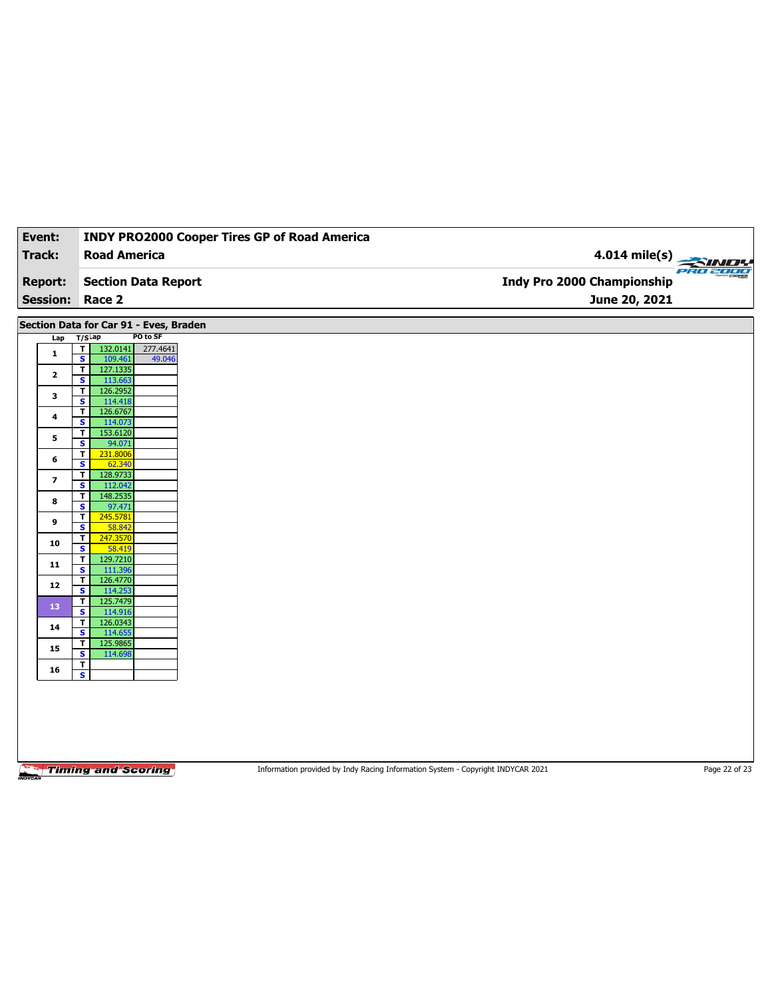| Event:                  | <b>INDY PRO2000 Cooper Tires GP of Road America</b>                       |                            |
|-------------------------|---------------------------------------------------------------------------|----------------------------|
| Track:                  | <b>Road America</b>                                                       | $4.014$ mile(s)            |
|                         |                                                                           | PRO 2000                   |
| <b>Report:</b>          | <b>Section Data Report</b>                                                | Indy Pro 2000 Championship |
| <b>Session:</b>         | Race 2                                                                    | June 20, 2021              |
|                         | Section Data for Car 91 - Eves, Braden                                    |                            |
| Lap                     | PO to SF<br>$T/S$ Lap                                                     |                            |
| 1                       | T<br>132.0141<br>277.4641<br>$\overline{\mathbf{s}}$<br>109.461<br>49.046 |                            |
| $\mathbf{2}$            | T<br>127.1335                                                             |                            |
|                         | S<br>113.663                                                              |                            |
| 3                       | 126.2952<br>T<br>$\overline{\mathbf{s}}$<br>114.418                       |                            |
| 4                       | T<br>126.6767<br>s<br>114.073                                             |                            |
|                         | 153.6120<br>T                                                             |                            |
| 5                       | $\overline{\mathbf{s}}$<br>94.071                                         |                            |
| 6                       | T<br>231.8006<br>S<br>62.340                                              |                            |
| $\overline{\mathbf{z}}$ | 128.9733<br>T                                                             |                            |
|                         | $\overline{\mathbf{s}}$<br>112.042<br>T<br>148.2535                       |                            |
| 8                       | s<br>97.471                                                               |                            |
| 9                       | 245.5781<br>T<br>$\overline{\mathbf{s}}$<br>58.842                        |                            |
| 10                      | $\overline{\mathbf{r}}$<br>247.3570                                       |                            |
|                         | s<br>58.419<br>$\mathbf{T}$<br>129.7210                                   |                            |
| 11                      | $\overline{\mathbf{s}}$<br>111.396                                        |                            |
| 12                      | 126.4770<br>T<br>114.253<br>s                                             |                            |
| 13                      | 125.7479<br>$\mathbf{T}$                                                  |                            |
|                         | $\overline{\mathbf{s}}$<br>114.916<br>126.0343<br>T                       |                            |
| 14                      | s<br>114.655                                                              |                            |
| 15                      | 125.9865<br>T<br>114.698<br>s                                             |                            |
| 16                      | T                                                                         |                            |
|                         | $\overline{\mathbf{s}}$                                                   |                            |
|                         |                                                                           |                            |
|                         |                                                                           |                            |
|                         |                                                                           |                            |
|                         |                                                                           |                            |

Information provided by Indy Racing Information System - Copyright INDYCAR 2021 Page 22 of 23